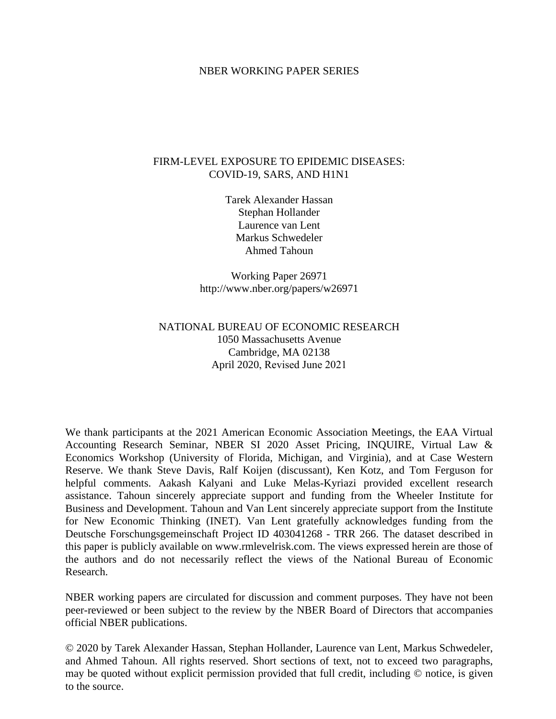# NBER WORKING PAPER SERIES

# FIRM-LEVEL EXPOSURE TO EPIDEMIC DISEASES: COVID-19, SARS, AND H1N1

Tarek Alexander Hassan Stephan Hollander Laurence van Lent Markus Schwedeler Ahmed Tahoun

Working Paper 26971 http://www.nber.org/papers/w26971

# NATIONAL BUREAU OF ECONOMIC RESEARCH 1050 Massachusetts Avenue Cambridge, MA 02138 April 2020, Revised June 2021

We thank participants at the 2021 American Economic Association Meetings, the EAA Virtual Accounting Research Seminar, NBER SI 2020 Asset Pricing, INQUIRE, Virtual Law & Economics Workshop (University of Florida, Michigan, and Virginia), and at Case Western Reserve. We thank Steve Davis, Ralf Koijen (discussant), Ken Kotz, and Tom Ferguson for helpful comments. Aakash Kalyani and Luke Melas-Kyriazi provided excellent research assistance. Tahoun sincerely appreciate support and funding from the Wheeler Institute for Business and Development. Tahoun and Van Lent sincerely appreciate support from the Institute for New Economic Thinking (INET). Van Lent gratefully acknowledges funding from the Deutsche Forschungsgemeinschaft Project ID 403041268 - TRR 266. The dataset described in this paper is publicly available on www.rmlevelrisk.com. The views expressed herein are those of the authors and do not necessarily reflect the views of the National Bureau of Economic Research.

NBER working papers are circulated for discussion and comment purposes. They have not been peer-reviewed or been subject to the review by the NBER Board of Directors that accompanies official NBER publications.

© 2020 by Tarek Alexander Hassan, Stephan Hollander, Laurence van Lent, Markus Schwedeler, and Ahmed Tahoun. All rights reserved. Short sections of text, not to exceed two paragraphs, may be quoted without explicit permission provided that full credit, including © notice, is given to the source.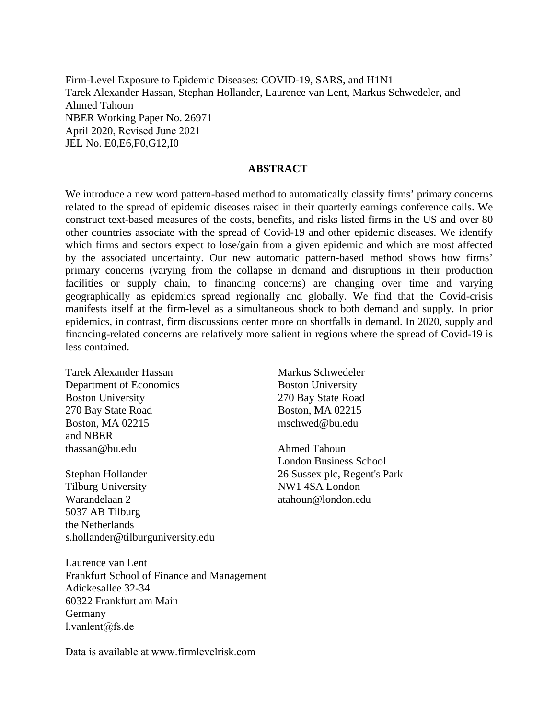Firm-Level Exposure to Epidemic Diseases: COVID-19, SARS, and H1N1 Tarek Alexander Hassan, Stephan Hollander, Laurence van Lent, Markus Schwedeler, and Ahmed Tahoun NBER Working Paper No. 26971 April 2020, Revised June 2021 JEL No. E0,E6,F0,G12,I0

# **ABSTRACT**

We introduce a new word pattern-based method to automatically classify firms' primary concerns related to the spread of epidemic diseases raised in their quarterly earnings conference calls. We construct text-based measures of the costs, benefits, and risks listed firms in the US and over 80 other countries associate with the spread of Covid-19 and other epidemic diseases. We identify which firms and sectors expect to lose/gain from a given epidemic and which are most affected by the associated uncertainty. Our new automatic pattern-based method shows how firms' primary concerns (varying from the collapse in demand and disruptions in their production facilities or supply chain, to financing concerns) are changing over time and varying geographically as epidemics spread regionally and globally. We find that the Covid-crisis manifests itself at the firm-level as a simultaneous shock to both demand and supply. In prior epidemics, in contrast, firm discussions center more on shortfalls in demand. In 2020, supply and financing-related concerns are relatively more salient in regions where the spread of Covid-19 is less contained.

Tarek Alexander Hassan Department of Economics Boston University 270 Bay State Road Boston, MA 02215 and NBER thassan@bu.edu

Stephan Hollander Tilburg University Warandelaan 2 5037 AB Tilburg the Netherlands s.hollander@tilburguniversity.edu

Laurence van Lent Frankfurt School of Finance and Management Adickesallee 32-34 60322 Frankfurt am Main Germany l.vanlent@fs.de

Data is available at www.firmlevelrisk.com

Markus Schwedeler Boston University 270 Bay State Road Boston, MA 02215 mschwed@bu.edu

Ahmed Tahoun London Business School 26 Sussex plc, Regent's Park NW1 4SA London atahoun@london.edu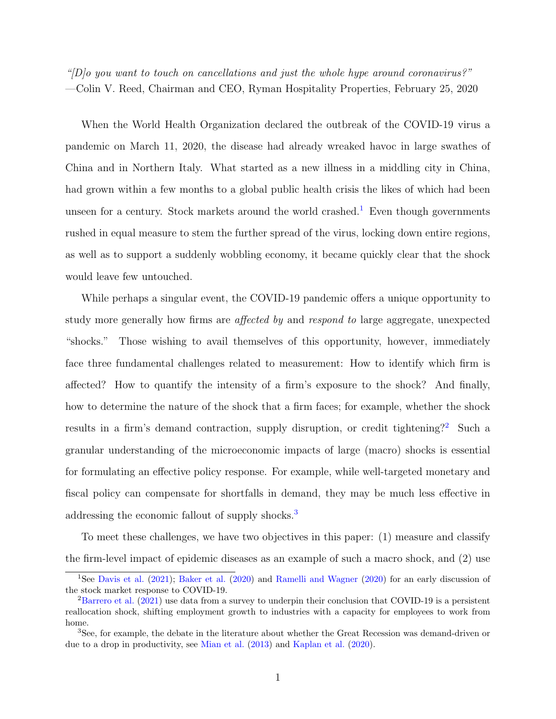"[D]o you want to touch on cancellations and just the whole hype around coronavirus?" —Colin V. Reed, Chairman and CEO, Ryman Hospitality Properties, February 25, 2020

When the World Health Organization declared the outbreak of the COVID-19 virus a pandemic on March 11, 2020, the disease had already wreaked havoc in large swathes of China and in Northern Italy. What started as a new illness in a middling city in China, had grown within a few months to a global public health crisis the likes of which had been unseen for a century. Stock markets around the world crashed.<sup>[1](#page-2-0)</sup> Even though governments rushed in equal measure to stem the further spread of the virus, locking down entire regions, as well as to support a suddenly wobbling economy, it became quickly clear that the shock would leave few untouched.

While perhaps a singular event, the COVID-19 pandemic offers a unique opportunity to study more generally how firms are affected by and respond to large aggregate, unexpected "shocks." Those wishing to avail themselves of this opportunity, however, immediately face three fundamental challenges related to measurement: How to identify which firm is affected? How to quantify the intensity of a firm's exposure to the shock? And finally, how to determine the nature of the shock that a firm faces; for example, whether the shock results in a firm's demand contraction, supply disruption, or credit tightening?<sup>[2](#page-2-1)</sup> Such a granular understanding of the microeconomic impacts of large (macro) shocks is essential for formulating an effective policy response. For example, while well-targeted monetary and fiscal policy can compensate for shortfalls in demand, they may be much less effective in addressing the economic fallout of supply shocks.<sup>[3](#page-2-2)</sup>

To meet these challenges, we have two objectives in this paper: (1) measure and classify the firm-level impact of epidemic diseases as an example of such a macro shock, and (2) use

<span id="page-2-0"></span><sup>&</sup>lt;sup>1</sup>See [Davis et al.](#page-38-0) [\(2021\)](#page-38-0); [Baker et al.](#page-37-0) [\(2020\)](#page-39-0) and [Ramelli and Wagner](#page-39-0) (2020) for an early discussion of the stock market response to COVID-19.

<span id="page-2-1"></span><sup>&</sup>lt;sup>2</sup>[Barrero et al.](#page-37-1) [\(2021\)](#page-37-1) use data from a survey to underpin their conclusion that COVID-19 is a persistent reallocation shock, shifting employment growth to industries with a capacity for employees to work from home.

<span id="page-2-2"></span><sup>3</sup>See, for example, the debate in the literature about whether the Great Recession was demand-driven or due to a drop in productivity, see [Mian et al.](#page-39-1) [\(2013\)](#page-39-1) and [Kaplan et al.](#page-39-2) [\(2020\)](#page-39-2).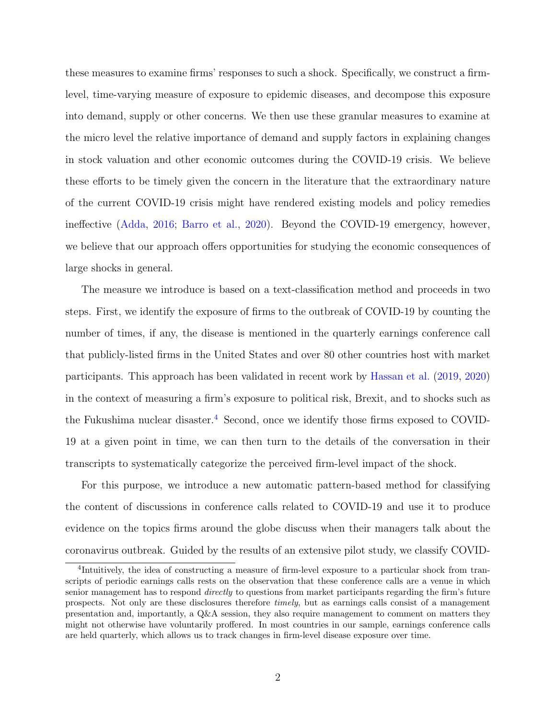these measures to examine firms' responses to such a shock. Specifically, we construct a firmlevel, time-varying measure of exposure to epidemic diseases, and decompose this exposure into demand, supply or other concerns. We then use these granular measures to examine at the micro level the relative importance of demand and supply factors in explaining changes in stock valuation and other economic outcomes during the COVID-19 crisis. We believe these efforts to be timely given the concern in the literature that the extraordinary nature of the current COVID-19 crisis might have rendered existing models and policy remedies ineffective [\(Adda,](#page-37-2) [2016;](#page-37-2) [Barro et al.,](#page-37-3) [2020\)](#page-37-3). Beyond the COVID-19 emergency, however, we believe that our approach offers opportunities for studying the economic consequences of large shocks in general.

The measure we introduce is based on a text-classification method and proceeds in two steps. First, we identify the exposure of firms to the outbreak of COVID-19 by counting the number of times, if any, the disease is mentioned in the quarterly earnings conference call that publicly-listed firms in the United States and over 80 other countries host with market participants. This approach has been validated in recent work by [Hassan et al.](#page-39-3) [\(2019,](#page-39-3) [2020\)](#page-39-4) in the context of measuring a firm's exposure to political risk, Brexit, and to shocks such as the Fukushima nuclear disaster.<sup>[4](#page-3-0)</sup> Second, once we identify those firms exposed to COVID-19 at a given point in time, we can then turn to the details of the conversation in their transcripts to systematically categorize the perceived firm-level impact of the shock.

For this purpose, we introduce a new automatic pattern-based method for classifying the content of discussions in conference calls related to COVID-19 and use it to produce evidence on the topics firms around the globe discuss when their managers talk about the coronavirus outbreak. Guided by the results of an extensive pilot study, we classify COVID-

<span id="page-3-0"></span><sup>&</sup>lt;sup>4</sup>Intuitively, the idea of constructing a measure of firm-level exposure to a particular shock from transcripts of periodic earnings calls rests on the observation that these conference calls are a venue in which senior management has to respond *directly* to questions from market participants regarding the firm's future prospects. Not only are these disclosures therefore timely, but as earnings calls consist of a management presentation and, importantly, a Q&A session, they also require management to comment on matters they might not otherwise have voluntarily proffered. In most countries in our sample, earnings conference calls are held quarterly, which allows us to track changes in firm-level disease exposure over time.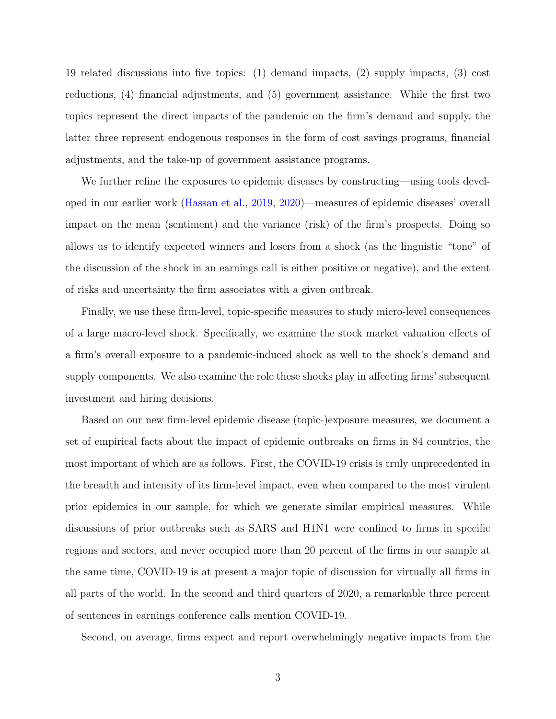19 related discussions into five topics: (1) demand impacts, (2) supply impacts, (3) cost reductions, (4) financial adjustments, and (5) government assistance. While the first two topics represent the direct impacts of the pandemic on the firm's demand and supply, the latter three represent endogenous responses in the form of cost savings programs, financial adjustments, and the take-up of government assistance programs.

We further refine the exposures to epidemic diseases by constructing—using tools developed in our earlier work [\(Hassan et al.,](#page-39-3) [2019,](#page-39-3) [2020\)](#page-39-4)—measures of epidemic diseases' overall impact on the mean (sentiment) and the variance (risk) of the firm's prospects. Doing so allows us to identify expected winners and losers from a shock (as the linguistic "tone" of the discussion of the shock in an earnings call is either positive or negative), and the extent of risks and uncertainty the firm associates with a given outbreak.

Finally, we use these firm-level, topic-specific measures to study micro-level consequences of a large macro-level shock. Specifically, we examine the stock market valuation effects of a firm's overall exposure to a pandemic-induced shock as well to the shock's demand and supply components. We also examine the role these shocks play in affecting firms' subsequent investment and hiring decisions.

Based on our new firm-level epidemic disease (topic-)exposure measures, we document a set of empirical facts about the impact of epidemic outbreaks on firms in 84 countries, the most important of which are as follows. First, the COVID-19 crisis is truly unprecedented in the breadth and intensity of its firm-level impact, even when compared to the most virulent prior epidemics in our sample, for which we generate similar empirical measures. While discussions of prior outbreaks such as SARS and H1N1 were confined to firms in specific regions and sectors, and never occupied more than 20 percent of the firms in our sample at the same time, COVID-19 is at present a major topic of discussion for virtually all firms in all parts of the world. In the second and third quarters of 2020, a remarkable three percent of sentences in earnings conference calls mention COVID-19.

Second, on average, firms expect and report overwhelmingly negative impacts from the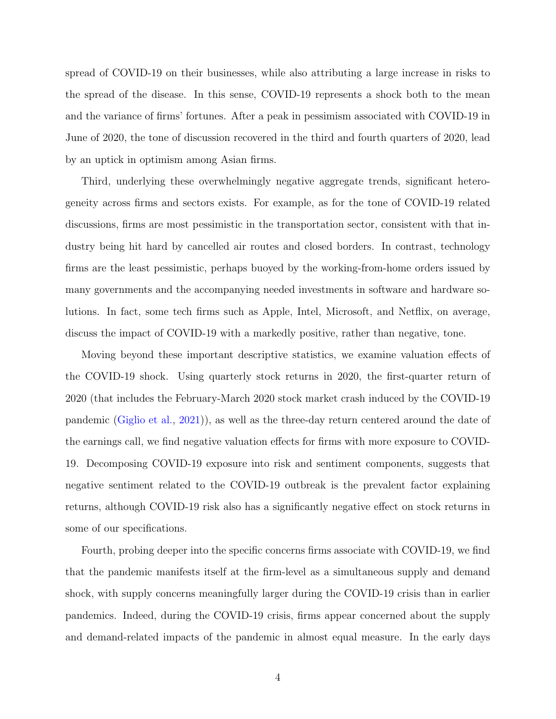spread of COVID-19 on their businesses, while also attributing a large increase in risks to the spread of the disease. In this sense, COVID-19 represents a shock both to the mean and the variance of firms' fortunes. After a peak in pessimism associated with COVID-19 in June of 2020, the tone of discussion recovered in the third and fourth quarters of 2020, lead by an uptick in optimism among Asian firms.

Third, underlying these overwhelmingly negative aggregate trends, significant heterogeneity across firms and sectors exists. For example, as for the tone of COVID-19 related discussions, firms are most pessimistic in the transportation sector, consistent with that industry being hit hard by cancelled air routes and closed borders. In contrast, technology firms are the least pessimistic, perhaps buoyed by the working-from-home orders issued by many governments and the accompanying needed investments in software and hardware solutions. In fact, some tech firms such as Apple, Intel, Microsoft, and Netflix, on average, discuss the impact of COVID-19 with a markedly positive, rather than negative, tone.

Moving beyond these important descriptive statistics, we examine valuation effects of the COVID-19 shock. Using quarterly stock returns in 2020, the first-quarter return of 2020 (that includes the February-March 2020 stock market crash induced by the COVID-19 pandemic [\(Giglio et al.,](#page-38-1) [2021\)](#page-38-1)), as well as the three-day return centered around the date of the earnings call, we find negative valuation effects for firms with more exposure to COVID-19. Decomposing COVID-19 exposure into risk and sentiment components, suggests that negative sentiment related to the COVID-19 outbreak is the prevalent factor explaining returns, although COVID-19 risk also has a significantly negative effect on stock returns in some of our specifications.

Fourth, probing deeper into the specific concerns firms associate with COVID-19, we find that the pandemic manifests itself at the firm-level as a simultaneous supply and demand shock, with supply concerns meaningfully larger during the COVID-19 crisis than in earlier pandemics. Indeed, during the COVID-19 crisis, firms appear concerned about the supply and demand-related impacts of the pandemic in almost equal measure. In the early days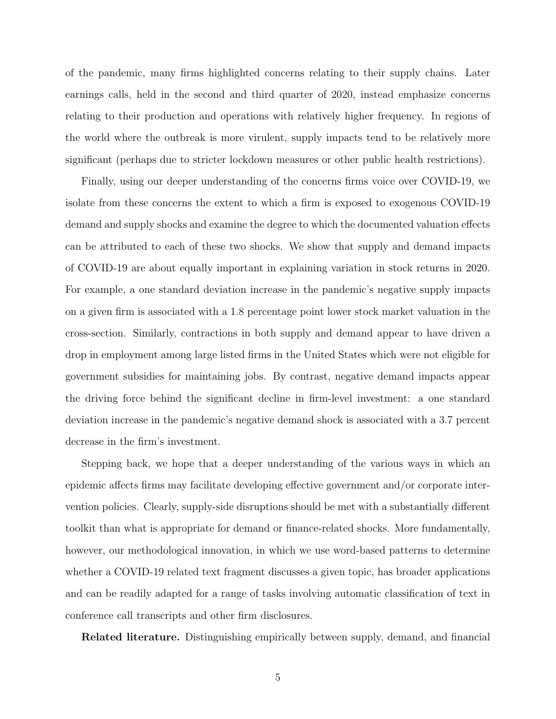of the pandemic, many firms highlighted concerns relating to their supply chains. Later earnings calls, held in the second and third quarter of 2020, instead emphasize concerns relating to their production and operations with relatively higher frequency. In regions of the world where the outbreak is more virulent, supply impacts tend to be relatively more significant (perhaps due to stricter lockdown measures or other public health restrictions).

Finally, using our deeper understanding of the concerns firms voice over COVID-19, we isolate from these concerns the extent to which a firm is exposed to exogenous COVID-19 demand and supply shocks and examine the degree to which the documented valuation effects can be attributed to each of these two shocks. We show that supply and demand impacts of COVID-19 are about equally important in explaining variation in stock returns in 2020. For example, a one standard deviation increase in the pandemic's negative supply impacts on a given firm is associated with a 1.8 percentage point lower stock market valuation in the cross-section. Similarly, contractions in both supply and demand appear to have driven a drop in employment among large listed firms in the United States which were not eligible for government subsidies for maintaining jobs. By contrast, negative demand impacts appear the driving force behind the significant decline in firm-level investment: a one standard deviation increase in the pandemic's negative demand shock is associated with a 3.7 percent decrease in the firm's investment.

Stepping back, we hope that a deeper understanding of the various ways in which an epidemic affects firms may facilitate developing effective government and/or corporate intervention policies. Clearly, supply-side disruptions should be met with a substantially different toolkit than what is appropriate for demand or finance-related shocks. More fundamentally, however, our methodological innovation, in which we use word-based patterns to determine whether a COVID-19 related text fragment discusses a given topic, has broader applications and can be readily adapted for a range of tasks involving automatic classification of text in conference call transcripts and other firm disclosures.

Related literature. Distinguishing empirically between supply, demand, and financial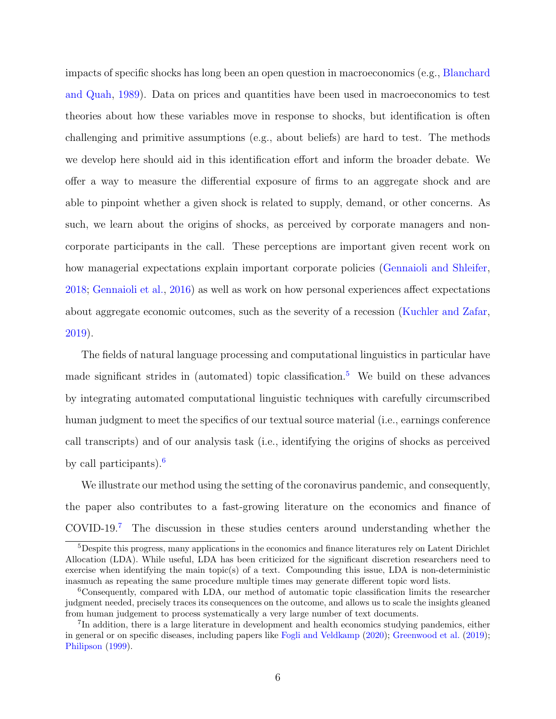impacts of specific shocks has long been an open question in macroeconomics (e.g., [Blanchard](#page-37-4) [and Quah,](#page-37-4) [1989\)](#page-37-4). Data on prices and quantities have been used in macroeconomics to test theories about how these variables move in response to shocks, but identification is often challenging and primitive assumptions (e.g., about beliefs) are hard to test. The methods we develop here should aid in this identification effort and inform the broader debate. We offer a way to measure the differential exposure of firms to an aggregate shock and are able to pinpoint whether a given shock is related to supply, demand, or other concerns. As such, we learn about the origins of shocks, as perceived by corporate managers and noncorporate participants in the call. These perceptions are important given recent work on how managerial expectations explain important corporate policies [\(Gennaioli and Shleifer,](#page-38-2) [2018;](#page-38-2) [Gennaioli et al.,](#page-38-3) [2016\)](#page-38-3) as well as work on how personal experiences affect expectations about aggregate economic outcomes, such as the severity of a recession [\(Kuchler and Zafar,](#page-39-5) [2019\)](#page-39-5).

The fields of natural language processing and computational linguistics in particular have made significant strides in (automated) topic classification.<sup>[5](#page-7-0)</sup> We build on these advances by integrating automated computational linguistic techniques with carefully circumscribed human judgment to meet the specifics of our textual source material (i.e., earnings conference call transcripts) and of our analysis task (i.e., identifying the origins of shocks as perceived by call participants).<sup>[6](#page-7-1)</sup>

We illustrate our method using the setting of the coronavirus pandemic, and consequently, the paper also contributes to a fast-growing literature on the economics and finance of COVID-19.[7](#page-7-2) The discussion in these studies centers around understanding whether the

<span id="page-7-0"></span><sup>5</sup>Despite this progress, many applications in the economics and finance literatures rely on Latent Dirichlet Allocation (LDA). While useful, LDA has been criticized for the significant discretion researchers need to exercise when identifying the main topic(s) of a text. Compounding this issue, LDA is non-deterministic inasmuch as repeating the same procedure multiple times may generate different topic word lists.

<span id="page-7-1"></span><sup>6</sup>Consequently, compared with LDA, our method of automatic topic classification limits the researcher judgment needed, precisely traces its consequences on the outcome, and allows us to scale the insights gleaned from human judgement to process systematically a very large number of text documents.

<span id="page-7-2"></span><sup>&</sup>lt;sup>7</sup>In addition, there is a large literature in development and health economics studying pandemics, either in general or on specific diseases, including papers like [Fogli and Veldkamp](#page-38-4) [\(2020\)](#page-38-4); [Greenwood et al.](#page-38-5) [\(2019\)](#page-38-5); [Philipson](#page-39-6) [\(1999\)](#page-39-6).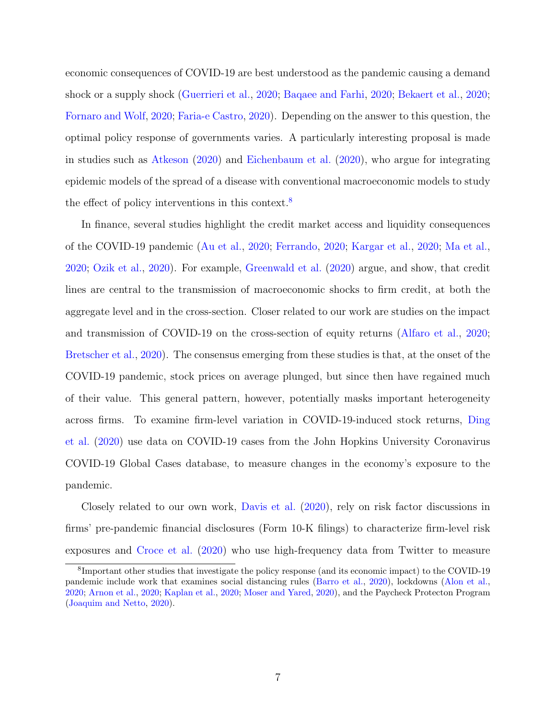economic consequences of COVID-19 are best understood as the pandemic causing a demand shock or a supply shock [\(Guerrieri et al.,](#page-38-6) [2020;](#page-38-6) [Baqaee and Farhi,](#page-37-5) [2020;](#page-37-5) [Bekaert et al.,](#page-37-6) [2020;](#page-37-6) [Fornaro and Wolf,](#page-38-7) [2020;](#page-38-7) [Faria-e Castro,](#page-38-8) [2020\)](#page-38-8). Depending on the answer to this question, the optimal policy response of governments varies. A particularly interesting proposal is made in studies such as [Atkeson](#page-37-7) [\(2020\)](#page-37-7) and [Eichenbaum et al.](#page-38-9) [\(2020\)](#page-38-9), who argue for integrating epidemic models of the spread of a disease with conventional macroeconomic models to study the effect of policy interventions in this context.<sup>[8](#page-8-0)</sup>

In finance, several studies highlight the credit market access and liquidity consequences of the COVID-19 pandemic [\(Au et al.,](#page-37-8) [2020;](#page-37-8) [Ferrando,](#page-38-10) [2020;](#page-38-10) [Kargar et al.,](#page-39-7) [2020;](#page-39-7) [Ma et al.,](#page-39-8) [2020;](#page-39-8) [Ozik et al.,](#page-39-9) [2020\)](#page-39-9). For example, [Greenwald et al.](#page-38-11) [\(2020\)](#page-38-11) argue, and show, that credit lines are central to the transmission of macroeconomic shocks to firm credit, at both the aggregate level and in the cross-section. Closer related to our work are studies on the impact and transmission of COVID-19 on the cross-section of equity returns [\(Alfaro et al.,](#page-37-9) [2020;](#page-37-9) [Bretscher et al.,](#page-37-10) [2020\)](#page-37-10). The consensus emerging from these studies is that, at the onset of the COVID-19 pandemic, stock prices on average plunged, but since then have regained much of their value. This general pattern, however, potentially masks important heterogeneity across firms. To examine firm-level variation in COVID-19-induced stock returns, [Ding](#page-38-12) [et al.](#page-38-12) [\(2020\)](#page-38-12) use data on COVID-19 cases from the John Hopkins University Coronavirus COVID-19 Global Cases database, to measure changes in the economy's exposure to the pandemic.

Closely related to our own work, [Davis et al.](#page-38-13) [\(2020\)](#page-38-13), rely on risk factor discussions in firms' pre-pandemic financial disclosures (Form 10-K filings) to characterize firm-level risk exposures and [Croce et al.](#page-37-11) [\(2020\)](#page-37-11) who use high-frequency data from Twitter to measure

<span id="page-8-0"></span><sup>8</sup> Important other studies that investigate the policy response (and its economic impact) to the COVID-19 pandemic include work that examines social distancing rules [\(Barro et al.,](#page-37-3) [2020\)](#page-37-3), lockdowns [\(Alon et al.,](#page-37-12) [2020;](#page-37-12) [Arnon et al.,](#page-37-13) [2020;](#page-37-13) [Kaplan et al.,](#page-39-10) [2020;](#page-39-10) [Moser and Yared,](#page-39-11) [2020\)](#page-39-11), and the Paycheck Protecton Program [\(Joaquim and Netto,](#page-39-12) [2020\)](#page-39-12).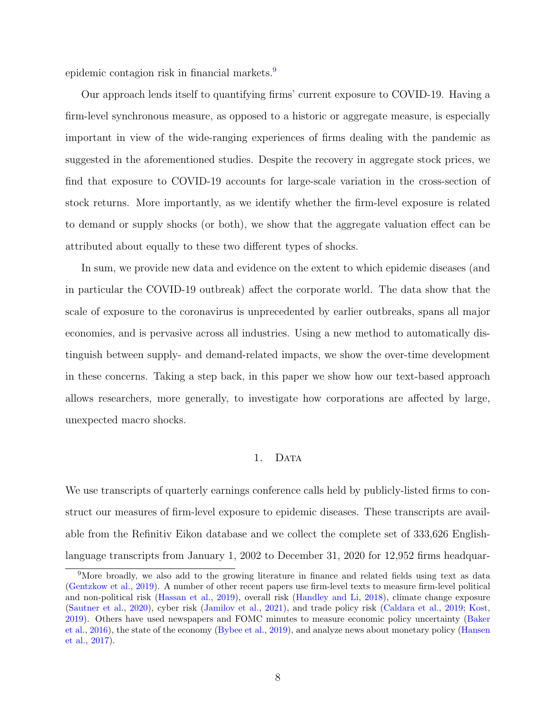epidemic contagion risk in financial markets.<sup>[9](#page-9-0)</sup>

Our approach lends itself to quantifying firms' current exposure to COVID-19. Having a firm-level synchronous measure, as opposed to a historic or aggregate measure, is especially important in view of the wide-ranging experiences of firms dealing with the pandemic as suggested in the aforementioned studies. Despite the recovery in aggregate stock prices, we find that exposure to COVID-19 accounts for large-scale variation in the cross-section of stock returns. More importantly, as we identify whether the firm-level exposure is related to demand or supply shocks (or both), we show that the aggregate valuation effect can be attributed about equally to these two different types of shocks.

In sum, we provide new data and evidence on the extent to which epidemic diseases (and in particular the COVID-19 outbreak) affect the corporate world. The data show that the scale of exposure to the coronavirus is unprecedented by earlier outbreaks, spans all major economies, and is pervasive across all industries. Using a new method to automatically distinguish between supply- and demand-related impacts, we show the over-time development in these concerns. Taking a step back, in this paper we show how our text-based approach allows researchers, more generally, to investigate how corporations are affected by large, unexpected macro shocks.

### 1. DATA

We use transcripts of quarterly earnings conference calls held by publicly-listed firms to construct our measures of firm-level exposure to epidemic diseases. These transcripts are available from the Refinitiv Eikon database and we collect the complete set of 333,626 Englishlanguage transcripts from January 1, 2002 to December 31, 2020 for 12,952 firms headquar-

<span id="page-9-0"></span><sup>9</sup>More broadly, we also add to the growing literature in finance and related fields using text as data [\(Gentzkow et al.,](#page-38-14) [2019\)](#page-38-14). A number of other recent papers use firm-level texts to measure firm-level political and non-political risk [\(Hassan et al.,](#page-39-3) [2019\)](#page-39-3), overall risk [\(Handley and Li,](#page-38-15) [2018\)](#page-38-15), climate change exposure [\(Sautner et al.,](#page-40-0) [2020\)](#page-40-0), cyber risk [\(Jamilov et al.,](#page-39-13) [2021\)](#page-39-13), and trade policy risk [\(Caldara et al.,](#page-37-14) [2019;](#page-37-14) [Kost,](#page-39-14) [2019\)](#page-39-14). Others have used newspapers and FOMC minutes to measure economic policy uncertainty [\(Baker](#page-37-15) [et al.,](#page-37-15) [2016\)](#page-37-15), the state of the economy [\(Bybee et al.,](#page-37-16) [2019\)](#page-37-16), and analyze news about monetary policy [\(Hansen](#page-38-16) [et al.,](#page-38-16) [2017\)](#page-38-16).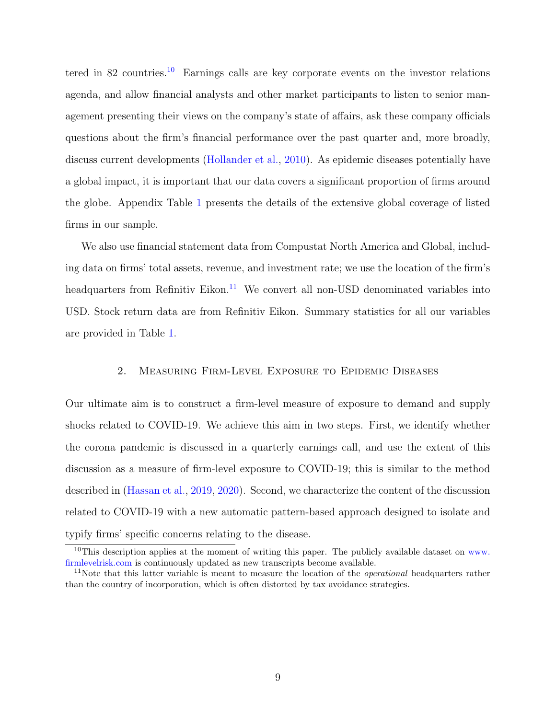tered in 82 countries.<sup>[10](#page-10-0)</sup> Earnings calls are key corporate events on the investor relations agenda, and allow financial analysts and other market participants to listen to senior management presenting their views on the company's state of affairs, ask these company officials questions about the firm's financial performance over the past quarter and, more broadly, discuss current developments [\(Hollander et al.,](#page-39-15) [2010\)](#page-39-15). As epidemic diseases potentially have a global impact, it is important that our data covers a significant proportion of firms around the globe. Appendix Table [1](#page-66-0) presents the details of the extensive global coverage of listed firms in our sample.

We also use financial statement data from Compustat North America and Global, including data on firms' total assets, revenue, and investment rate; we use the location of the firm's headquarters from Refinitiv Eikon.<sup>[11](#page-10-1)</sup> We convert all non-USD denominated variables into USD. Stock return data are from Refinitiv Eikon. Summary statistics for all our variables are provided in Table [1.](#page-51-0)

# 2. Measuring Firm-Level Exposure to Epidemic Diseases

Our ultimate aim is to construct a firm-level measure of exposure to demand and supply shocks related to COVID-19. We achieve this aim in two steps. First, we identify whether the corona pandemic is discussed in a quarterly earnings call, and use the extent of this discussion as a measure of firm-level exposure to COVID-19; this is similar to the method described in [\(Hassan et al.,](#page-39-3) [2019,](#page-39-3) [2020\)](#page-39-4). Second, we characterize the content of the discussion related to COVID-19 with a new automatic pattern-based approach designed to isolate and typify firms' specific concerns relating to the disease.

<span id="page-10-0"></span><sup>&</sup>lt;sup>10</sup>This description applies at the moment of writing this paper. The publicly available dataset on [www.](www.firmlevelrisk.com) [firmlevelrisk.com](www.firmlevelrisk.com) is continuously updated as new transcripts become available.

<span id="page-10-1"></span><sup>&</sup>lt;sup>11</sup>Note that this latter variable is meant to measure the location of the *operational* headquarters rather than the country of incorporation, which is often distorted by tax avoidance strategies.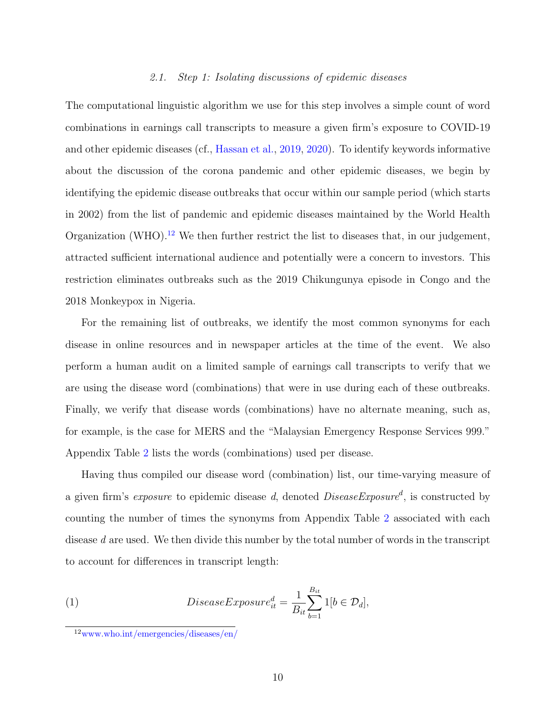### 2.1. Step 1: Isolating discussions of epidemic diseases

The computational linguistic algorithm we use for this step involves a simple count of word combinations in earnings call transcripts to measure a given firm's exposure to COVID-19 and other epidemic diseases (cf., [Hassan et al.,](#page-39-3) [2019,](#page-39-3) [2020\)](#page-39-4). To identify keywords informative about the discussion of the corona pandemic and other epidemic diseases, we begin by identifying the epidemic disease outbreaks that occur within our sample period (which starts in 2002) from the list of pandemic and epidemic diseases maintained by the World Health Organization (WHO).<sup>[12](#page-11-0)</sup> We then further restrict the list to diseases that, in our judgement, attracted sufficient international audience and potentially were a concern to investors. This restriction eliminates outbreaks such as the 2019 Chikungunya episode in Congo and the 2018 Monkeypox in Nigeria.

For the remaining list of outbreaks, we identify the most common synonyms for each disease in online resources and in newspaper articles at the time of the event. We also perform a human audit on a limited sample of earnings call transcripts to verify that we are using the disease word (combinations) that were in use during each of these outbreaks. Finally, we verify that disease words (combinations) have no alternate meaning, such as, for example, is the case for MERS and the "Malaysian Emergency Response Services 999." Appendix Table [2](#page-67-0) lists the words (combinations) used per disease.

Having thus compiled our disease word (combination) list, our time-varying measure of a given firm's *exposure* to epidemic disease d, denoted  $DiseaseExposure^d$ , is constructed by counting the number of times the synonyms from Appendix Table [2](#page-67-0) associated with each disease d are used. We then divide this number by the total number of words in the transcript to account for differences in transcript length:

(1) 
$$
DiseaseExposure_{it}^{d} = \frac{1}{B_{it}} \sum_{b=1}^{B_{it}} 1[b \in \mathcal{D}_d],
$$

<span id="page-11-0"></span><sup>12</sup><www.who.int/emergencies/diseases/en/>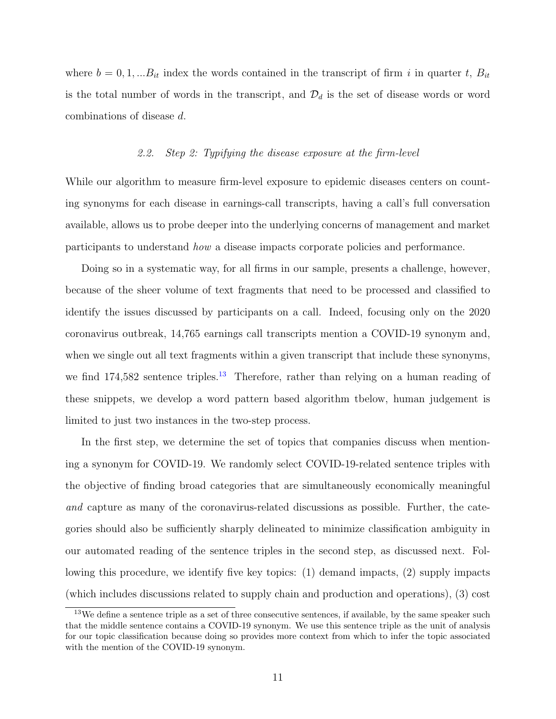where  $b = 0, 1, \ldots, B_{it}$  index the words contained in the transcript of firm i in quarter t,  $B_{it}$ is the total number of words in the transcript, and  $\mathcal{D}_d$  is the set of disease words or word combinations of disease d.

#### 2.2. Step 2: Typifying the disease exposure at the firm-level

While our algorithm to measure firm-level exposure to epidemic diseases centers on counting synonyms for each disease in earnings-call transcripts, having a call's full conversation available, allows us to probe deeper into the underlying concerns of management and market participants to understand how a disease impacts corporate policies and performance.

Doing so in a systematic way, for all firms in our sample, presents a challenge, however, because of the sheer volume of text fragments that need to be processed and classified to identify the issues discussed by participants on a call. Indeed, focusing only on the 2020 coronavirus outbreak, 14,765 earnings call transcripts mention a COVID-19 synonym and, when we single out all text fragments within a given transcript that include these synonyms, we find  $174,582$  sentence triples.<sup>[13](#page-12-0)</sup> Therefore, rather than relying on a human reading of these snippets, we develop a word pattern based algorithm tbelow, human judgement is limited to just two instances in the two-step process.

In the first step, we determine the set of topics that companies discuss when mentioning a synonym for COVID-19. We randomly select COVID-19-related sentence triples with the objective of finding broad categories that are simultaneously economically meaningful and capture as many of the coronavirus-related discussions as possible. Further, the categories should also be sufficiently sharply delineated to minimize classification ambiguity in our automated reading of the sentence triples in the second step, as discussed next. Following this procedure, we identify five key topics: (1) demand impacts, (2) supply impacts (which includes discussions related to supply chain and production and operations), (3) cost

<span id="page-12-0"></span><sup>&</sup>lt;sup>13</sup>We define a sentence triple as a set of three consecutive sentences, if available, by the same speaker such that the middle sentence contains a COVID-19 synonym. We use this sentence triple as the unit of analysis for our topic classification because doing so provides more context from which to infer the topic associated with the mention of the COVID-19 synonym.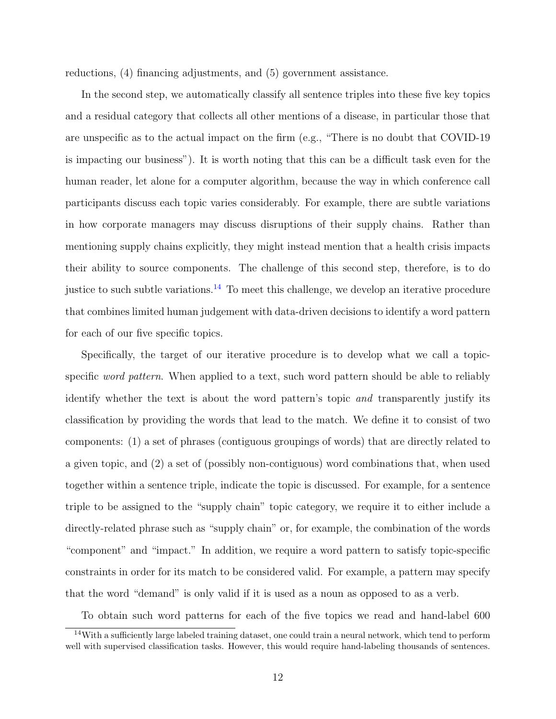reductions, (4) financing adjustments, and (5) government assistance.

In the second step, we automatically classify all sentence triples into these five key topics and a residual category that collects all other mentions of a disease, in particular those that are unspecific as to the actual impact on the firm (e.g., "There is no doubt that COVID-19 is impacting our business"). It is worth noting that this can be a difficult task even for the human reader, let alone for a computer algorithm, because the way in which conference call participants discuss each topic varies considerably. For example, there are subtle variations in how corporate managers may discuss disruptions of their supply chains. Rather than mentioning supply chains explicitly, they might instead mention that a health crisis impacts their ability to source components. The challenge of this second step, therefore, is to do justice to such subtle variations.<sup>[14](#page-13-0)</sup> To meet this challenge, we develop an iterative procedure that combines limited human judgement with data-driven decisions to identify a word pattern for each of our five specific topics.

Specifically, the target of our iterative procedure is to develop what we call a topicspecific *word pattern*. When applied to a text, such word pattern should be able to reliably identify whether the text is about the word pattern's topic and transparently justify its classification by providing the words that lead to the match. We define it to consist of two components: (1) a set of phrases (contiguous groupings of words) that are directly related to a given topic, and (2) a set of (possibly non-contiguous) word combinations that, when used together within a sentence triple, indicate the topic is discussed. For example, for a sentence triple to be assigned to the "supply chain" topic category, we require it to either include a directly-related phrase such as "supply chain" or, for example, the combination of the words "component" and "impact." In addition, we require a word pattern to satisfy topic-specific constraints in order for its match to be considered valid. For example, a pattern may specify that the word "demand" is only valid if it is used as a noun as opposed to as a verb.

<span id="page-13-0"></span>To obtain such word patterns for each of the five topics we read and hand-label 600

<sup>14</sup>With a sufficiently large labeled training dataset, one could train a neural network, which tend to perform well with supervised classification tasks. However, this would require hand-labeling thousands of sentences.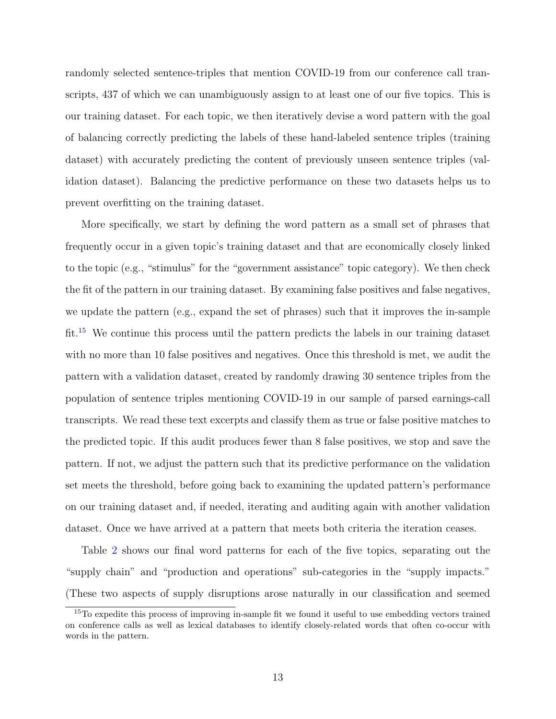randomly selected sentence-triples that mention COVID-19 from our conference call transcripts, 437 of which we can unambiguously assign to at least one of our five topics. This is our training dataset. For each topic, we then iteratively devise a word pattern with the goal of balancing correctly predicting the labels of these hand-labeled sentence triples (training dataset) with accurately predicting the content of previously unseen sentence triples (validation dataset). Balancing the predictive performance on these two datasets helps us to prevent overfitting on the training dataset.

More specifically, we start by defining the word pattern as a small set of phrases that frequently occur in a given topic's training dataset and that are economically closely linked to the topic (e.g., "stimulus" for the "government assistance" topic category). We then check the fit of the pattern in our training dataset. By examining false positives and false negatives, we update the pattern (e.g., expand the set of phrases) such that it improves the in-sample fit.[15](#page-14-0) We continue this process until the pattern predicts the labels in our training dataset with no more than 10 false positives and negatives. Once this threshold is met, we audit the pattern with a validation dataset, created by randomly drawing 30 sentence triples from the population of sentence triples mentioning COVID-19 in our sample of parsed earnings-call transcripts. We read these text excerpts and classify them as true or false positive matches to the predicted topic. If this audit produces fewer than 8 false positives, we stop and save the pattern. If not, we adjust the pattern such that its predictive performance on the validation set meets the threshold, before going back to examining the updated pattern's performance on our training dataset and, if needed, iterating and auditing again with another validation dataset. Once we have arrived at a pattern that meets both criteria the iteration ceases.

Table [2](#page-52-0) shows our final word patterns for each of the five topics, separating out the "supply chain" and "production and operations" sub-categories in the "supply impacts." (These two aspects of supply disruptions arose naturally in our classification and seemed

<span id="page-14-0"></span><sup>&</sup>lt;sup>15</sup>To expedite this process of improving in-sample fit we found it useful to use embedding vectors trained on conference calls as well as lexical databases to identify closely-related words that often co-occur with words in the pattern.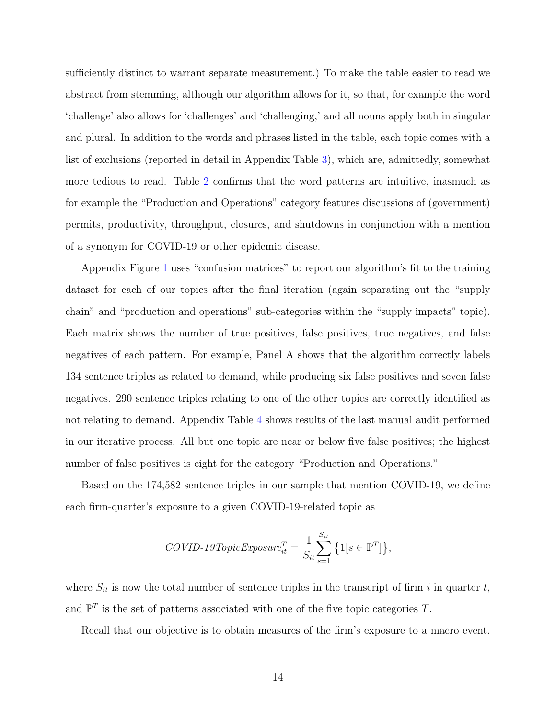sufficiently distinct to warrant separate measurement.) To make the table easier to read we abstract from stemming, although our algorithm allows for it, so that, for example the word 'challenge' also allows for 'challenges' and 'challenging,' and all nouns apply both in singular and plural. In addition to the words and phrases listed in the table, each topic comes with a list of exclusions (reported in detail in Appendix Table [3\)](#page-68-0), which are, admittedly, somewhat more tedious to read. Table [2](#page-52-0) confirms that the word patterns are intuitive, inasmuch as for example the "Production and Operations" category features discussions of (government) permits, productivity, throughput, closures, and shutdowns in conjunction with a mention of a synonym for COVID-19 or other epidemic disease.

Appendix Figure [1](#page-60-0) uses "confusion matrices" to report our algorithm's fit to the training dataset for each of our topics after the final iteration (again separating out the "supply chain" and "production and operations" sub-categories within the "supply impacts" topic). Each matrix shows the number of true positives, false positives, true negatives, and false negatives of each pattern. For example, Panel A shows that the algorithm correctly labels 134 sentence triples as related to demand, while producing six false positives and seven false negatives. 290 sentence triples relating to one of the other topics are correctly identified as not relating to demand. Appendix Table [4](#page-69-0) shows results of the last manual audit performed in our iterative process. All but one topic are near or below five false positives; the highest number of false positives is eight for the category "Production and Operations."

Based on the 174,582 sentence triples in our sample that mention COVID-19, we define each firm-quarter's exposure to a given COVID-19-related topic as

$$
COVID\text{-}19TopicExposure_{it}^{T} = \frac{1}{S_{it}} \sum_{s=1}^{S_{it}} \left\{ 1[s \in \mathbb{P}^{T}]\right\},\
$$

where  $S_{it}$  is now the total number of sentence triples in the transcript of firm i in quarter t, and  $\mathbb{P}^T$  is the set of patterns associated with one of the five topic categories T.

Recall that our objective is to obtain measures of the firm's exposure to a macro event.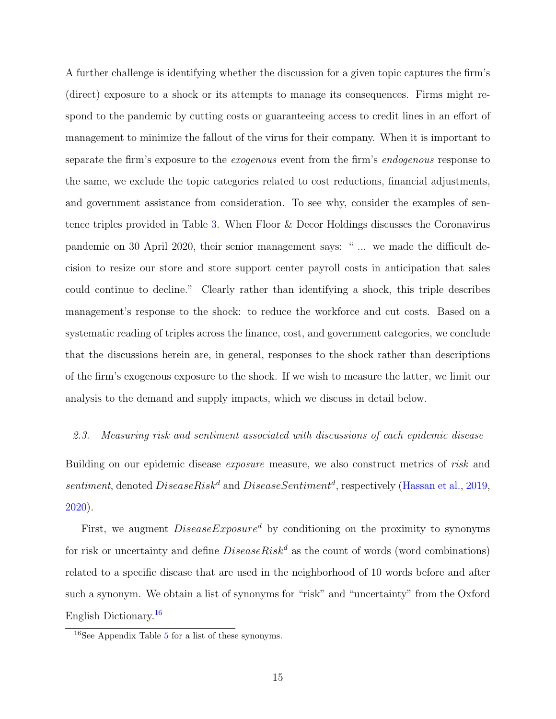A further challenge is identifying whether the discussion for a given topic captures the firm's (direct) exposure to a shock or its attempts to manage its consequences. Firms might respond to the pandemic by cutting costs or guaranteeing access to credit lines in an effort of management to minimize the fallout of the virus for their company. When it is important to separate the firm's exposure to the exogenous event from the firm's endogenous response to the same, we exclude the topic categories related to cost reductions, financial adjustments, and government assistance from consideration. To see why, consider the examples of sentence triples provided in Table [3.](#page-53-0) When Floor & Decor Holdings discusses the Coronavirus pandemic on 30 April 2020, their senior management says: " ... we made the difficult decision to resize our store and store support center payroll costs in anticipation that sales could continue to decline." Clearly rather than identifying a shock, this triple describes management's response to the shock: to reduce the workforce and cut costs. Based on a systematic reading of triples across the finance, cost, and government categories, we conclude that the discussions herein are, in general, responses to the shock rather than descriptions of the firm's exogenous exposure to the shock. If we wish to measure the latter, we limit our analysis to the demand and supply impacts, which we discuss in detail below.

#### 2.3. Measuring risk and sentiment associated with discussions of each epidemic disease

Building on our epidemic disease *exposure* measure, we also construct metrics of risk and sentiment, denoted  $DiseaseRisk^d$  and  $DiseaseSentiment^d$ , respectively [\(Hassan et al.,](#page-39-3) [2019,](#page-39-3) [2020\)](#page-39-4).

First, we augment  $DiseaseExposure^d$  by conditioning on the proximity to synonyms for risk or uncertainty and define  $DiseaseRisk^d$  as the count of words (word combinations) related to a specific disease that are used in the neighborhood of 10 words before and after such a synonym. We obtain a list of synonyms for "risk" and "uncertainty" from the Oxford English Dictionary.[16](#page-16-0)

<span id="page-16-0"></span><sup>16</sup>See Appendix Table [5](#page-70-0) for a list of these synonyms.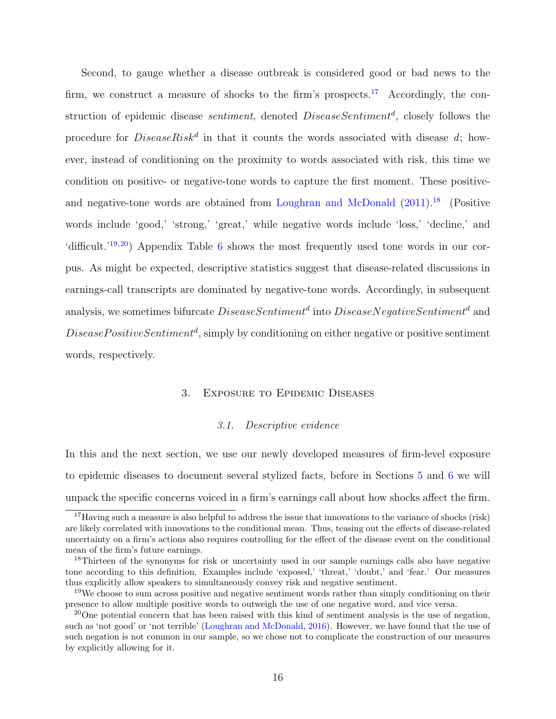Second, to gauge whether a disease outbreak is considered good or bad news to the firm, we construct a measure of shocks to the firm's prospects.<sup>[17](#page-17-0)</sup> Accordingly, the construction of epidemic disease *sentiment*, denoted *DiseaseSentiment<sup>d</sup>*, closely follows the procedure for  $DiseaseRisk^d$  in that it counts the words associated with disease d; however, instead of conditioning on the proximity to words associated with risk, this time we condition on positive- or negative-tone words to capture the first moment. These positive-and negative-tone words are obtained from [Loughran and McDonald](#page-39-16)  $(2011).<sup>18</sup>$  $(2011).<sup>18</sup>$  $(2011).<sup>18</sup>$  $(2011).<sup>18</sup>$  (Positive words include 'good,' 'strong,' 'great,' while negative words include 'loss,' 'decline,' and 'difficult.'<sup>[19](#page-17-2),[20](#page-17-3)</sup>) Appendix Table [6](#page-71-0) shows the most frequently used tone words in our corpus. As might be expected, descriptive statistics suggest that disease-related discussions in earnings-call transcripts are dominated by negative-tone words. Accordingly, in subsequent analysis, we sometimes bifurcate  $DiseaseSentiment^d$  into  $DiseaseNegativeSentiment^d$  and  $Disease PositiveSentiment<sup>d</sup>, simply by conditioning on either negative or positive sentiment$ words, respectively.

#### 3. Exposure to Epidemic Diseases

#### 3.1. Descriptive evidence

In this and the next section, we use our newly developed measures of firm-level exposure to epidemic diseases to document several stylized facts, before in Sections [5](#page-24-0) and [6](#page-29-0) we will unpack the specific concerns voiced in a firm's earnings call about how shocks affect the firm.

<span id="page-17-0"></span><sup>&</sup>lt;sup>17</sup>Having such a measure is also helpful to address the issue that innovations to the variance of shocks (risk) are likely correlated with innovations to the conditional mean. Thus, teasing out the effects of disease-related uncertainty on a firm's actions also requires controlling for the effect of the disease event on the conditional mean of the firm's future earnings.

<span id="page-17-1"></span><sup>&</sup>lt;sup>18</sup>Thirteen of the synonyms for risk or uncertainty used in our sample earnings calls also have negative tone according to this definition. Examples include 'exposed,' 'threat,' 'doubt,' and 'fear.' Our measures thus explicitly allow speakers to simultaneously convey risk and negative sentiment.

<span id="page-17-2"></span><sup>&</sup>lt;sup>19</sup>We choose to sum across positive and negative sentiment words rather than simply conditioning on their presence to allow multiple positive words to outweigh the use of one negative word, and vice versa.

<span id="page-17-3"></span> $^{20}$ One potential concern that has been raised with this kind of sentiment analysis is the use of negation, such as 'not good' or 'not terrible' [\(Loughran and McDonald,](#page-39-17) [2016\)](#page-39-17). However, we have found that the use of such negation is not common in our sample, so we chose not to complicate the construction of our measures by explicitly allowing for it.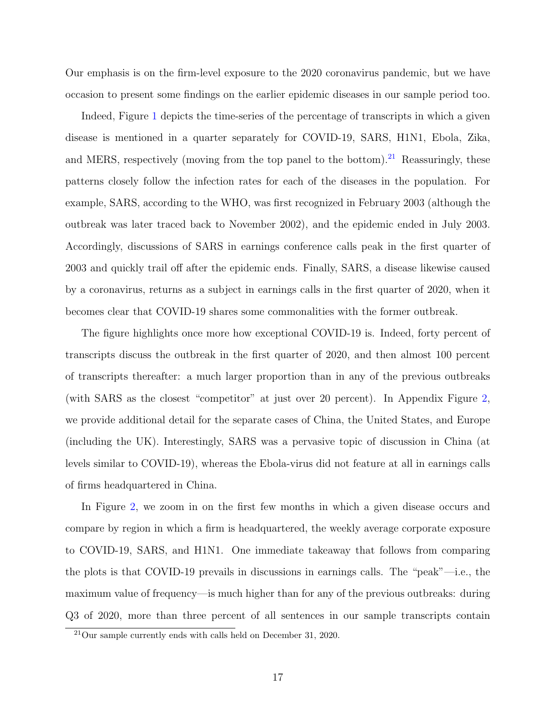Our emphasis is on the firm-level exposure to the 2020 coronavirus pandemic, but we have occasion to present some findings on the earlier epidemic diseases in our sample period too.

Indeed, Figure [1](#page-41-0) depicts the time-series of the percentage of transcripts in which a given disease is mentioned in a quarter separately for COVID-19, SARS, H1N1, Ebola, Zika, and MERS, respectively (moving from the top panel to the bottom).<sup>[21](#page-18-0)</sup> Reassuringly, these patterns closely follow the infection rates for each of the diseases in the population. For example, SARS, according to the WHO, was first recognized in February 2003 (although the outbreak was later traced back to November 2002), and the epidemic ended in July 2003. Accordingly, discussions of SARS in earnings conference calls peak in the first quarter of 2003 and quickly trail off after the epidemic ends. Finally, SARS, a disease likewise caused by a coronavirus, returns as a subject in earnings calls in the first quarter of 2020, when it becomes clear that COVID-19 shares some commonalities with the former outbreak.

The figure highlights once more how exceptional COVID-19 is. Indeed, forty percent of transcripts discuss the outbreak in the first quarter of 2020, and then almost 100 percent of transcripts thereafter: a much larger proportion than in any of the previous outbreaks (with SARS as the closest "competitor" at just over 20 percent). In Appendix Figure [2,](#page-61-0) we provide additional detail for the separate cases of China, the United States, and Europe (including the UK). Interestingly, SARS was a pervasive topic of discussion in China (at levels similar to COVID-19), whereas the Ebola-virus did not feature at all in earnings calls of firms headquartered in China.

In Figure [2,](#page-42-0) we zoom in on the first few months in which a given disease occurs and compare by region in which a firm is headquartered, the weekly average corporate exposure to COVID-19, SARS, and H1N1. One immediate takeaway that follows from comparing the plots is that COVID-19 prevails in discussions in earnings calls. The "peak"—i.e., the maximum value of frequency—is much higher than for any of the previous outbreaks: during Q3 of 2020, more than three percent of all sentences in our sample transcripts contain

<span id="page-18-0"></span> $21$ Our sample currently ends with calls held on December 31, 2020.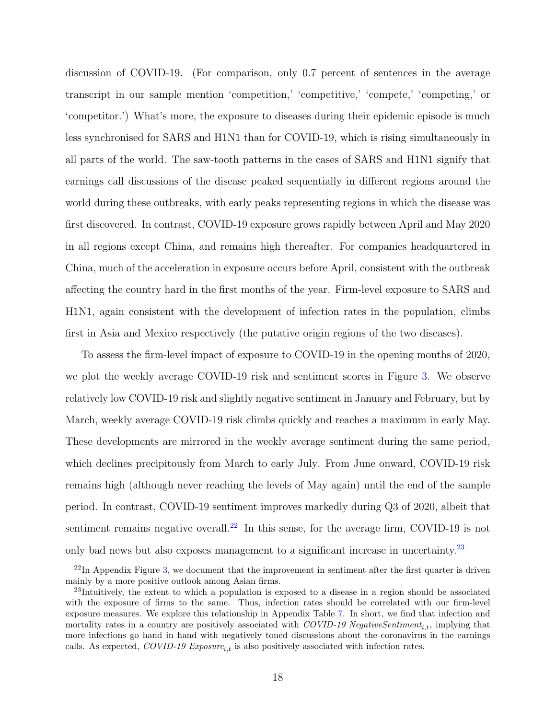discussion of COVID-19. (For comparison, only 0.7 percent of sentences in the average transcript in our sample mention 'competition,' 'competitive,' 'compete,' 'competing,' or 'competitor.') What's more, the exposure to diseases during their epidemic episode is much less synchronised for SARS and H1N1 than for COVID-19, which is rising simultaneously in all parts of the world. The saw-tooth patterns in the cases of SARS and H1N1 signify that earnings call discussions of the disease peaked sequentially in different regions around the world during these outbreaks, with early peaks representing regions in which the disease was first discovered. In contrast, COVID-19 exposure grows rapidly between April and May 2020 in all regions except China, and remains high thereafter. For companies headquartered in China, much of the acceleration in exposure occurs before April, consistent with the outbreak affecting the country hard in the first months of the year. Firm-level exposure to SARS and H1N1, again consistent with the development of infection rates in the population, climbs first in Asia and Mexico respectively (the putative origin regions of the two diseases).

To assess the firm-level impact of exposure to COVID-19 in the opening months of 2020, we plot the weekly average COVID-19 risk and sentiment scores in Figure [3.](#page-43-0) We observe relatively low COVID-19 risk and slightly negative sentiment in January and February, but by March, weekly average COVID-19 risk climbs quickly and reaches a maximum in early May. These developments are mirrored in the weekly average sentiment during the same period, which declines precipitously from March to early July. From June onward, COVID-19 risk remains high (although never reaching the levels of May again) until the end of the sample period. In contrast, COVID-19 sentiment improves markedly during Q3 of 2020, albeit that sentiment remains negative overall.<sup>[22](#page-19-0)</sup> In this sense, for the average firm, COVID-19 is not only bad news but also exposes management to a significant increase in uncertainty.<sup>[23](#page-19-1)</sup>

<span id="page-19-0"></span> $^{22}$ In Appendix Figure [3,](#page-62-0) we document that the improvement in sentiment after the first quarter is driven mainly by a more positive outlook among Asian firms.

<span id="page-19-1"></span><sup>&</sup>lt;sup>23</sup>Intuitively, the extent to which a population is exposed to a disease in a region should be associated with the exposure of firms to the same. Thus, infection rates should be correlated with our firm-level exposure measures. We explore this relationship in Appendix Table [7.](#page-72-0) In short, we find that infection and mortality rates in a country are positively associated with  $\textit{COVID-19}$  NegativeSentiment<sub>i,t</sub>, implying that more infections go hand in hand with negatively toned discussions about the coronavirus in the earnings calls. As expected, COVID-19  $Exposure_{i,t}$  is also positively associated with infection rates.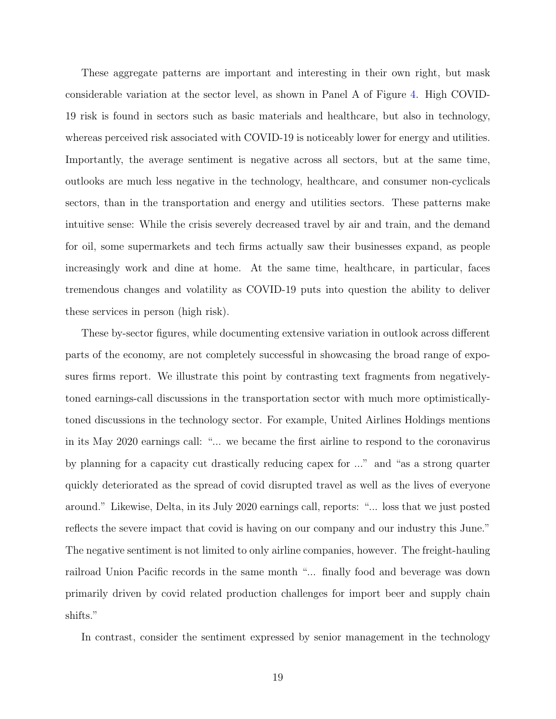These aggregate patterns are important and interesting in their own right, but mask considerable variation at the sector level, as shown in Panel A of Figure [4.](#page-44-0) High COVID-19 risk is found in sectors such as basic materials and healthcare, but also in technology, whereas perceived risk associated with COVID-19 is noticeably lower for energy and utilities. Importantly, the average sentiment is negative across all sectors, but at the same time, outlooks are much less negative in the technology, healthcare, and consumer non-cyclicals sectors, than in the transportation and energy and utilities sectors. These patterns make intuitive sense: While the crisis severely decreased travel by air and train, and the demand for oil, some supermarkets and tech firms actually saw their businesses expand, as people increasingly work and dine at home. At the same time, healthcare, in particular, faces tremendous changes and volatility as COVID-19 puts into question the ability to deliver these services in person (high risk).

These by-sector figures, while documenting extensive variation in outlook across different parts of the economy, are not completely successful in showcasing the broad range of exposures firms report. We illustrate this point by contrasting text fragments from negativelytoned earnings-call discussions in the transportation sector with much more optimisticallytoned discussions in the technology sector. For example, United Airlines Holdings mentions in its May 2020 earnings call: "... we became the first airline to respond to the coronavirus by planning for a capacity cut drastically reducing capex for ..." and "as a strong quarter quickly deteriorated as the spread of covid disrupted travel as well as the lives of everyone around." Likewise, Delta, in its July 2020 earnings call, reports: "... loss that we just posted reflects the severe impact that covid is having on our company and our industry this June." The negative sentiment is not limited to only airline companies, however. The freight-hauling railroad Union Pacific records in the same month "... finally food and beverage was down primarily driven by covid related production challenges for import beer and supply chain shifts."

In contrast, consider the sentiment expressed by senior management in the technology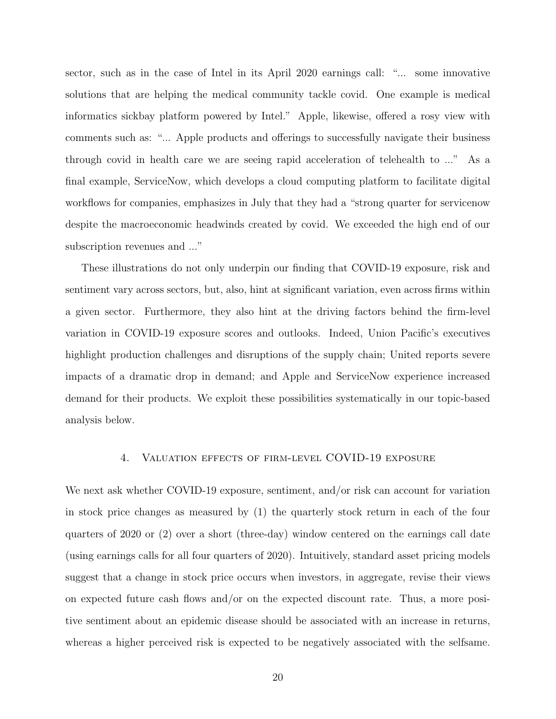sector, such as in the case of Intel in its April 2020 earnings call: "... some innovative solutions that are helping the medical community tackle covid. One example is medical informatics sickbay platform powered by Intel." Apple, likewise, offered a rosy view with comments such as: "... Apple products and offerings to successfully navigate their business through covid in health care we are seeing rapid acceleration of telehealth to ..." As a final example, ServiceNow, which develops a cloud computing platform to facilitate digital workflows for companies, emphasizes in July that they had a "strong quarter for servicenow despite the macroeconomic headwinds created by covid. We exceeded the high end of our subscription revenues and ..."

These illustrations do not only underpin our finding that COVID-19 exposure, risk and sentiment vary across sectors, but, also, hint at significant variation, even across firms within a given sector. Furthermore, they also hint at the driving factors behind the firm-level variation in COVID-19 exposure scores and outlooks. Indeed, Union Pacific's executives highlight production challenges and disruptions of the supply chain; United reports severe impacts of a dramatic drop in demand; and Apple and ServiceNow experience increased demand for their products. We exploit these possibilities systematically in our topic-based analysis below.

#### 4. Valuation effects of firm-level COVID-19 exposure

<span id="page-21-0"></span>We next ask whether COVID-19 exposure, sentiment, and/or risk can account for variation in stock price changes as measured by (1) the quarterly stock return in each of the four quarters of 2020 or (2) over a short (three-day) window centered on the earnings call date (using earnings calls for all four quarters of 2020). Intuitively, standard asset pricing models suggest that a change in stock price occurs when investors, in aggregate, revise their views on expected future cash flows and/or on the expected discount rate. Thus, a more positive sentiment about an epidemic disease should be associated with an increase in returns, whereas a higher perceived risk is expected to be negatively associated with the selfsame.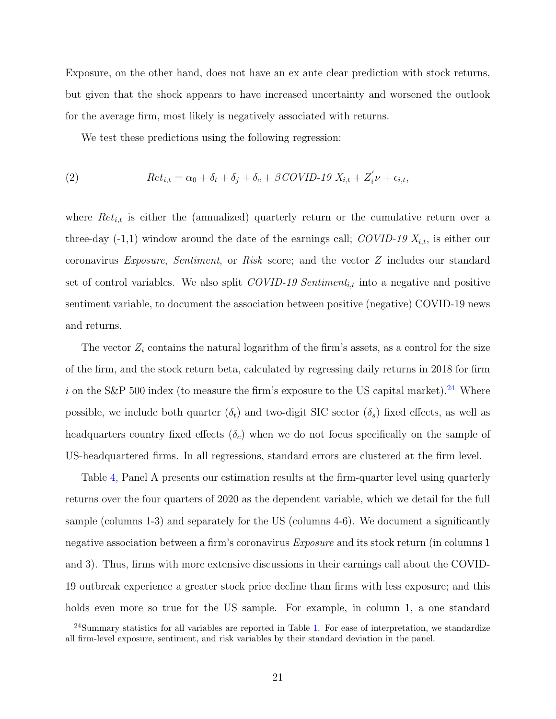Exposure, on the other hand, does not have an ex ante clear prediction with stock returns, but given that the shock appears to have increased uncertainty and worsened the outlook for the average firm, most likely is negatively associated with returns.

We test these predictions using the following regression:

(2) 
$$
Ret_{i,t} = \alpha_0 + \delta_t + \delta_j + \delta_c + \beta COVID \cdot 19 X_{i,t} + Z_i' \nu + \epsilon_{i,t},
$$

where  $Ret_{i,t}$  is either the (annualized) quarterly return or the cumulative return over a three-day  $(-1,1)$  window around the date of the earnings call; COVID-19  $X_{i,t}$ , is either our coronavirus Exposure, Sentiment, or Risk score; and the vector Z includes our standard set of control variables. We also split  $\text{COVID-19}$  Sentiment<sub>it</sub> into a negative and positive sentiment variable, to document the association between positive (negative) COVID-19 news and returns.

The vector  $Z_i$  contains the natural logarithm of the firm's assets, as a control for the size of the firm, and the stock return beta, calculated by regressing daily returns in 2018 for firm i on the S&P 500 index (to measure the firm's exposure to the US capital market).<sup>[24](#page-22-0)</sup> Where possible, we include both quarter  $(\delta_t)$  and two-digit SIC sector  $(\delta_s)$  fixed effects, as well as headquarters country fixed effects  $(\delta_c)$  when we do not focus specifically on the sample of US-headquartered firms. In all regressions, standard errors are clustered at the firm level.

Table [4,](#page-54-0) Panel A presents our estimation results at the firm-quarter level using quarterly returns over the four quarters of 2020 as the dependent variable, which we detail for the full sample (columns 1-3) and separately for the US (columns 4-6). We document a significantly negative association between a firm's coronavirus *Exposure* and its stock return (in columns 1) and 3). Thus, firms with more extensive discussions in their earnings call about the COVID-19 outbreak experience a greater stock price decline than firms with less exposure; and this holds even more so true for the US sample. For example, in column 1, a one standard

<span id="page-22-0"></span> $^{24}$ Summary statistics for all variables are reported in Table [1.](#page-51-0) For ease of interpretation, we standardize all firm-level exposure, sentiment, and risk variables by their standard deviation in the panel.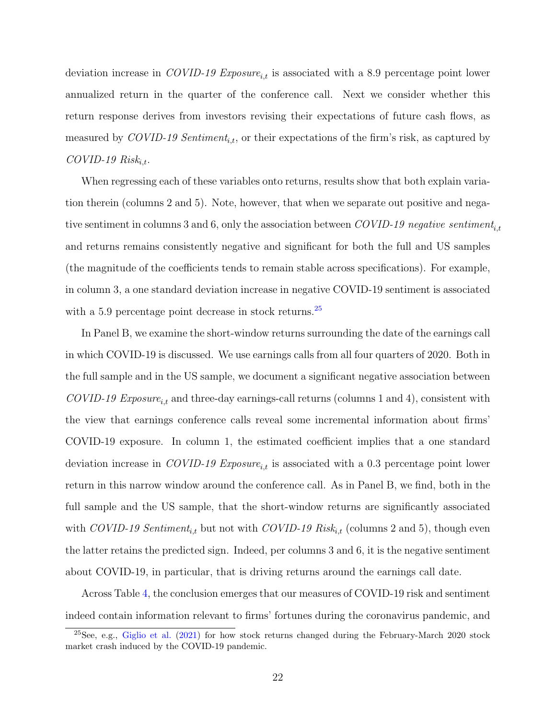deviation increase in COVID-19 Exposure<sub>it</sub> is associated with a 8.9 percentage point lower annualized return in the quarter of the conference call. Next we consider whether this return response derives from investors revising their expectations of future cash flows, as measured by COVID-19 Sentiment<sub>i,t</sub>, or their expectations of the firm's risk, as captured by  $COVID-19 Risk_{i.t.}$ 

When regressing each of these variables onto returns, results show that both explain variation therein (columns 2 and 5). Note, however, that when we separate out positive and negative sentiment in columns 3 and 6, only the association between COVID-19 negative sentiment<sub>i,t</sub> and returns remains consistently negative and significant for both the full and US samples (the magnitude of the coefficients tends to remain stable across specifications). For example, in column 3, a one standard deviation increase in negative COVID-19 sentiment is associated with a 5.9 percentage point decrease in stock returns.<sup>[25](#page-23-0)</sup>

In Panel B, we examine the short-window returns surrounding the date of the earnings call in which COVID-19 is discussed. We use earnings calls from all four quarters of 2020. Both in the full sample and in the US sample, we document a significant negative association between  $\textit{COVID-19}$  Exposure<sub>i,t</sub> and three-day earnings-call returns (columns 1 and 4), consistent with the view that earnings conference calls reveal some incremental information about firms' COVID-19 exposure. In column 1, the estimated coefficient implies that a one standard deviation increase in COVID-19 Exposure<sub>it</sub> is associated with a 0.3 percentage point lower return in this narrow window around the conference call. As in Panel B, we find, both in the full sample and the US sample, that the short-window returns are significantly associated with COVID-19 Sentiment<sub>i,t</sub> but not with COVID-19 Risk<sub>i,t</sub> (columns 2 and 5), though even the latter retains the predicted sign. Indeed, per columns 3 and 6, it is the negative sentiment about COVID-19, in particular, that is driving returns around the earnings call date.

Across Table [4,](#page-54-0) the conclusion emerges that our measures of COVID-19 risk and sentiment indeed contain information relevant to firms' fortunes during the coronavirus pandemic, and

<span id="page-23-0"></span> $25$ See, e.g., [Giglio et al.](#page-38-1) [\(2021\)](#page-38-1) for how stock returns changed during the February-March 2020 stock market crash induced by the COVID-19 pandemic.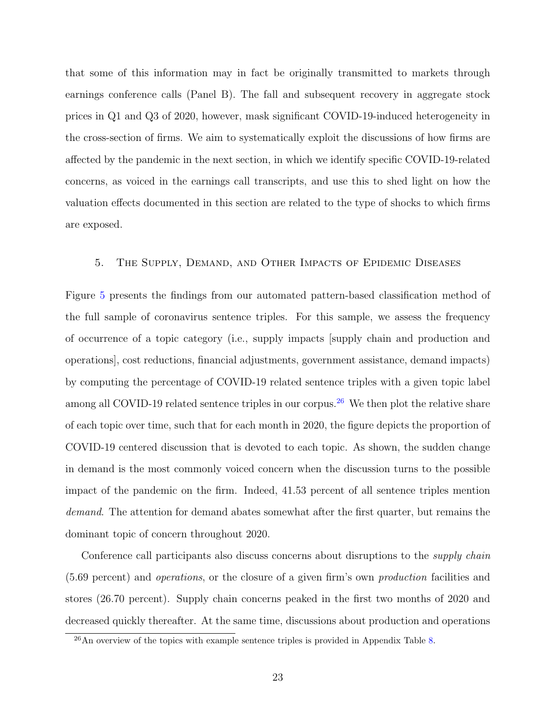that some of this information may in fact be originally transmitted to markets through earnings conference calls (Panel B). The fall and subsequent recovery in aggregate stock prices in Q1 and Q3 of 2020, however, mask significant COVID-19-induced heterogeneity in the cross-section of firms. We aim to systematically exploit the discussions of how firms are affected by the pandemic in the next section, in which we identify specific COVID-19-related concerns, as voiced in the earnings call transcripts, and use this to shed light on how the valuation effects documented in this section are related to the type of shocks to which firms are exposed.

### <span id="page-24-0"></span>5. The Supply, Demand, and Other Impacts of Epidemic Diseases

Figure [5](#page-45-0) presents the findings from our automated pattern-based classification method of the full sample of coronavirus sentence triples. For this sample, we assess the frequency of occurrence of a topic category (i.e., supply impacts [supply chain and production and operations], cost reductions, financial adjustments, government assistance, demand impacts) by computing the percentage of COVID-19 related sentence triples with a given topic label among all COVID-19 related sentence triples in our corpus.<sup>[26](#page-24-1)</sup> We then plot the relative share of each topic over time, such that for each month in 2020, the figure depicts the proportion of COVID-19 centered discussion that is devoted to each topic. As shown, the sudden change in demand is the most commonly voiced concern when the discussion turns to the possible impact of the pandemic on the firm. Indeed, 41.53 percent of all sentence triples mention demand. The attention for demand abates somewhat after the first quarter, but remains the dominant topic of concern throughout 2020.

Conference call participants also discuss concerns about disruptions to the *supply chain* (5.69 percent) and operations, or the closure of a given firm's own production facilities and stores (26.70 percent). Supply chain concerns peaked in the first two months of 2020 and decreased quickly thereafter. At the same time, discussions about production and operations

<span id="page-24-1"></span> $^{26}$ An overview of the topics with example sentence triples is provided in Appendix Table [8.](#page-73-0)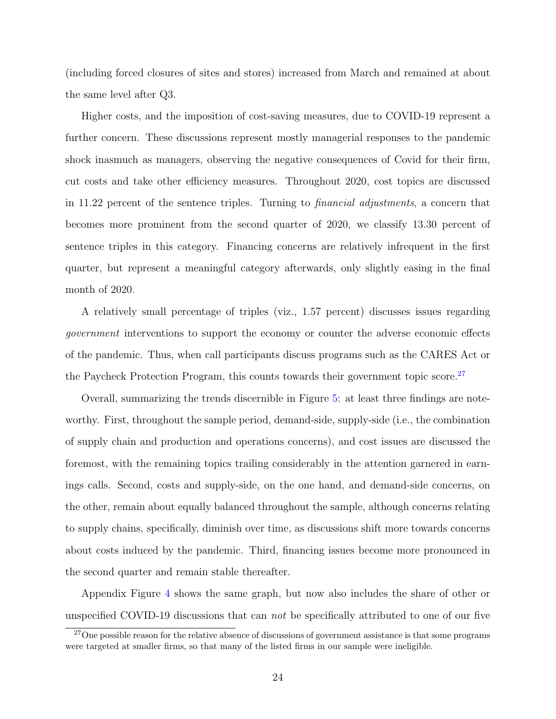(including forced closures of sites and stores) increased from March and remained at about the same level after Q3.

Higher costs, and the imposition of cost-saving measures, due to COVID-19 represent a further concern. These discussions represent mostly managerial responses to the pandemic shock inasmuch as managers, observing the negative consequences of Covid for their firm, cut costs and take other efficiency measures. Throughout 2020, cost topics are discussed in 11.22 percent of the sentence triples. Turning to financial adjustments, a concern that becomes more prominent from the second quarter of 2020, we classify 13.30 percent of sentence triples in this category. Financing concerns are relatively infrequent in the first quarter, but represent a meaningful category afterwards, only slightly easing in the final month of 2020.

A relatively small percentage of triples (viz., 1.57 percent) discusses issues regarding government interventions to support the economy or counter the adverse economic effects of the pandemic. Thus, when call participants discuss programs such as the CARES Act or the Paycheck Protection Program, this counts towards their government topic score.<sup>[27](#page-25-0)</sup>

Overall, summarizing the trends discernible in Figure [5:](#page-45-0) at least three findings are noteworthy. First, throughout the sample period, demand-side, supply-side (i.e., the combination of supply chain and production and operations concerns), and cost issues are discussed the foremost, with the remaining topics trailing considerably in the attention garnered in earnings calls. Second, costs and supply-side, on the one hand, and demand-side concerns, on the other, remain about equally balanced throughout the sample, although concerns relating to supply chains, specifically, diminish over time, as discussions shift more towards concerns about costs induced by the pandemic. Third, financing issues become more pronounced in the second quarter and remain stable thereafter.

Appendix Figure [4](#page-63-0) shows the same graph, but now also includes the share of other or unspecified COVID-19 discussions that can not be specifically attributed to one of our five

<span id="page-25-0"></span><sup>&</sup>lt;sup>27</sup>One possible reason for the relative absence of discussions of government assistance is that some programs were targeted at smaller firms, so that many of the listed firms in our sample were ineligible.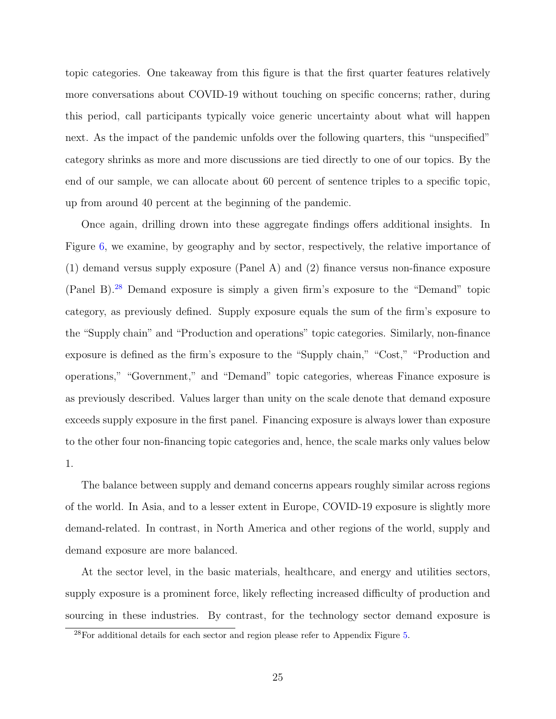topic categories. One takeaway from this figure is that the first quarter features relatively more conversations about COVID-19 without touching on specific concerns; rather, during this period, call participants typically voice generic uncertainty about what will happen next. As the impact of the pandemic unfolds over the following quarters, this "unspecified" category shrinks as more and more discussions are tied directly to one of our topics. By the end of our sample, we can allocate about 60 percent of sentence triples to a specific topic, up from around 40 percent at the beginning of the pandemic.

Once again, drilling drown into these aggregate findings offers additional insights. In Figure [6,](#page-46-0) we examine, by geography and by sector, respectively, the relative importance of (1) demand versus supply exposure (Panel A) and (2) finance versus non-finance exposure (Panel B).[28](#page-26-0) Demand exposure is simply a given firm's exposure to the "Demand" topic category, as previously defined. Supply exposure equals the sum of the firm's exposure to the "Supply chain" and "Production and operations" topic categories. Similarly, non-finance exposure is defined as the firm's exposure to the "Supply chain," "Cost," "Production and operations," "Government," and "Demand" topic categories, whereas Finance exposure is as previously described. Values larger than unity on the scale denote that demand exposure exceeds supply exposure in the first panel. Financing exposure is always lower than exposure to the other four non-financing topic categories and, hence, the scale marks only values below 1.

The balance between supply and demand concerns appears roughly similar across regions of the world. In Asia, and to a lesser extent in Europe, COVID-19 exposure is slightly more demand-related. In contrast, in North America and other regions of the world, supply and demand exposure are more balanced.

At the sector level, in the basic materials, healthcare, and energy and utilities sectors, supply exposure is a prominent force, likely reflecting increased difficulty of production and sourcing in these industries. By contrast, for the technology sector demand exposure is

<span id="page-26-0"></span> $^{28}$ For additional details for each sector and region please refer to Appendix Figure [5.](#page-64-0)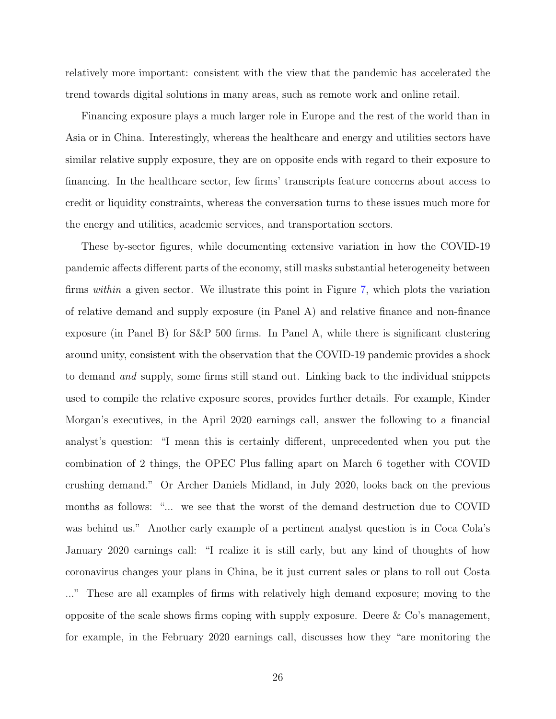relatively more important: consistent with the view that the pandemic has accelerated the trend towards digital solutions in many areas, such as remote work and online retail.

Financing exposure plays a much larger role in Europe and the rest of the world than in Asia or in China. Interestingly, whereas the healthcare and energy and utilities sectors have similar relative supply exposure, they are on opposite ends with regard to their exposure to financing. In the healthcare sector, few firms' transcripts feature concerns about access to credit or liquidity constraints, whereas the conversation turns to these issues much more for the energy and utilities, academic services, and transportation sectors.

These by-sector figures, while documenting extensive variation in how the COVID-19 pandemic affects different parts of the economy, still masks substantial heterogeneity between firms within a given sector. We illustrate this point in Figure [7,](#page-47-0) which plots the variation of relative demand and supply exposure (in Panel A) and relative finance and non-finance exposure (in Panel B) for S&P 500 firms. In Panel A, while there is significant clustering around unity, consistent with the observation that the COVID-19 pandemic provides a shock to demand and supply, some firms still stand out. Linking back to the individual snippets used to compile the relative exposure scores, provides further details. For example, Kinder Morgan's executives, in the April 2020 earnings call, answer the following to a financial analyst's question: "I mean this is certainly different, unprecedented when you put the combination of 2 things, the OPEC Plus falling apart on March 6 together with COVID crushing demand." Or Archer Daniels Midland, in July 2020, looks back on the previous months as follows: "... we see that the worst of the demand destruction due to COVID was behind us." Another early example of a pertinent analyst question is in Coca Cola's January 2020 earnings call: "I realize it is still early, but any kind of thoughts of how coronavirus changes your plans in China, be it just current sales or plans to roll out Costa ..." These are all examples of firms with relatively high demand exposure; moving to the opposite of the scale shows firms coping with supply exposure. Deere & Co's management, for example, in the February 2020 earnings call, discusses how they "are monitoring the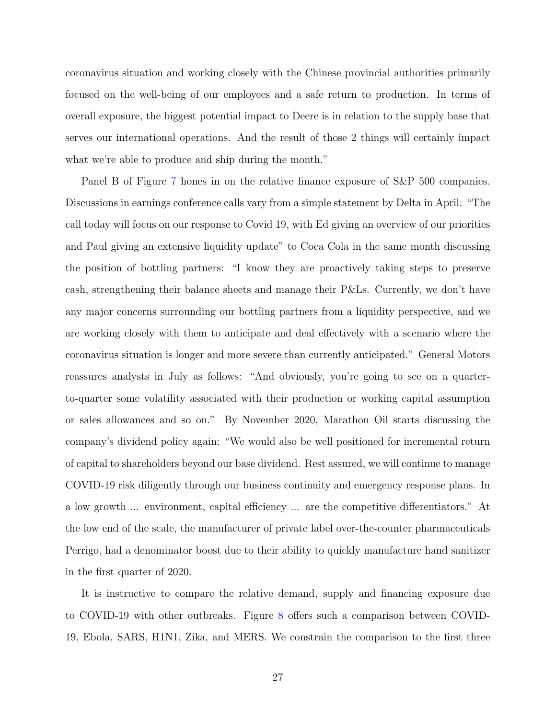coronavirus situation and working closely with the Chinese provincial authorities primarily focused on the well-being of our employees and a safe return to production. In terms of overall exposure, the biggest potential impact to Deere is in relation to the supply base that serves our international operations. And the result of those 2 things will certainly impact what we're able to produce and ship during the month."

Panel B of Figure [7](#page-47-0) hones in on the relative finance exposure of S&P 500 companies. Discussions in earnings conference calls vary from a simple statement by Delta in April: "The call today will focus on our response to Covid 19, with Ed giving an overview of our priorities and Paul giving an extensive liquidity update" to Coca Cola in the same month discussing the position of bottling partners: "I know they are proactively taking steps to preserve cash, strengthening their balance sheets and manage their P&Ls. Currently, we don't have any major concerns surrounding our bottling partners from a liquidity perspective, and we are working closely with them to anticipate and deal effectively with a scenario where the coronavirus situation is longer and more severe than currently anticipated." General Motors reassures analysts in July as follows: "And obviously, you're going to see on a quarterto-quarter some volatility associated with their production or working capital assumption or sales allowances and so on." By November 2020, Marathon Oil starts discussing the company's dividend policy again: "We would also be well positioned for incremental return of capital to shareholders beyond our base dividend. Rest assured, we will continue to manage COVID-19 risk diligently through our business continuity and emergency response plans. In a low growth ... environment, capital efficiency ... are the competitive differentiators." At the low end of the scale, the manufacturer of private label over-the-counter pharmaceuticals Perrigo, had a denominator boost due to their ability to quickly manufacture hand sanitizer in the first quarter of 2020.

It is instructive to compare the relative demand, supply and financing exposure due to COVID-19 with other outbreaks. Figure [8](#page-48-0) offers such a comparison between COVID-19, Ebola, SARS, H1N1, Zika, and MERS. We constrain the comparison to the first three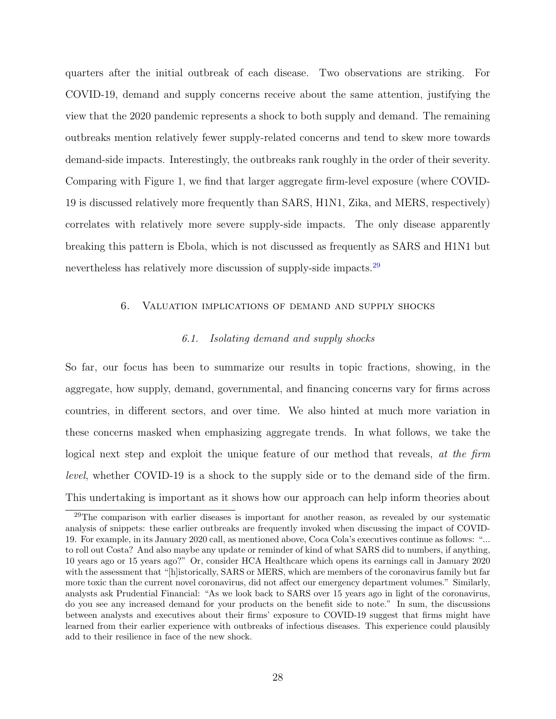quarters after the initial outbreak of each disease. Two observations are striking. For COVID-19, demand and supply concerns receive about the same attention, justifying the view that the 2020 pandemic represents a shock to both supply and demand. The remaining outbreaks mention relatively fewer supply-related concerns and tend to skew more towards demand-side impacts. Interestingly, the outbreaks rank roughly in the order of their severity. Comparing with Figure 1, we find that larger aggregate firm-level exposure (where COVID-19 is discussed relatively more frequently than SARS, H1N1, Zika, and MERS, respectively) correlates with relatively more severe supply-side impacts. The only disease apparently breaking this pattern is Ebola, which is not discussed as frequently as SARS and H1N1 but nevertheless has relatively more discussion of supply-side impacts.<sup>[29](#page-29-1)</sup>

### <span id="page-29-0"></span>6. Valuation implications of demand and supply shocks

# 6.1. Isolating demand and supply shocks

So far, our focus has been to summarize our results in topic fractions, showing, in the aggregate, how supply, demand, governmental, and financing concerns vary for firms across countries, in different sectors, and over time. We also hinted at much more variation in these concerns masked when emphasizing aggregate trends. In what follows, we take the logical next step and exploit the unique feature of our method that reveals, at the firm level, whether COVID-19 is a shock to the supply side or to the demand side of the firm. This undertaking is important as it shows how our approach can help inform theories about

<span id="page-29-1"></span> $^{29}$ The comparison with earlier diseases is important for another reason, as revealed by our systematic analysis of snippets: these earlier outbreaks are frequently invoked when discussing the impact of COVID-19. For example, in its January 2020 call, as mentioned above, Coca Cola's executives continue as follows: "... to roll out Costa? And also maybe any update or reminder of kind of what SARS did to numbers, if anything, 10 years ago or 15 years ago?" Or, consider HCA Healthcare which opens its earnings call in January 2020 with the assessment that "[h]istorically, SARS or MERS, which are members of the coronavirus family but far more toxic than the current novel coronavirus, did not affect our emergency department volumes." Similarly, analysts ask Prudential Financial: "As we look back to SARS over 15 years ago in light of the coronavirus, do you see any increased demand for your products on the benefit side to note." In sum, the discussions between analysts and executives about their firms' exposure to COVID-19 suggest that firms might have learned from their earlier experience with outbreaks of infectious diseases. This experience could plausibly add to their resilience in face of the new shock.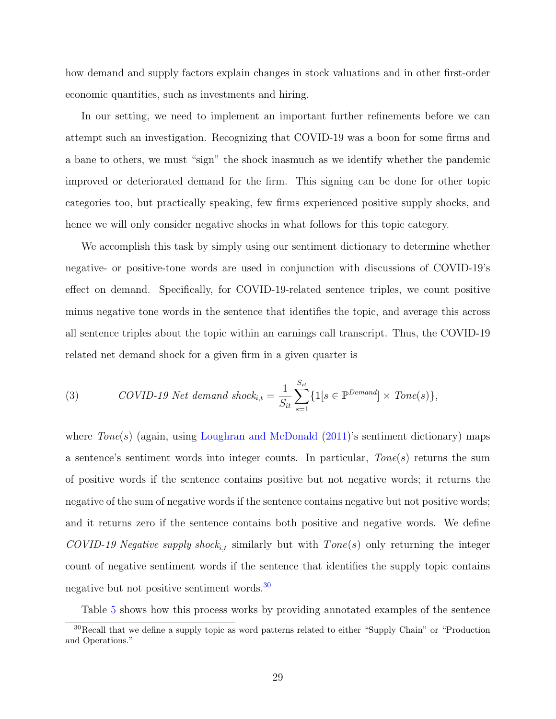how demand and supply factors explain changes in stock valuations and in other first-order economic quantities, such as investments and hiring.

In our setting, we need to implement an important further refinements before we can attempt such an investigation. Recognizing that COVID-19 was a boon for some firms and a bane to others, we must "sign" the shock inasmuch as we identify whether the pandemic improved or deteriorated demand for the firm. This signing can be done for other topic categories too, but practically speaking, few firms experienced positive supply shocks, and hence we will only consider negative shocks in what follows for this topic category.

We accomplish this task by simply using our sentiment dictionary to determine whether negative- or positive-tone words are used in conjunction with discussions of COVID-19's effect on demand. Specifically, for COVID-19-related sentence triples, we count positive minus negative tone words in the sentence that identifies the topic, and average this across all sentence triples about the topic within an earnings call transcript. Thus, the COVID-19 related net demand shock for a given firm in a given quarter is

(3) *COVID-19 Net demand shock*<sub>i,t</sub> = 
$$
\frac{1}{S_{it}} \sum_{s=1}^{S_{it}} \{1[s \in \mathbb{P}^{Demand}] \times Tone(s)\},
$$

where  $Tone(s)$  (again, using [Loughran and McDonald](#page-39-16)  $(2011)$ 's sentiment dictionary) maps a sentence's sentiment words into integer counts. In particular,  $Tone(s)$  returns the sum of positive words if the sentence contains positive but not negative words; it returns the negative of the sum of negative words if the sentence contains negative but not positive words; and it returns zero if the sentence contains both positive and negative words. We define COVID-19 Negative supply shock<sub>it</sub> similarly but with  $Tone(s)$  only returning the integer count of negative sentiment words if the sentence that identifies the supply topic contains negative but not positive sentiment words.<sup>[30](#page-30-0)</sup>

<span id="page-30-0"></span>Table [5](#page-55-0) shows how this process works by providing annotated examples of the sentence

<sup>30</sup>Recall that we define a supply topic as word patterns related to either "Supply Chain" or "Production and Operations."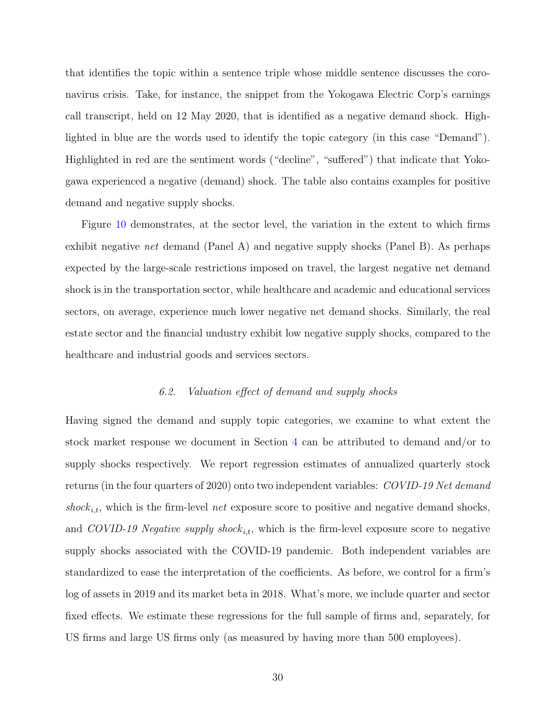that identifies the topic within a sentence triple whose middle sentence discusses the coronavirus crisis. Take, for instance, the snippet from the Yokogawa Electric Corp's earnings call transcript, held on 12 May 2020, that is identified as a negative demand shock. Highlighted in blue are the words used to identify the topic category (in this case "Demand"). Highlighted in red are the sentiment words ("decline", "suffered") that indicate that Yokogawa experienced a negative (demand) shock. The table also contains examples for positive demand and negative supply shocks.

Figure [10](#page-50-0) demonstrates, at the sector level, the variation in the extent to which firms exhibit negative net demand (Panel A) and negative supply shocks (Panel B). As perhaps expected by the large-scale restrictions imposed on travel, the largest negative net demand shock is in the transportation sector, while healthcare and academic and educational services sectors, on average, experience much lower negative net demand shocks. Similarly, the real estate sector and the financial undustry exhibit low negative supply shocks, compared to the healthcare and industrial goods and services sectors.

#### 6.2. Valuation effect of demand and supply shocks

Having signed the demand and supply topic categories, we examine to what extent the stock market response we document in Section [4](#page-21-0) can be attributed to demand and/or to supply shocks respectively. We report regression estimates of annualized quarterly stock returns (in the four quarters of 2020) onto two independent variables: COVID-19 Net demand shock<sub>i,t</sub>, which is the firm-level net exposure score to positive and negative demand shocks, and COVID-19 Negative supply shock<sub>it</sub>, which is the firm-level exposure score to negative supply shocks associated with the COVID-19 pandemic. Both independent variables are standardized to ease the interpretation of the coefficients. As before, we control for a firm's log of assets in 2019 and its market beta in 2018. What's more, we include quarter and sector fixed effects. We estimate these regressions for the full sample of firms and, separately, for US firms and large US firms only (as measured by having more than 500 employees).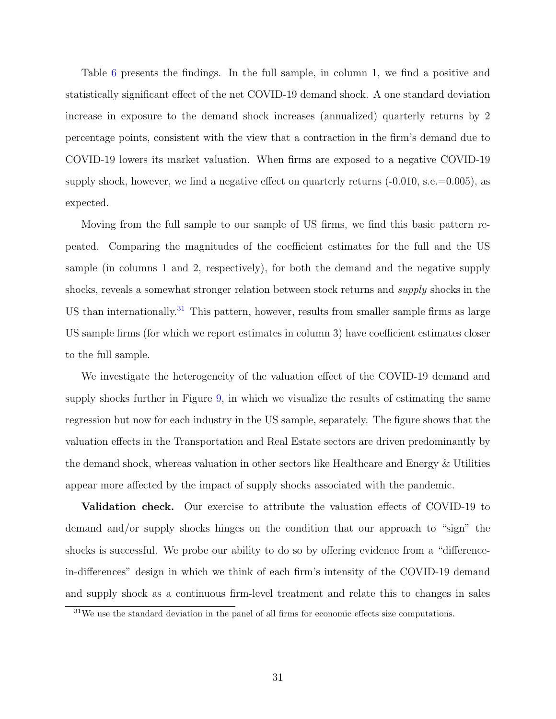Table [6](#page-56-0) presents the findings. In the full sample, in column 1, we find a positive and statistically significant effect of the net COVID-19 demand shock. A one standard deviation increase in exposure to the demand shock increases (annualized) quarterly returns by 2 percentage points, consistent with the view that a contraction in the firm's demand due to COVID-19 lowers its market valuation. When firms are exposed to a negative COVID-19 supply shock, however, we find a negative effect on quarterly returns  $(-0.010, \text{s.e.} = 0.005)$ , as expected.

Moving from the full sample to our sample of US firms, we find this basic pattern repeated. Comparing the magnitudes of the coefficient estimates for the full and the US sample (in columns 1 and 2, respectively), for both the demand and the negative supply shocks, reveals a somewhat stronger relation between stock returns and supply shocks in the US than internationally.<sup>[31](#page-32-0)</sup> This pattern, however, results from smaller sample firms as large US sample firms (for which we report estimates in column 3) have coefficient estimates closer to the full sample.

We investigate the heterogeneity of the valuation effect of the COVID-19 demand and supply shocks further in Figure [9,](#page-49-0) in which we visualize the results of estimating the same regression but now for each industry in the US sample, separately. The figure shows that the valuation effects in the Transportation and Real Estate sectors are driven predominantly by the demand shock, whereas valuation in other sectors like Healthcare and Energy & Utilities appear more affected by the impact of supply shocks associated with the pandemic.

Validation check. Our exercise to attribute the valuation effects of COVID-19 to demand and/or supply shocks hinges on the condition that our approach to "sign" the shocks is successful. We probe our ability to do so by offering evidence from a "differencein-differences" design in which we think of each firm's intensity of the COVID-19 demand and supply shock as a continuous firm-level treatment and relate this to changes in sales

<span id="page-32-0"></span> $31$ We use the standard deviation in the panel of all firms for economic effects size computations.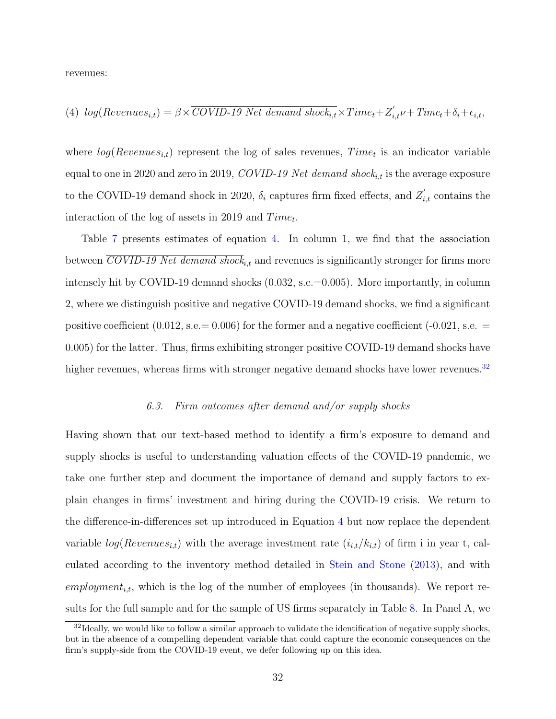revenues:

<span id="page-33-0"></span>(4) 
$$
log(Revenues_{i,t}) = \beta \times \overline{COVID-19 \text{ Net demand shock}_{i,t}} \times Time_t + Z'_{i,t} + Time_t + \delta_i + \epsilon_{i,t}
$$

where  $log(Revenues_{i,t})$  represent the log of sales revenues,  $Time_t$  is an indicator variable equal to one in 2020 and zero in 2019,  $\overline{COVID-19}$  Net demand shock<sub>it</sub> is the average exposure to the COVID-19 demand shock in 2020,  $\delta_i$  captures firm fixed effects, and  $Z'_{i,t}$  contains the interaction of the log of assets in 2019 and  $Time_t$ .

Table [7](#page-57-0) presents estimates of equation [4.](#page-33-0) In column 1, we find that the association between COVID-19 Net demand shock<sub>it</sub> and revenues is significantly stronger for firms more intensely hit by COVID-19 demand shocks (0.032, s.e.=0.005). More importantly, in column 2, where we distinguish positive and negative COVID-19 demand shocks, we find a significant positive coefficient  $(0.012, \text{s.e.} = 0.006)$  for the former and a negative coefficient  $(-0.021, \text{s.e.} =$ 0.005) for the latter. Thus, firms exhibiting stronger positive COVID-19 demand shocks have higher revenues, whereas firms with stronger negative demand shocks have lower revenues. $32$ 

#### 6.3. Firm outcomes after demand and/or supply shocks

Having shown that our text-based method to identify a firm's exposure to demand and supply shocks is useful to understanding valuation effects of the COVID-19 pandemic, we take one further step and document the importance of demand and supply factors to explain changes in firms' investment and hiring during the COVID-19 crisis. We return to the difference-in-differences set up introduced in Equation [4](#page-33-0) but now replace the dependent variable  $log(Revenues_{i,t})$  with the average investment rate  $(i_{i,t}/k_{i,t})$  of firm i in year t, calculated according to the inventory method detailed in [Stein and Stone](#page-40-1) [\(2013\)](#page-40-1), and with employment<sub>i,t</sub>, which is the log of the number of employees (in thousands). We report results for the full sample and for the sample of US firms separately in Table [8.](#page-58-0) In Panel A, we

<span id="page-33-1"></span> $32$ Ideally, we would like to follow a similar approach to validate the identification of negative supply shocks, but in the absence of a compelling dependent variable that could capture the economic consequences on the firm's supply-side from the COVID-19 event, we defer following up on this idea.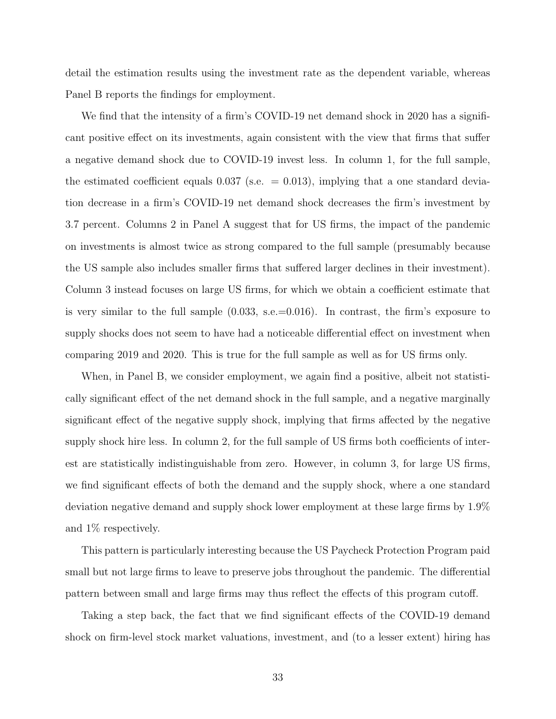detail the estimation results using the investment rate as the dependent variable, whereas Panel B reports the findings for employment.

We find that the intensity of a firm's COVID-19 net demand shock in 2020 has a significant positive effect on its investments, again consistent with the view that firms that suffer a negative demand shock due to COVID-19 invest less. In column 1, for the full sample, the estimated coefficient equals  $0.037$  (s.e.  $= 0.013$ ), implying that a one standard deviation decrease in a firm's COVID-19 net demand shock decreases the firm's investment by 3.7 percent. Columns 2 in Panel A suggest that for US firms, the impact of the pandemic on investments is almost twice as strong compared to the full sample (presumably because the US sample also includes smaller firms that suffered larger declines in their investment). Column 3 instead focuses on large US firms, for which we obtain a coefficient estimate that is very similar to the full sample  $(0.033, \text{ s.e.} = 0.016)$ . In contrast, the firm's exposure to supply shocks does not seem to have had a noticeable differential effect on investment when comparing 2019 and 2020. This is true for the full sample as well as for US firms only.

When, in Panel B, we consider employment, we again find a positive, albeit not statistically significant effect of the net demand shock in the full sample, and a negative marginally significant effect of the negative supply shock, implying that firms affected by the negative supply shock hire less. In column 2, for the full sample of US firms both coefficients of interest are statistically indistinguishable from zero. However, in column 3, for large US firms, we find significant effects of both the demand and the supply shock, where a one standard deviation negative demand and supply shock lower employment at these large firms by 1.9% and 1% respectively.

This pattern is particularly interesting because the US Paycheck Protection Program paid small but not large firms to leave to preserve jobs throughout the pandemic. The differential pattern between small and large firms may thus reflect the effects of this program cutoff.

Taking a step back, the fact that we find significant effects of the COVID-19 demand shock on firm-level stock market valuations, investment, and (to a lesser extent) hiring has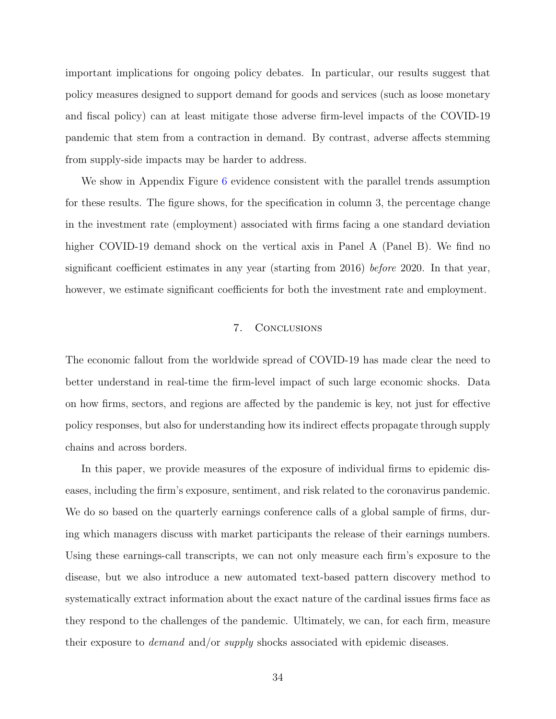important implications for ongoing policy debates. In particular, our results suggest that policy measures designed to support demand for goods and services (such as loose monetary and fiscal policy) can at least mitigate those adverse firm-level impacts of the COVID-19 pandemic that stem from a contraction in demand. By contrast, adverse affects stemming from supply-side impacts may be harder to address.

We show in Appendix Figure [6](#page-65-0) evidence consistent with the parallel trends assumption for these results. The figure shows, for the specification in column 3, the percentage change in the investment rate (employment) associated with firms facing a one standard deviation higher COVID-19 demand shock on the vertical axis in Panel A (Panel B). We find no significant coefficient estimates in any year (starting from 2016) before 2020. In that year, however, we estimate significant coefficients for both the investment rate and employment.

# 7. Conclusions

The economic fallout from the worldwide spread of COVID-19 has made clear the need to better understand in real-time the firm-level impact of such large economic shocks. Data on how firms, sectors, and regions are affected by the pandemic is key, not just for effective policy responses, but also for understanding how its indirect effects propagate through supply chains and across borders.

In this paper, we provide measures of the exposure of individual firms to epidemic diseases, including the firm's exposure, sentiment, and risk related to the coronavirus pandemic. We do so based on the quarterly earnings conference calls of a global sample of firms, during which managers discuss with market participants the release of their earnings numbers. Using these earnings-call transcripts, we can not only measure each firm's exposure to the disease, but we also introduce a new automated text-based pattern discovery method to systematically extract information about the exact nature of the cardinal issues firms face as they respond to the challenges of the pandemic. Ultimately, we can, for each firm, measure their exposure to demand and/or supply shocks associated with epidemic diseases.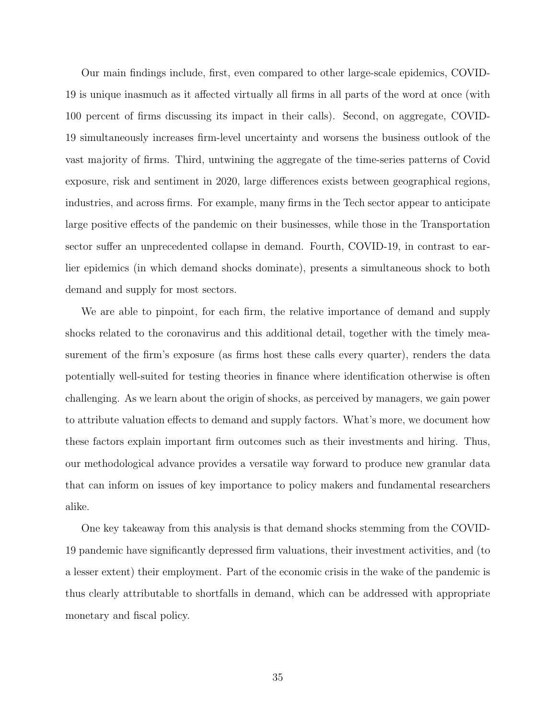Our main findings include, first, even compared to other large-scale epidemics, COVID-19 is unique inasmuch as it affected virtually all firms in all parts of the word at once (with 100 percent of firms discussing its impact in their calls). Second, on aggregate, COVID-19 simultaneously increases firm-level uncertainty and worsens the business outlook of the vast majority of firms. Third, untwining the aggregate of the time-series patterns of Covid exposure, risk and sentiment in 2020, large differences exists between geographical regions, industries, and across firms. For example, many firms in the Tech sector appear to anticipate large positive effects of the pandemic on their businesses, while those in the Transportation sector suffer an unprecedented collapse in demand. Fourth, COVID-19, in contrast to earlier epidemics (in which demand shocks dominate), presents a simultaneous shock to both demand and supply for most sectors.

We are able to pinpoint, for each firm, the relative importance of demand and supply shocks related to the coronavirus and this additional detail, together with the timely measurement of the firm's exposure (as firms host these calls every quarter), renders the data potentially well-suited for testing theories in finance where identification otherwise is often challenging. As we learn about the origin of shocks, as perceived by managers, we gain power to attribute valuation effects to demand and supply factors. What's more, we document how these factors explain important firm outcomes such as their investments and hiring. Thus, our methodological advance provides a versatile way forward to produce new granular data that can inform on issues of key importance to policy makers and fundamental researchers alike.

One key takeaway from this analysis is that demand shocks stemming from the COVID-19 pandemic have significantly depressed firm valuations, their investment activities, and (to a lesser extent) their employment. Part of the economic crisis in the wake of the pandemic is thus clearly attributable to shortfalls in demand, which can be addressed with appropriate monetary and fiscal policy.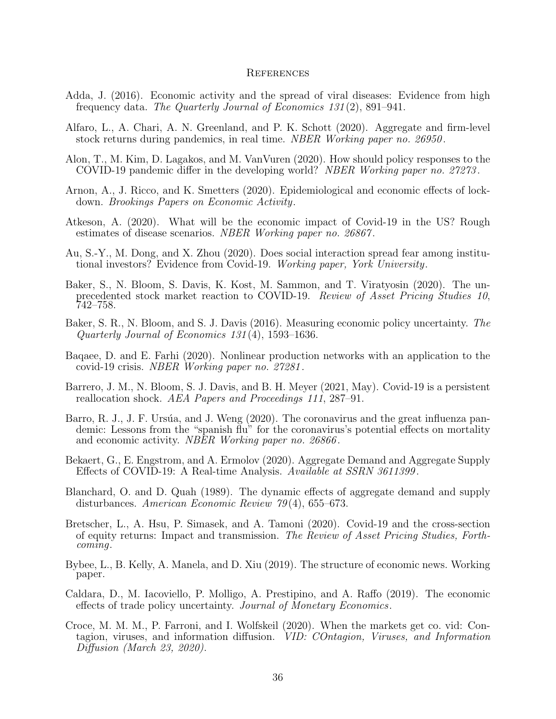#### **REFERENCES**

- Adda, J. (2016). Economic activity and the spread of viral diseases: Evidence from high frequency data. The Quarterly Journal of Economics 131 (2), 891–941.
- Alfaro, L., A. Chari, A. N. Greenland, and P. K. Schott (2020). Aggregate and firm-level stock returns during pandemics, in real time. NBER Working paper no. 26950.
- Alon, T., M. Kim, D. Lagakos, and M. VanVuren (2020). How should policy responses to the COVID-19 pandemic differ in the developing world? NBER Working paper no. 27273 .
- Arnon, A., J. Ricco, and K. Smetters (2020). Epidemiological and economic effects of lockdown. Brookings Papers on Economic Activity.
- Atkeson, A. (2020). What will be the economic impact of Covid-19 in the US? Rough estimates of disease scenarios. NBER Working paper no. 26867.
- Au, S.-Y., M. Dong, and X. Zhou (2020). Does social interaction spread fear among institutional investors? Evidence from Covid-19. Working paper, York University.
- Baker, S., N. Bloom, S. Davis, K. Kost, M. Sammon, and T. Viratyosin (2020). The unprecedented stock market reaction to COVID-19. Review of Asset Pricing Studies 10, 742–758.
- Baker, S. R., N. Bloom, and S. J. Davis (2016). Measuring economic policy uncertainty. The Quarterly Journal of Economics 131 (4), 1593–1636.
- Baqaee, D. and E. Farhi (2020). Nonlinear production networks with an application to the covid-19 crisis. NBER Working paper no. 27281 .
- Barrero, J. M., N. Bloom, S. J. Davis, and B. H. Meyer (2021, May). Covid-19 is a persistent reallocation shock. AEA Papers and Proceedings 111, 287–91.
- Barro, R. J., J. F. Ursúa, and J. Weng (2020). The coronavirus and the great influenza pandemic: Lessons from the "spanish flu" for the coronavirus's potential effects on mortality and economic activity. NBER Working paper no. 26866 .
- Bekaert, G., E. Engstrom, and A. Ermolov (2020). Aggregate Demand and Aggregate Supply Effects of COVID-19: A Real-time Analysis. Available at SSRN 3611399 .
- Blanchard, O. and D. Quah (1989). The dynamic effects of aggregate demand and supply disturbances. American Economic Review 79 (4), 655–673.
- Bretscher, L., A. Hsu, P. Simasek, and A. Tamoni (2020). Covid-19 and the cross-section of equity returns: Impact and transmission. The Review of Asset Pricing Studies, Forthcoming.
- Bybee, L., B. Kelly, A. Manela, and D. Xiu (2019). The structure of economic news. Working paper.
- Caldara, D., M. Iacoviello, P. Molligo, A. Prestipino, and A. Raffo (2019). The economic effects of trade policy uncertainty. Journal of Monetary Economics.
- Croce, M. M. M., P. Farroni, and I. Wolfskeil (2020). When the markets get co. vid: Contagion, viruses, and information diffusion. VID: COntagion, Viruses, and Information Diffusion (March 23, 2020).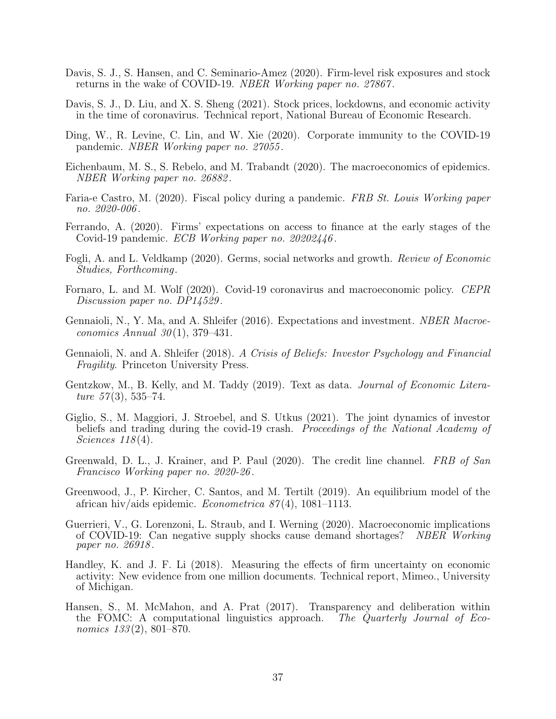- Davis, S. J., S. Hansen, and C. Seminario-Amez (2020). Firm-level risk exposures and stock returns in the wake of COVID-19. NBER Working paper no. 27867.
- Davis, S. J., D. Liu, and X. S. Sheng (2021). Stock prices, lockdowns, and economic activity in the time of coronavirus. Technical report, National Bureau of Economic Research.
- Ding, W., R. Levine, C. Lin, and W. Xie (2020). Corporate immunity to the COVID-19 pandemic. NBER Working paper no. 27055 .
- Eichenbaum, M. S., S. Rebelo, and M. Trabandt (2020). The macroeconomics of epidemics. NBER Working paper no. 26882 .
- Faria-e Castro, M. (2020). Fiscal policy during a pandemic. FRB St. Louis Working paper no. 2020-006 .
- Ferrando, A. (2020). Firms' expectations on access to finance at the early stages of the Covid-19 pandemic. *ECB Working paper no.* 20202446.
- Fogli, A. and L. Veldkamp (2020). Germs, social networks and growth. Review of Economic Studies, Forthcoming.
- Fornaro, L. and M. Wolf (2020). Covid-19 coronavirus and macroeconomic policy. CEPR Discussion paper no. DP14529.
- Gennaioli, N., Y. Ma, and A. Shleifer (2016). Expectations and investment. *NBER Macroe*conomics Annual  $30(1)$ , 379–431.
- Gennaioli, N. and A. Shleifer (2018). A Crisis of Beliefs: Investor Psychology and Financial Fragility. Princeton University Press.
- Gentzkow, M., B. Kelly, and M. Taddy (2019). Text as data. Journal of Economic Literature  $57(3)$ , 535–74.
- Giglio, S., M. Maggiori, J. Stroebel, and S. Utkus (2021). The joint dynamics of investor beliefs and trading during the covid-19 crash. Proceedings of the National Academy of Sciences 118(4).
- Greenwald, D. L., J. Krainer, and P. Paul (2020). The credit line channel. FRB of San Francisco Working paper no. 2020-26 .
- Greenwood, J., P. Kircher, C. Santos, and M. Tertilt (2019). An equilibrium model of the african hiv/aids epidemic. *Econometrica*  $87(4)$ , 1081–1113.
- Guerrieri, V., G. Lorenzoni, L. Straub, and I. Werning (2020). Macroeconomic implications of COVID-19: Can negative supply shocks cause demand shortages? NBER Working paper no. 26918.
- Handley, K. and J. F. Li (2018). Measuring the effects of firm uncertainty on economic activity: New evidence from one million documents. Technical report, Mimeo., University of Michigan.
- Hansen, S., M. McMahon, and A. Prat (2017). Transparency and deliberation within the FOMC: A computational linguistics approach. The Quarterly Journal of Economics 133(2), 801–870.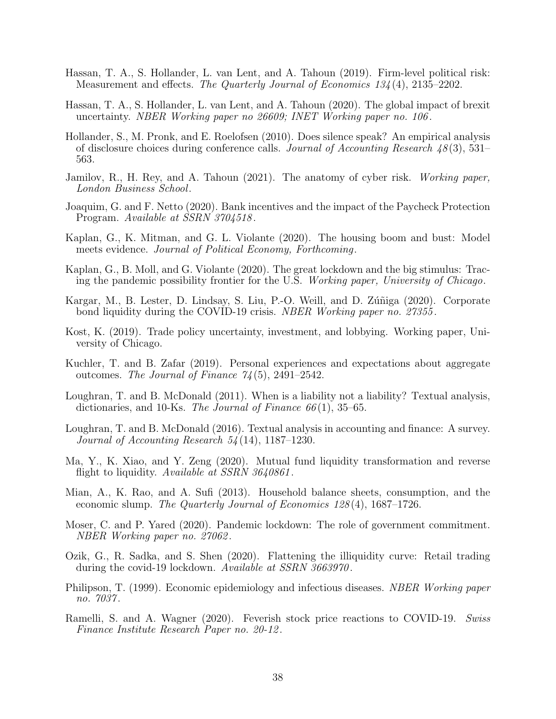- Hassan, T. A., S. Hollander, L. van Lent, and A. Tahoun (2019). Firm-level political risk: Measurement and effects. The Quarterly Journal of Economics 134 (4), 2135–2202.
- Hassan, T. A., S. Hollander, L. van Lent, and A. Tahoun (2020). The global impact of brexit uncertainty. NBER Working paper no 26609; INET Working paper no. 106 .
- Hollander, S., M. Pronk, and E. Roelofsen (2010). Does silence speak? An empirical analysis of disclosure choices during conference calls. Journal of Accounting Research  $48(3)$ , 531– 563.
- Jamilov, R., H. Rey, and A. Tahoun (2021). The anatomy of cyber risk. Working paper, London Business School.
- Joaquim, G. and F. Netto (2020). Bank incentives and the impact of the Paycheck Protection Program. Available at SSRN 3704518.
- Kaplan, G., K. Mitman, and G. L. Violante (2020). The housing boom and bust: Model meets evidence. Journal of Political Economy, Forthcoming.
- Kaplan, G., B. Moll, and G. Violante (2020). The great lockdown and the big stimulus: Tracing the pandemic possibility frontier for the U.S. Working paper, University of Chicago.
- Kargar, M., B. Lester, D. Lindsay, S. Liu, P.-O. Weill, and D. Zúñiga (2020). Corporate bond liquidity during the COVID-19 crisis. NBER Working paper no. 27355.
- Kost, K. (2019). Trade policy uncertainty, investment, and lobbying. Working paper, University of Chicago.
- Kuchler, T. and B. Zafar (2019). Personal experiences and expectations about aggregate outcomes. The Journal of Finance  $74(5)$ , 2491–2542.
- <span id="page-39-0"></span>Loughran, T. and B. McDonald (2011). When is a liability not a liability? Textual analysis, dictionaries, and 10-Ks. The Journal of Finance  $66(1)$ , 35–65.
- Loughran, T. and B. McDonald (2016). Textual analysis in accounting and finance: A survey. Journal of Accounting Research 54 (14), 1187–1230.
- Ma, Y., K. Xiao, and Y. Zeng (2020). Mutual fund liquidity transformation and reverse flight to liquidity. Available at SSRN 3640861.
- Mian, A., K. Rao, and A. Sufi (2013). Household balance sheets, consumption, and the economic slump. The Quarterly Journal of Economics 128(4), 1687–1726.
- Moser, C. and P. Yared (2020). Pandemic lockdown: The role of government commitment. NBER Working paper no. 27062 .
- Ozik, G., R. Sadka, and S. Shen (2020). Flattening the illiquidity curve: Retail trading during the covid-19 lockdown. Available at SSRN 3663970.
- Philipson, T. (1999). Economic epidemiology and infectious diseases. NBER Working paper no. 7037 .
- Ramelli, S. and A. Wagner (2020). Feverish stock price reactions to COVID-19. Swiss Finance Institute Research Paper no. 20-12 .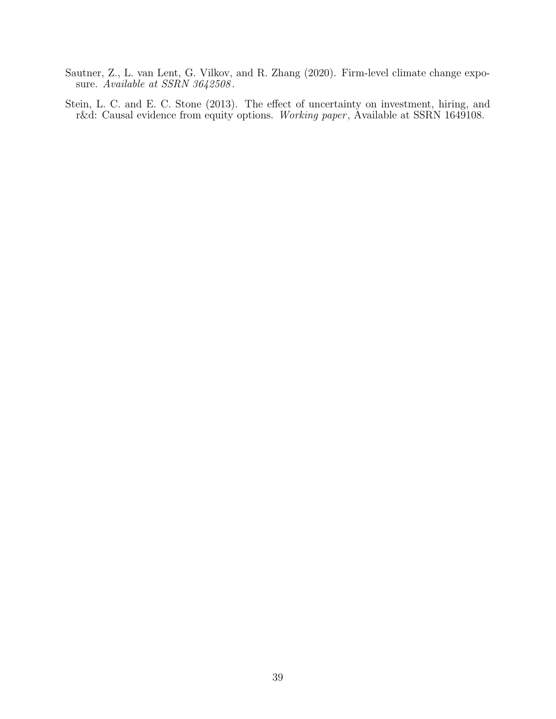- Sautner, Z., L. van Lent, G. Vilkov, and R. Zhang (2020). Firm-level climate change exposure. Available at SSRN 3642508.
- <span id="page-40-0"></span>Stein, L. C. and E. C. Stone (2013). The effect of uncertainty on investment, hiring, and r&d: Causal evidence from equity options. Working paper, Available at SSRN 1649108.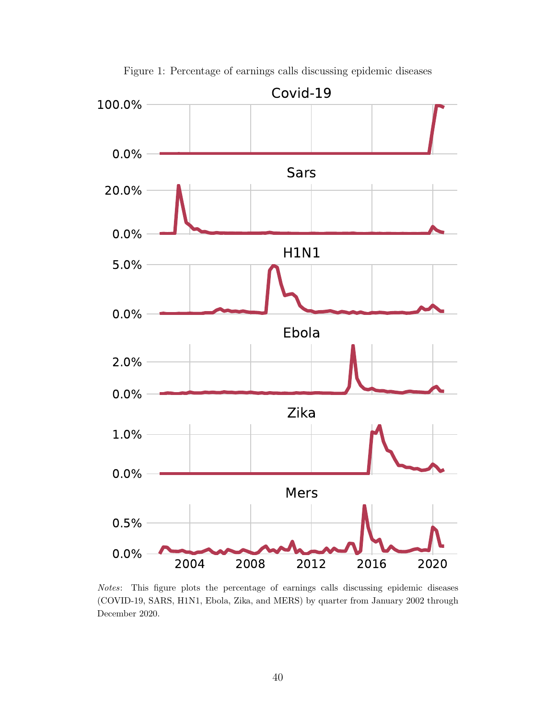<span id="page-41-0"></span>

Figure 1: Percentage of earnings calls discussing epidemic diseases

Notes: This figure plots the percentage of earnings calls discussing epidemic diseases (COVID-19, SARS, H1N1, Ebola, Zika, and MERS) by quarter from January 2002 through December 2020.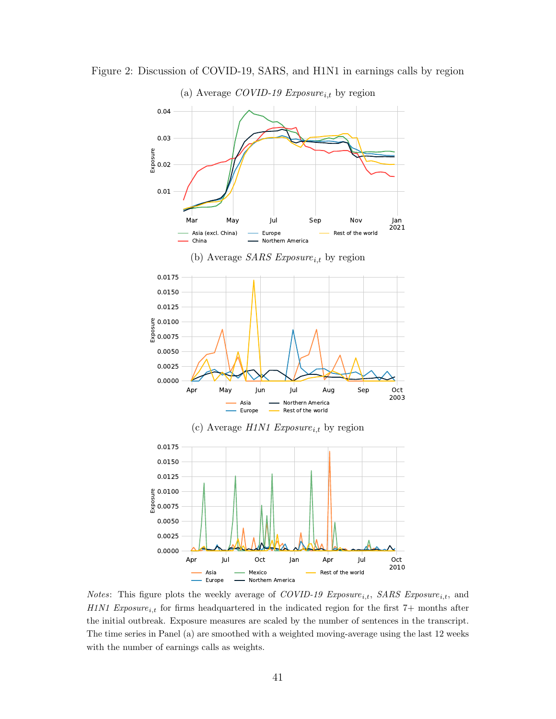

Figure 2: Discussion of COVID-19, SARS, and H1N1 in earnings calls by region

*Notes*: This figure plots the weekly average of *COVID-19* Exposure<sub>i,t</sub>, SARS Exposure<sub>i,t</sub>, and H1N1 Exposure<sub>i,t</sub> for firms headquartered in the indicated region for the first 7+ months after the initial outbreak. Exposure measures are scaled by the number of sentences in the transcript. The time series in Panel (a) are smoothed with a weighted moving-average using the last 12 weeks with the number of earnings calls as weights.

Northern America

Europe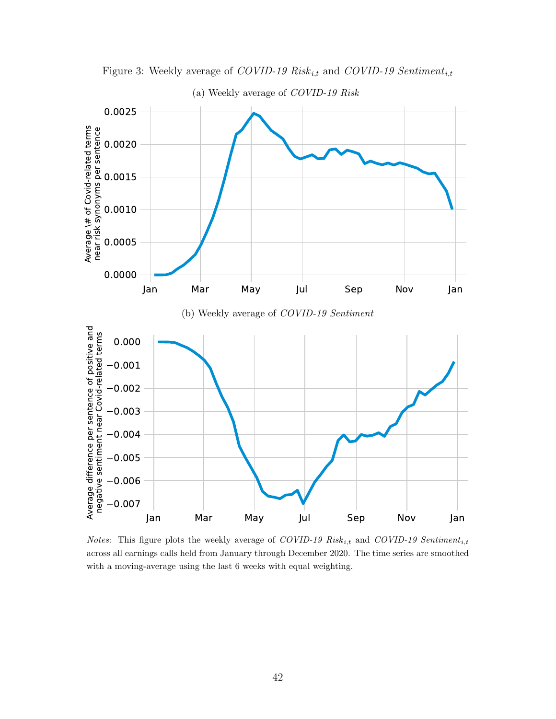

Figure 3: Weekly average of COVID-19  $Risk_{i,t}$  and COVID-19  $Sentiment_{i,t}$ 

Notes: This figure plots the weekly average of COVID-19 Risk<sub>i,t</sub> and COVID-19 Sentiment<sub>i,t</sub> across all earnings calls held from January through December 2020. The time series are smoothed with a moving-average using the last 6 weeks with equal weighting.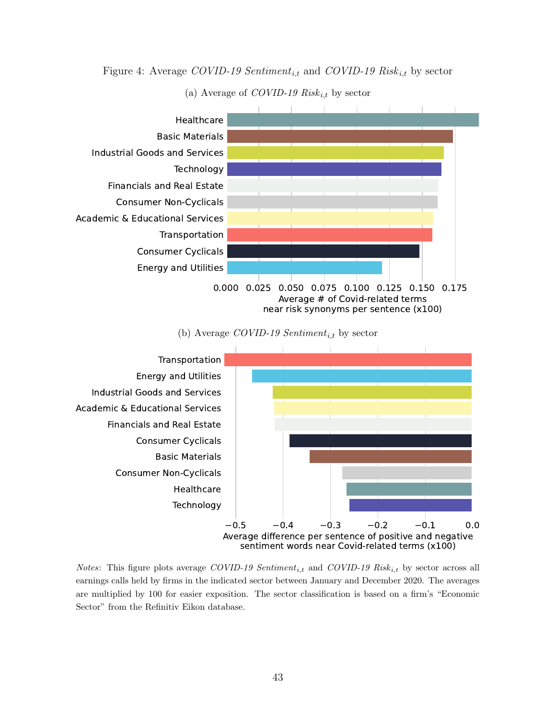Figure 4: Average COVID-19 Sentiment<sub>it</sub> and COVID-19 Risk<sub>it</sub> by sector



(a) Average of *COVID-19* Risk<sub>i,t</sub> by sector

#### (b) Average COVID-19 Sentiment<sub>i,t</sub> by sector



*Notes*: This figure plots average COVID-19 Sentiment<sub>i,t</sub> and COVID-19 Risk<sub>i,t</sub> by sector across all earnings calls held by firms in the indicated sector between January and December 2020. The averages are multiplied by 100 for easier exposition. The sector classification is based on a firm's "Economic Sector" from the Refinitiv Eikon database.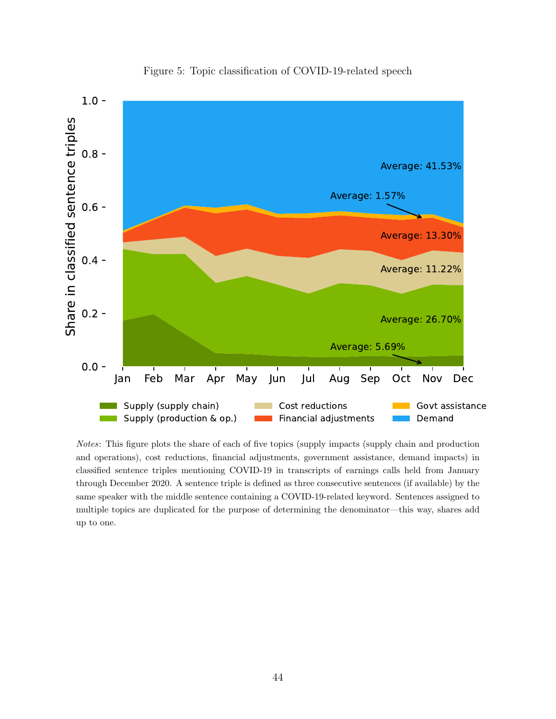<span id="page-45-0"></span>

Figure 5: Topic classification of COVID-19-related speech

Notes: This figure plots the share of each of five topics (supply impacts (supply chain and production and operations), cost reductions, financial adjustments, government assistance, demand impacts) in classified sentence triples mentioning COVID-19 in transcripts of earnings calls held from January through December 2020. A sentence triple is defined as three consecutive sentences (if available) by the same speaker with the middle sentence containing a COVID-19-related keyword. Sentences assigned to multiple topics are duplicated for the purpose of determining the denominator—this way, shares add up to one.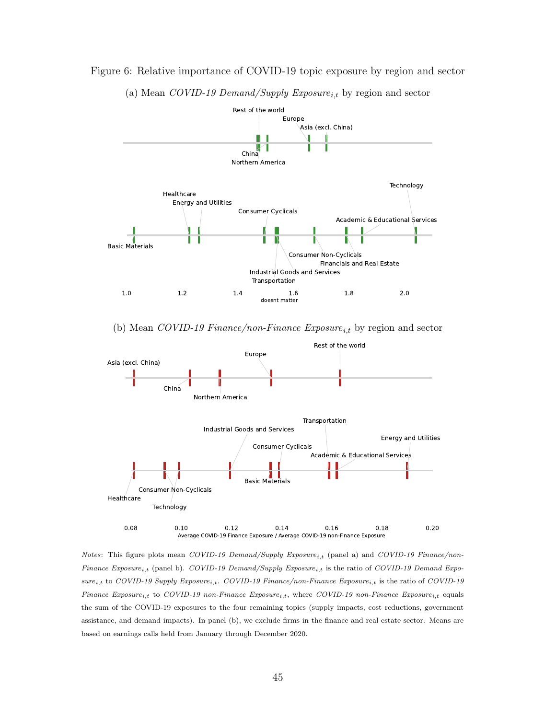

#### Figure 6: Relative importance of COVID-19 topic exposure by region and sector

<span id="page-46-0"></span>(a) Mean COVID-19 Demand/Supply  $Exposure_{i,t}$  by region and sector

(b) Mean COVID-19 Finance/non-Finance  $Exposure_{i,t}$  by region and sector



Notes: This figure plots mean COVID-19 Demand/Supply Exposure<sub>i,t</sub> (panel a) and COVID-19 Finance/non-Finance Exposure<sub>i,t</sub> (panel b). COVID-19 Demand/Supply Exposure<sub>i,t</sub> is the ratio of COVID-19 Demand Expo $sure_{i,t}$  to COVID-19 Supply Exposure<sub>i,t</sub>. COVID-19 Finance/non-Finance Exposure<sub>i,t</sub> is the ratio of COVID-19  $Finance\ Exposure_{i,t}$  to  $COVID-19$  non-Finance  $Exposure_{i,t}$ , where  $COVID-19$  non-Finance  $Exposure_{i,t}$  equals the sum of the COVID-19 exposures to the four remaining topics (supply impacts, cost reductions, government assistance, and demand impacts). In panel (b), we exclude firms in the finance and real estate sector. Means are based on earnings calls held from January through December 2020.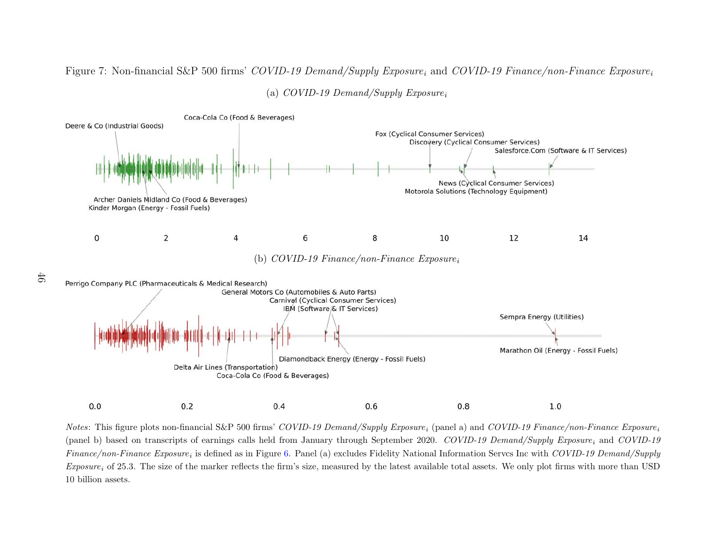# Figure 7: Non-financial S&P 500 firms'  $\mathit{COVID-19~Demand/Supply~Exposure}_i$  and  $\mathit{COVID-19~Fаnance/non-Finance~Exposure}_i$



(a)  $\mathit{COVID-19~Demand/Supply~Exposure}_i$ 

 $Notes:$  This figure plots non-financial S&P 500 firms'  $\mathit{COVID-19~Demand/Supply~Exposure}_i$  (panel a) and  $\mathit{COVID-19~Finance/non-Finance~Exposure}_i$ (panel b) based on transcripts of earnings calls held from January through September 2020.  $\mathit{COVID-19}$   $\it Demand/Supply$   $\mathit{Exposure}_i$  and  $\mathit{COVID-19}$  $Finance/non-Finance$   $Exposure_i$  is defined as in Figure [6.](#page-46-0) Panel (a) excludes Fidelity National Information Servcs Inc with  $\emph{COVID-19 Demand/Supply}$  $\emph{Exposure}_i$  of 25.3. The size of the marker reflects the firm's size, measured by the latest available total assets. We only plot firms with more than USD 10 billion assets.

46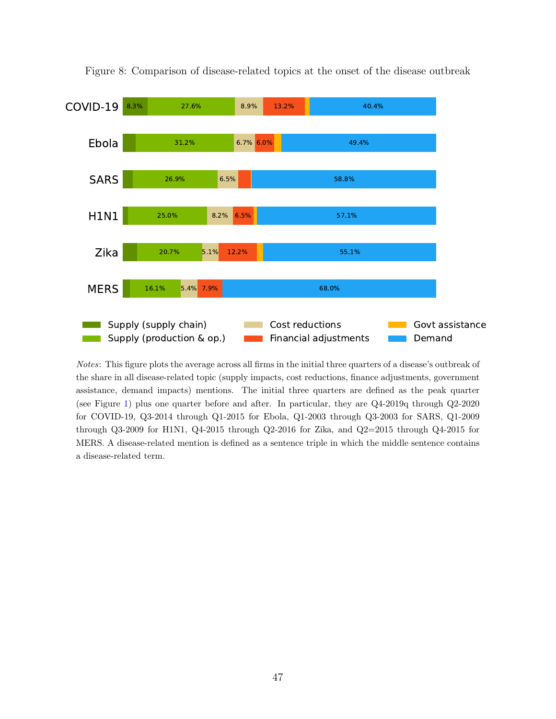

Figure 8: Comparison of disease-related topics at the onset of the disease outbreak

Notes: This figure plots the average across all firms in the initial three quarters of a disease's outbreak of the share in all disease-related topic (supply impacts, cost reductions, finance adjustments, government assistance, demand impacts) mentions. The initial three quarters are defined as the peak quarter (see Figure [1\)](#page-41-0) plus one quarter before and after. In particular, they are Q4-2019q through Q2-2020 for COVID-19, Q3-2014 through Q1-2015 for Ebola, Q1-2003 through Q3-2003 for SARS, Q1-2009 through Q3-2009 for H1N1, Q4-2015 through Q2-2016 for Zika, and Q2=2015 through Q4-2015 for MERS. A disease-related mention is defined as a sentence triple in which the middle sentence contains a disease-related term.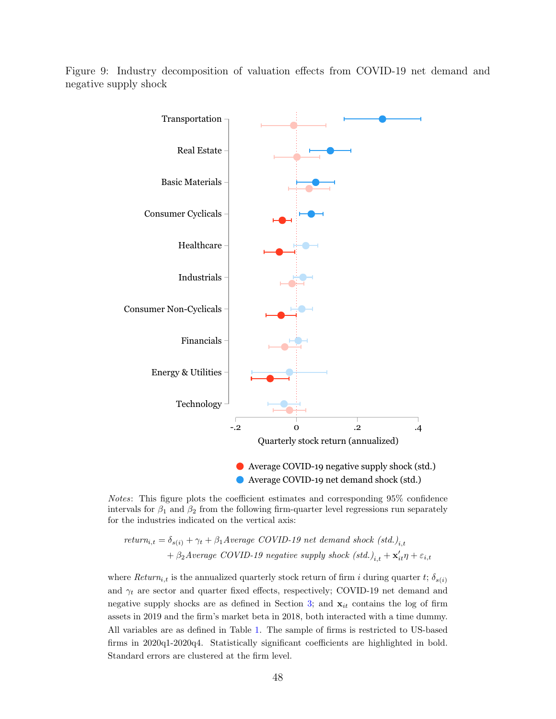Figure 9: Industry decomposition of valuation effects from COVID-19 net demand and negative supply shock



Notes: This figure plots the coefficient estimates and corresponding 95% confidence intervals for  $\beta_1$  and  $\beta_2$  from the following firm-quarter level regressions run separately for the industries indicated on the vertical axis:

$$
return_{i,t} = \delta_{s(i)} + \gamma_t + \beta_1 Average\ COVID-19\ net\ demand\ shock\ (std.)_{i,t}
$$

$$
+ \beta_2 Average\ COVID-19\ negative\ supply\ shock\ (std.)_{i,t} + \mathbf{x}'_{it}\eta + \varepsilon_{i,t}
$$

where  $Return_{i,t}$  is the annualized quarterly stock return of firm i during quarter t;  $\delta_{s(i)}$ and  $\gamma_t$  are sector and quarter fixed effects, respectively; COVID-19 net demand and negative supply shocks are as defined in Section [3;](#page-30-0) and  $x_{it}$  contains the log of firm assets in 2019 and the firm's market beta in 2018, both interacted with a time dummy. All variables are as defined in Table [1.](#page-51-0) The sample of firms is restricted to US-based firms in 2020q1-2020q4. Statistically significant coefficients are highlighted in bold. Standard errors are clustered at the firm level.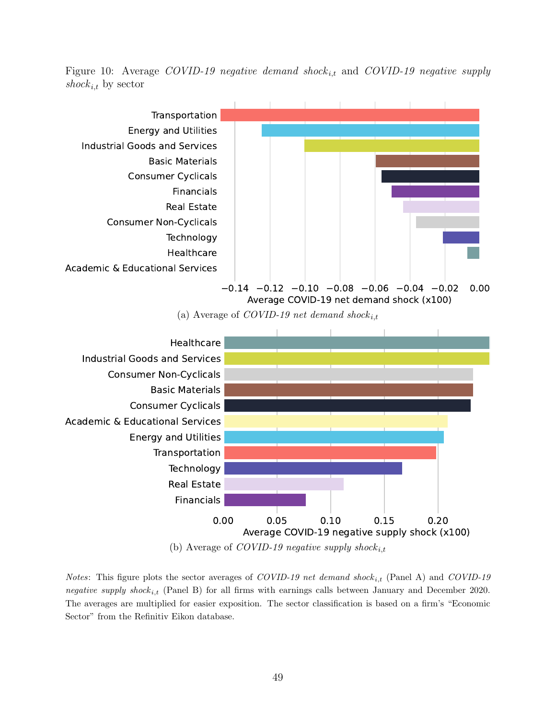Figure 10: Average COVID-19 negative demand shock<sub>i,t</sub> and COVID-19 negative supply shock<sub>i,t</sub> by sector



(b) Average of COVID-19 negative supply shock  $i, t$ 

*Notes*: This figure plots the sector averages of *COVID-19 net demand shock<sub>i,t</sub>* (Panel A) and *COVID-19* negative supply shock<sub>it</sub> (Panel B) for all firms with earnings calls between January and December 2020. The averages are multiplied for easier exposition. The sector classification is based on a firm's "Economic Sector" from the Refinitiv Eikon database.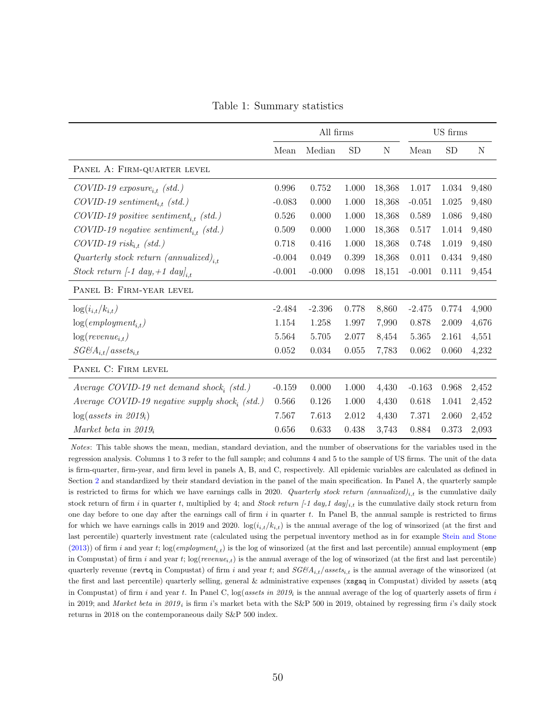Table 1: Summary statistics

<span id="page-51-0"></span>

|                                                              |          | All firms |       |             |          | US firms  |       |
|--------------------------------------------------------------|----------|-----------|-------|-------------|----------|-----------|-------|
|                                                              | Mean     | Median    | SD    | $\mathbf N$ | Mean     | <b>SD</b> | N     |
| PANEL A: FIRM-QUARTER LEVEL                                  |          |           |       |             |          |           |       |
| $COVID-19$ exposure <sub>it</sub> (std.)                     | 0.996    | 0.752     | 1.000 | 18,368      | 1.017    | 1.034     | 9,480 |
| $COVID-19$ sentiment <sub>i,t</sub> (std.)                   | $-0.083$ | 0.000     | 1.000 | 18,368      | $-0.051$ | 1.025     | 9,480 |
| $\textit{COVID-19}$ positive sentiment <sub>i,t</sub> (std.) | 0.526    | 0.000     | 1.000 | 18,368      | 0.589    | 1.086     | 9,480 |
| $COVID-19$ negative sentiment <sub>i,t</sub> (std.)          | 0.509    | 0.000     | 1.000 | 18,368      | 0.517    | 1.014     | 9,480 |
| $COVID-19 risk_{i,t} (std.)$                                 | 0.718    | 0.416     | 1.000 | 18,368      | 0.748    | 1.019     | 9,480 |
| Quarterly stock return (annualized) <sub>i,t</sub>           | $-0.004$ | 0.049     | 0.399 | 18,368      | 0.011    | 0.434     | 9,480 |
| Stock return [-1 day, +1 day] <sub>i.t</sub>                 | $-0.001$ | $-0.000$  | 0.098 | 18,151      | $-0.001$ | 0.111     | 9,454 |
| PANEL B: FIRM-YEAR LEVEL                                     |          |           |       |             |          |           |       |
| $\log(i_{i,t}/k_{i,t})$                                      | $-2.484$ | $-2.396$  | 0.778 | 8,860       | $-2.475$ | 0.774     | 4,900 |
| $log(employment_{i.t})$                                      | 1.154    | 1.258     | 1.997 | 7,990       | 0.878    | 2.009     | 4,676 |
| $log(revenue_{i,t})$                                         | 5.564    | 5.705     | 2.077 | 8,454       | 5.365    | 2.161     | 4,551 |
| $SG\mathcal{B}A_{i,t}/$ assets <sub>i.t</sub>                | 0.052    | 0.034     | 0.055 | 7,783       | 0.062    | 0.060     | 4,232 |
| PANEL C: FIRM LEVEL                                          |          |           |       |             |          |           |       |
| Average COVID-19 net demand shock; (std.)                    | $-0.159$ | 0.000     | 1.000 | 4,430       | $-0.163$ | 0.968     | 2,452 |
| Average COVID-19 negative supply shock, $(std.)$             | 0.566    | 0.126     | 1.000 | 4,430       | 0.618    | 1.041     | 2,452 |
| log( assets in 2019 <sub>i</sub> )                           | 7.567    | 7.613     | 2.012 | 4,430       | 7.371    | 2.060     | 2,452 |
| Market beta in $2019_i$                                      | 0.656    | 0.633     | 0.438 | 3,743       | 0.884    | 0.373     | 2,093 |

Notes: This table shows the mean, median, standard deviation, and the number of observations for the variables used in the regression analysis. Columns 1 to 3 refer to the full sample; and columns 4 and 5 to the sample of US firms. The unit of the data is firm-quarter, firm-year, and firm level in panels A, B, and C, respectively. All epidemic variables are calculated as defined in Section [2](#page-10-0) and standardized by their standard deviation in the panel of the main specification. In Panel A, the quarterly sample is restricted to firms for which we have earnings calls in 2020. Quarterly stock return (annualized)<sub>i,t</sub> is the cumulative daily stock return of firm i in quarter t, multiplied by 4; and Stock return  $[-1 \t{day}, 1 \t{day}]_{i,t}$  is the cumulative daily stock return from one day before to one day after the earnings call of firm  $i$  in quarter  $t$ . In Panel B, the annual sample is restricted to firms for which we have earnings calls in 2019 and 2020.  $log(i_{i,t}/k_{i,t})$  is the annual average of the log of winsorized (at the first and last percentile) quarterly investment rate (calculated using the perpetual inventory method as in for example [Stein and Stone](#page-40-0) [\(2013\)](#page-40-0)) of firm i and year t;  $log(emplogment_{i,t})$  is the log of winsorized (at the first and last percentile) annual employment (emp in Compustat) of firm i and year t;  $log(revenue_{i,t})$  is the annual average of the log of winsorized (at the first and last percentile) quarterly revenue (revtq in Compustat) of firm i and year t; and  $SG\mathcal{C}A_{i,t}/assets_{i,t}$  is the annual average of the winsorized (at the first and last percentile) quarterly selling, general & administrative expenses (xsgaq in Compustat) divided by assets (atq in Compustat) of firm i and year t. In Panel C,  $log(assets \ in \ 2019_i)$  is the annual average of the log of quarterly assets of firm i in 2019; and Market beta in 2019<sub>i</sub> is firm i's market beta with the S&P 500 in 2019, obtained by regressing firm i's daily stock returns in 2018 on the contemporaneous daily S&P 500 index.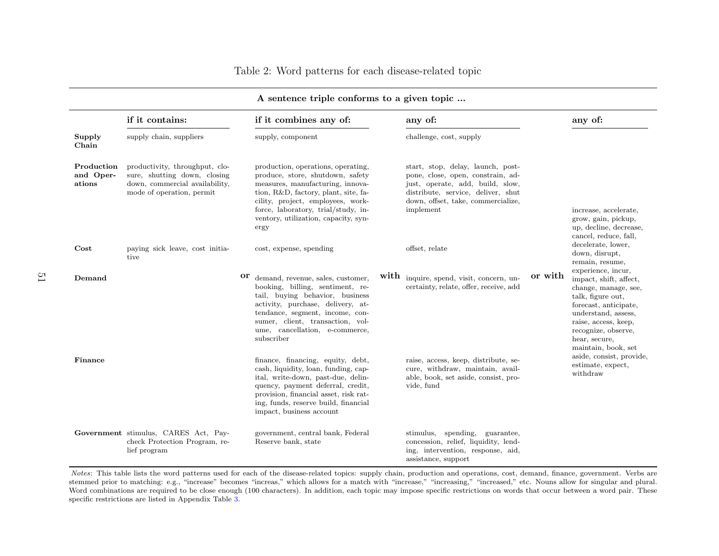| Table 2: Word patterns for each disease-related topic |  |  |  |  |
|-------------------------------------------------------|--|--|--|--|
|                                                       |  |  |  |  |

|                                   | if it contains:                                                                                                               | if it combines any of:                                                                                                                                                                                                                                                         |      | any of:                                                                                                                                                                                             |         | any of:                                                                                                                                                                                                                          |
|-----------------------------------|-------------------------------------------------------------------------------------------------------------------------------|--------------------------------------------------------------------------------------------------------------------------------------------------------------------------------------------------------------------------------------------------------------------------------|------|-----------------------------------------------------------------------------------------------------------------------------------------------------------------------------------------------------|---------|----------------------------------------------------------------------------------------------------------------------------------------------------------------------------------------------------------------------------------|
| Supply<br>Chain                   | supply chain, suppliers                                                                                                       | supply, component                                                                                                                                                                                                                                                              |      | challenge, cost, supply                                                                                                                                                                             |         |                                                                                                                                                                                                                                  |
| Production<br>and Oper-<br>ations | productivity, throughput, clo-<br>sure, shutting down, closing<br>down, commercial availability,<br>mode of operation, permit | production, operations, operating,<br>produce, store, shutdown, safety<br>measures, manufacturing, innova-<br>tion, R&D, factory, plant, site, fa-<br>cility, project, employees, work-<br>force, laboratory, trial/study, in-<br>ventory, utilization, capacity, syn-<br>ergy |      | start, stop, delay, launch, post-<br>pone, close, open, constrain, ad-<br>just, operate, add, build, slow,<br>distribute, service, deliver, shut<br>down, offset, take, commercialize,<br>implement |         | increase, accelerate,<br>grow, gain, pickup,<br>up, decline, decrease,<br>cancel, reduce, fall,                                                                                                                                  |
| $\cos t$                          | paying sick leave, cost initia-<br>tive                                                                                       | cost, expense, spending                                                                                                                                                                                                                                                        |      | offset, relate                                                                                                                                                                                      |         | decelerate, lower,<br>down, disrupt,<br>remain, resume,                                                                                                                                                                          |
| Demand                            |                                                                                                                               | or<br>demand, revenue, sales, customer,<br>booking, billing, sentiment, re-<br>tail, buying behavior, business<br>activity, purchase, delivery, at-<br>tendance, segment, income, con-<br>sumer, client, transaction, vol-<br>ume, cancellation, e-commerce,<br>subscriber     | with | inquire, spend, visit, concern, un-<br>certainty, relate, offer, receive, add                                                                                                                       | or with | experience, incur,<br>impact, shift, affect,<br>change, manage, see,<br>talk, figure out,<br>forecast, anticipate,<br>understand, assess,<br>raise, access, keep,<br>recognize, observe,<br>hear, secure,<br>maintain, book, set |
| Finance                           |                                                                                                                               | finance, financing, equity, debt,<br>cash, liquidity, loan, funding, cap-<br>ital, write-down, past-due, delin-<br>quency, payment deferral, credit,<br>provision, financial asset, risk rat-<br>ing, funds, reserve build, financial<br>impact, business account              |      | raise, access, keep, distribute, se-<br>cure, withdraw, maintain, avail-<br>able, book, set aside, consist, pro-<br>vide, fund                                                                      |         | aside, consist, provide,<br>estimate, expect,<br>withdraw                                                                                                                                                                        |
|                                   | Government stimulus, CARES Act, Pay-<br>check Protection Program, re-<br>lief program                                         | government, central bank, Federal<br>Reserve bank, state                                                                                                                                                                                                                       |      | stimulus, spending, guarantee,<br>concession, relief, liquidity, lend-<br>ing, intervention, response, aid,<br>assistance, support                                                                  |         |                                                                                                                                                                                                                                  |

## A sentence triple conforms to <sup>a</sup> <sup>g</sup>iven topic ...

Notes: This table lists the word patterns used for each of the disease-related topics: supply chain, production and operations, cost, demand, finance, government. Verbs are stemmed prior to matching: e.g., "increase" becomes "increas," which allows for <sup>a</sup> match with "increase," "increasing," "increased," etc. Nouns allow for singular and <sup>p</sup>lural.Word combinations are required to be close enough (100 characters). In addition, each topic may impose specific restrictions on words that occur between a word pair. These specific restrictions are listed in Appendix Table [3.](#page-68-0)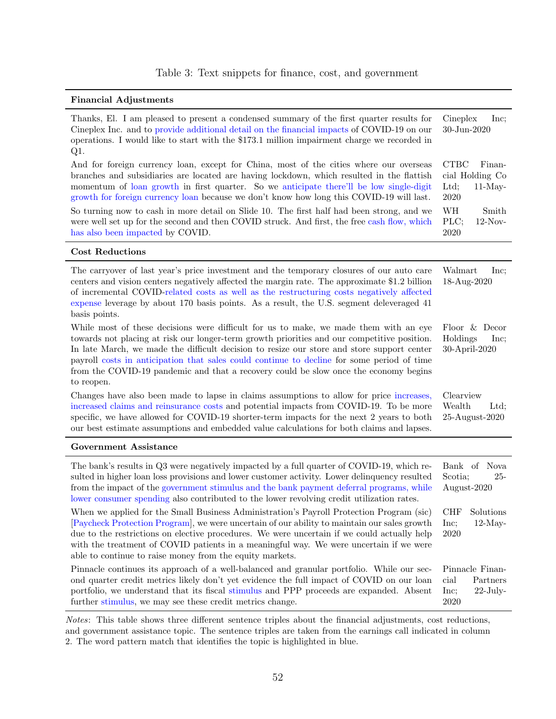### Table 3: Text snippets for finance, cost, and government

#### Financial Adjustments

| Thanks, El. I am pleased to present a condensed summary of the first quarter results for<br>Cineplex Inc. and to provide additional detail on the financial impacts of COVID-19 on our<br>operations. I would like to start with the \$173.1 million impairment charge we recorded in<br>$Q1$ .                                                                                                                                                                                        | Cineplex<br>Inc;<br>$30$ -Jun-2020                                    |
|----------------------------------------------------------------------------------------------------------------------------------------------------------------------------------------------------------------------------------------------------------------------------------------------------------------------------------------------------------------------------------------------------------------------------------------------------------------------------------------|-----------------------------------------------------------------------|
| And for foreign currency loan, except for China, most of the cities where our overseas<br>branches and subsidiaries are located are having lockdown, which resulted in the flattish<br>momentum of loan growth in first quarter. So we anticipate there'll be low single-digit<br>growth for foreign currency loan because we don't know how long this COVID-19 will last.                                                                                                             | <b>CTBC</b><br>Finan-<br>cial Holding Co<br>$11-May-$<br>Ltd;<br>2020 |
| So turning now to cash in more detail on Slide 10. The first half had been strong, and we<br>were well set up for the second and then COVID struck. And first, the free cash flow, which<br>has also been impacted by COVID.                                                                                                                                                                                                                                                           | WH<br>Smith<br>PLC;<br>$12-Nov-$<br>2020                              |
| <b>Cost Reductions</b>                                                                                                                                                                                                                                                                                                                                                                                                                                                                 |                                                                       |
| The carryover of last year's price investment and the temporary closures of our auto care<br>centers and vision centers negatively affected the margin rate. The approximate \$1.2 billion<br>of incremental COVID-related costs as well as the restructuring costs negatively affected<br>expense leverage by about 170 basis points. As a result, the U.S. segment deleveraged 41<br>basis points.                                                                                   | Walmart<br>Inc;<br>18-Aug-2020                                        |
| While most of these decisions were difficult for us to make, we made them with an eye<br>towards not placing at risk our longer-term growth priorities and our competitive position.<br>In late March, we made the difficult decision to resize our store and store support center<br>payroll costs in anticipation that sales could continue to decline for some period of time<br>from the COVID-19 pandemic and that a recovery could be slow once the economy begins<br>to reopen. | Floor & Decor<br>Holdings<br>Inc;<br>30-April-2020                    |
| Changes have also been made to lapse in claims assumptions to allow for price increases,<br>increased claims and reinsurance costs and potential impacts from COVID-19. To be more<br>specific, we have allowed for COVID-19 shorter-term impacts for the next 2 years to both<br>our best estimate assumptions and embedded value calculations for both claims and lapses.                                                                                                            | Clearview<br>Wealth<br>Ltd;<br>25-August-2020                         |
| Government Assistance                                                                                                                                                                                                                                                                                                                                                                                                                                                                  |                                                                       |
| The bank's results in Q3 were negatively impacted by a full quarter of COVID-19, which re-<br>sulted in higher loan loss provisions and lower customer activity. Lower delinquency resulted<br>from the impact of the government stimulus and the bank payment deferral programs, while<br>lower consumer spending also contributed to the lower revolving credit utilization rates.                                                                                                   | Bank of Nova<br>Scotia;<br>25-<br>August-2020                         |
| When we applied for the Small Business Administration's Payroll Protection Program (sic)<br>[Paycheck Protection Program], we were uncertain of our ability to maintain our sales growth<br>due to the restrictions on elective procedures. We were uncertain if we could actually help<br>with the treatment of COVID patients in a meaningful way. We were uncertain if we were<br>able to continue to raise money from the equity markets.                                          | <b>CHF</b><br>Solutions<br>$12$ -May-<br>Inc;<br>2020                 |
| Pinnacle continues its approach of a well-balanced and granular portfolio. While our sec-<br>ond quarter credit metrics likely don't yet evidence the full impact of COVID on our loan<br>portfolio, we understand that its fiscal stimulus and PPP proceeds are expanded. Absent<br>further stimulus, we may see these credit metrics change.                                                                                                                                         | Pinnacle Finan-<br>Partners<br>cial<br>$22$ -July-<br>Inc;<br>2020    |

Notes: This table shows three different sentence triples about the financial adjustments, cost reductions, and government assistance topic. The sentence triples are taken from the earnings call indicated in column 2. The word pattern match that identifies the topic is highlighted in blue.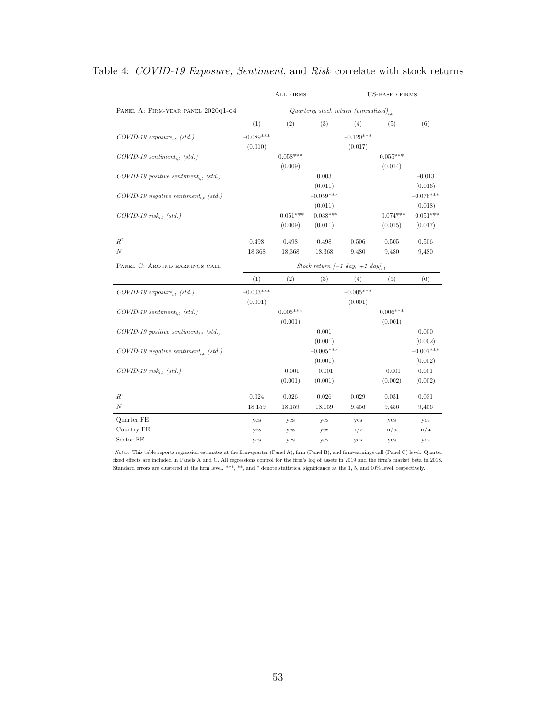|                                                     |                                                   | ALL FIRMS   |                                                       |             | <b>US-BASED FIRMS</b> |             |  |  |  |
|-----------------------------------------------------|---------------------------------------------------|-------------|-------------------------------------------------------|-------------|-----------------------|-------------|--|--|--|
| PANEL A: FIRM-YEAR PANEL 2020Q1-Q4                  | Quarterly stock return (annualized) <sub>it</sub> |             |                                                       |             |                       |             |  |  |  |
|                                                     | (1)                                               | (2)         | (3)                                                   | (4)         | (5)                   | (6)         |  |  |  |
| $COVID-19$ exposure <sub>i.t</sub> (std.)           | $-0.089***$                                       |             |                                                       | $-0.120***$ |                       |             |  |  |  |
|                                                     | (0.010)                                           |             |                                                       | (0.017)     |                       |             |  |  |  |
| $COVID-19$ sentiment <sub>i.t</sub> (std.)          |                                                   | $0.058***$  |                                                       |             | $0.055***$            |             |  |  |  |
|                                                     |                                                   | (0.009)     |                                                       |             | (0.014)               |             |  |  |  |
| $COVID-19$ positive sentiment <sub>it</sub> (std.)  |                                                   |             | 0.003                                                 |             |                       | $-0.013$    |  |  |  |
|                                                     |                                                   |             | (0.011)                                               |             |                       | (0.016)     |  |  |  |
| $COVID-19$ negative sentiment <sub>i,t</sub> (std.) |                                                   |             | $-0.059***$                                           |             |                       | $-0.076***$ |  |  |  |
|                                                     |                                                   |             | (0.011)                                               |             |                       | (0.018)     |  |  |  |
| $COVID-19$ risk <sub>i,t</sub> (std.)               |                                                   | $-0.051***$ | $-0.038***$                                           |             | $-0.074***$           | $-0.051***$ |  |  |  |
|                                                     |                                                   | (0.009)     | (0.011)                                               |             | (0.015)               | (0.017)     |  |  |  |
| $\mathbb{R}^2$                                      | 0.498                                             | 0.498       | 0.498                                                 | 0.506       | 0.505                 | 0.506       |  |  |  |
| $\mathcal{N}$                                       | 18,368                                            | 18,368      | 18,368                                                | 9,480       | 9,480                 | 9,480       |  |  |  |
| PANEL C: AROUND EARNINGS CALL                       |                                                   |             | Stock return $[-1 \text{ day}, +1 \text{ day}]_{i,t}$ |             |                       |             |  |  |  |
|                                                     | (1)                                               | (2)         | (3)                                                   | (4)         | (5)                   | (6)         |  |  |  |
| $COVID-19$ exposure <sub>i.t</sub> (std.)           | $-0.003***$                                       |             |                                                       | $-0.005***$ |                       |             |  |  |  |
|                                                     | (0.001)                                           |             |                                                       | (0.001)     |                       |             |  |  |  |
| $COVID-19$ sentiment <sub>i.t</sub> (std.)          |                                                   | $0.005***$  |                                                       |             | $0.006***$            |             |  |  |  |
|                                                     |                                                   | (0.001)     |                                                       |             | (0.001)               |             |  |  |  |
| $COVID-19$ positive sentiment <sub>i,t</sub> (std.) |                                                   |             | 0.001                                                 |             |                       | $0.000\,$   |  |  |  |
|                                                     |                                                   |             | (0.001)                                               |             |                       | (0.002)     |  |  |  |
| $COVID-19$ negative sentiment <sub>i,t</sub> (std.) |                                                   |             | $-0.005***$                                           |             |                       | $-0.007***$ |  |  |  |
|                                                     |                                                   |             | (0.001)                                               |             |                       | (0.002)     |  |  |  |
| $COVID-19$ risk <sub>i,t</sub> (std.)               |                                                   | $-0.001$    | $-0.001$                                              |             | $-0.001$              | 0.001       |  |  |  |
|                                                     |                                                   | (0.001)     | (0.001)                                               |             | (0.002)               | (0.002)     |  |  |  |
| $R^2$                                               | 0.024                                             | 0.026       | 0.026                                                 | 0.029       | 0.031                 | 0.031       |  |  |  |
| $\cal N$                                            | 18,159                                            | 18,159      | 18,159                                                | 9,456       | 9,456                 | 9,456       |  |  |  |
| Quarter FE                                          | yes                                               | yes         | yes                                                   | yes         | yes                   | yes         |  |  |  |
| Country FE                                          | yes                                               | yes         | yes                                                   | n/a         | n/a                   | n/a         |  |  |  |
| Sector FE                                           | yes                                               | yes         | yes                                                   | yes         | yes                   | yes         |  |  |  |

## Table 4: COVID-19 Exposure, Sentiment, and Risk correlate with stock returns

Notes: This table reports regression estimates at the firm-quarter (Panel A), firm (Panel B), and firm-earnings call (Panel C) level. Quarter fixed effects are included in Panels A and C. All regressions control for the firm's log of assets in 2019 and the firm's market beta in 2018. Standard errors are clustered at the firm level. \*\*\*, \*\*, and \* denote statistical significance at the 1, 5, and 10% level, respectively.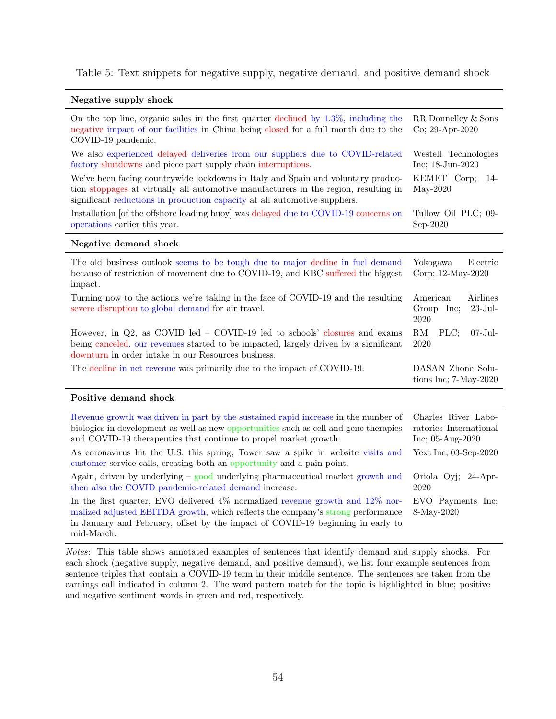Table 5: Text snippets for negative supply, negative demand, and positive demand shock

#### Negative supply shock

| On the top line, organic sales in the first quarter declined by $1.3\%$ , including the<br>negative impact of our facilities in China being closed for a full month due to the<br>COVID-19 pandemic.                                                                                                                                                                                                     | RR Donnelley & Sons<br>Co; 29-Apr-2020                                       |  |  |
|----------------------------------------------------------------------------------------------------------------------------------------------------------------------------------------------------------------------------------------------------------------------------------------------------------------------------------------------------------------------------------------------------------|------------------------------------------------------------------------------|--|--|
| We also experienced delayed deliveries from our suppliers due to COVID-related<br>factory shutdowns and piece part supply chain interruptions.<br>We've been facing countrywide lockdowns in Italy and Spain and voluntary produc-<br>tion stoppages at virtually all automotive manufacturers in the region, resulting in<br>significant reductions in production capacity at all automotive suppliers. | Westell Technologies<br>Inc; 18-Jun-2020<br>KEMET Corp;<br>14-<br>$May-2020$ |  |  |
| Installation [of the offshore loading buoy] was delayed due to COVID-19 concerns on<br>operations earlier this year.                                                                                                                                                                                                                                                                                     | Tullow Oil PLC; 09-<br>Sep-2020                                              |  |  |
| Negative demand shock                                                                                                                                                                                                                                                                                                                                                                                    |                                                                              |  |  |
| The old business outlook seems to be tough due to major decline in fuel demand<br>because of restriction of movement due to COVID-19, and KBC suffered the biggest<br>impact.                                                                                                                                                                                                                            | Yokogawa<br>Electric<br>Corp; 12-May-2020                                    |  |  |
| Turning now to the actions we're taking in the face of COVID-19 and the resulting<br>severe disruption to global demand for air travel.                                                                                                                                                                                                                                                                  | American<br>Airlines<br>$23 - Jul -$<br>Group Inc;<br>2020                   |  |  |
| However, in $Q2$ , as COVID led $-$ COVID-19 led to schools' closures and exams<br>being canceled, our revenues started to be impacted, largely driven by a significant<br>downturn in order intake in our Resources business.                                                                                                                                                                           | RM<br>PLC;<br>$07 - \text{Jul}$<br>2020                                      |  |  |
| The decline in net revenue was primarily due to the impact of COVID-19.                                                                                                                                                                                                                                                                                                                                  | DASAN Zhone Solu-<br>tions Inc; $7-May-2020$                                 |  |  |
| Positive demand shock                                                                                                                                                                                                                                                                                                                                                                                    |                                                                              |  |  |
| Revenue growth was driven in part by the sustained rapid increase in the number of<br>biologics in development as well as new opportunities such as cell and gene therapies<br>and COVID-19 therapeutics that continue to propel market growth.                                                                                                                                                          | Charles River Labo-<br>ratories International<br>Inc; 05-Aug-2020            |  |  |
| As coronavirus hit the U.S. this spring, Tower saw a spike in website visits and<br>customer service calls, creating both an opportunity and a pain point.                                                                                                                                                                                                                                               | Yext Inc; 03-Sep-2020                                                        |  |  |
| Again, driven by underlying $-$ good underlying pharmaceutical market growth and<br>then also the COVID pandemic-related demand increase.                                                                                                                                                                                                                                                                | Oriola Oyj; 24-Apr-<br>2020                                                  |  |  |
| In the first quarter, EVO delivered $4\%$ normalized revenue growth and $12\%$ nor-<br>malized adjusted EBITDA growth, which reflects the company's strong performance<br>in January and February, offset by the impact of COVID-19 beginning in early to                                                                                                                                                | EVO Payments Inc;<br>8-May-2020                                              |  |  |

mid-March.

Notes: This table shows annotated examples of sentences that identify demand and supply shocks. For each shock (negative supply, negative demand, and positive demand), we list four example sentences from sentence triples that contain a COVID-19 term in their middle sentence. The sentences are taken from the earnings call indicated in column 2. The word pattern match for the topic is highlighted in blue; positive and negative sentiment words in green and red, respectively.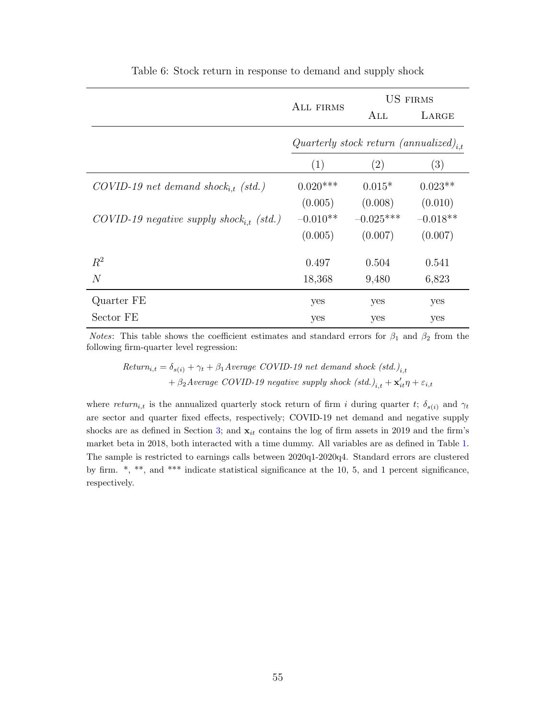|                                                     | ALL FIRMS  |                                              | <b>US FIRMS</b> |
|-----------------------------------------------------|------------|----------------------------------------------|-----------------|
|                                                     |            | $\rm ALL$                                    | LARGE           |
|                                                     |            | Quarterly stock return (annualized) $_{i,t}$ |                 |
|                                                     | (1)        | (2)                                          | (3)             |
| $COVID-19$ net demand shock <sub>it</sub> (std.)    | $0.020***$ | $0.015*$                                     | $0.023**$       |
|                                                     | (0.005)    | (0.008)                                      | (0.010)         |
| COVID-19 negative supply shock <sub>it</sub> (std.) | $-0.010**$ | $-0.025***$                                  | $-0.018**$      |
|                                                     | (0.005)    | (0.007)                                      | (0.007)         |
| $R^2$                                               | 0.497      | 0.504                                        | 0.541           |
| $\overline{N}$                                      | 18,368     | 9,480                                        | 6,823           |
| Quarter FE                                          | yes        | yes                                          | yes             |
| Sector FE                                           | yes        | yes                                          | yes             |

Table 6: Stock return in response to demand and supply shock

*Notes*: This table shows the coefficient estimates and standard errors for  $\beta_1$  and  $\beta_2$  from the following firm-quarter level regression:

 $Return_{i,t} = \delta_{s(i)} + \gamma_t + \beta_1 Average \ COVID-19$  net demand shock  $(std.)_{i,t}$ +  $\beta_2$ Average COVID-19 negative supply shock  $(std.)_{i,t} + \mathbf{x}'_{it}\eta + \varepsilon_{i,t}$ 

where return<sub>i,t</sub> is the annualized quarterly stock return of firm i during quarter t;  $\delta_{s(i)}$  and  $\gamma_t$ are sector and quarter fixed effects, respectively; COVID-19 net demand and negative supply shocks are as defined in Section [3;](#page-30-0) and  $x_{it}$  contains the log of firm assets in 2019 and the firm's market beta in 2018, both interacted with a time dummy. All variables are as defined in Table [1.](#page-51-0) The sample is restricted to earnings calls between 2020q1-2020q4. Standard errors are clustered by firm. \*, \*\*, and \*\*\* indicate statistical significance at the 10, 5, and 1 percent significance, respectively.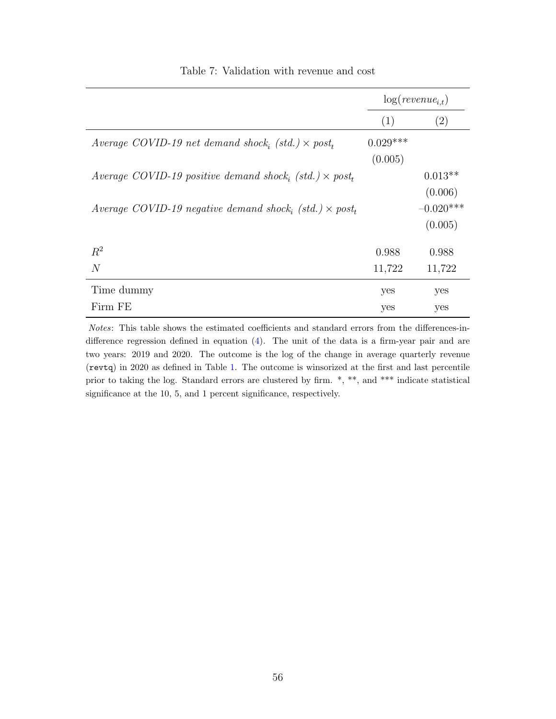|                                                               |            | $log(revenue_{i.t})$ |
|---------------------------------------------------------------|------------|----------------------|
|                                                               | (1)        | (2)                  |
| Average COVID-19 net demand shock, (std.) $\times$ post,      | $0.029***$ |                      |
|                                                               | (0.005)    |                      |
| Average COVID-19 positive demand shock, (std.) $\times$ post, |            | $0.013**$            |
|                                                               |            | (0.006)              |
| Average COVID-19 negative demand shock, (std.) $\times$ post, |            | $-0.020***$          |
|                                                               |            | (0.005)              |
| $R^2$                                                         | 0.988      | 0.988                |
| N                                                             | 11,722     | 11,722               |
| Time dummy                                                    | yes        | yes                  |
| Firm FE                                                       | yes        | yes                  |

Table 7: Validation with revenue and cost

Notes: This table shows the estimated coefficients and standard errors from the differences-indifference regression defined in equation [\(4\)](#page-33-0). The unit of the data is a firm-year pair and are two years: 2019 and 2020. The outcome is the log of the change in average quarterly revenue (revtq) in 2020 as defined in Table [1.](#page-51-0) The outcome is winsorized at the first and last percentile prior to taking the log. Standard errors are clustered by firm. \*, \*\*, and \*\*\* indicate statistical significance at the 10, 5, and 1 percent significance, respectively.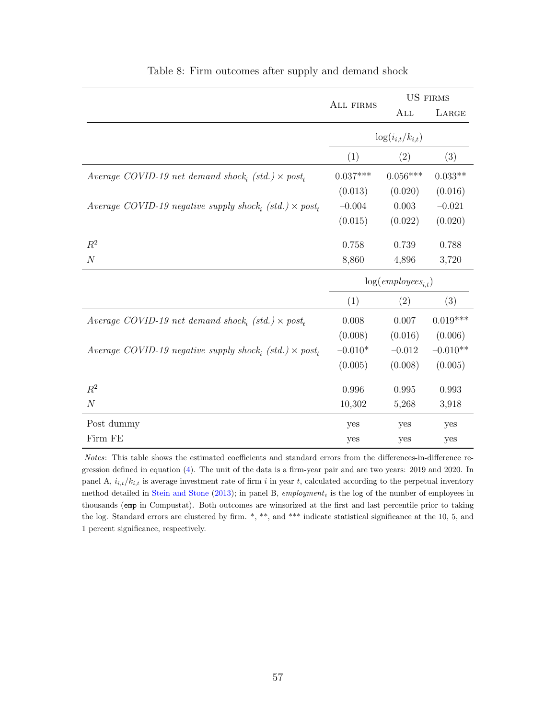|                                                                | ALL FIRMS  | <b>US FIRMS</b>         |            |
|----------------------------------------------------------------|------------|-------------------------|------------|
|                                                                |            | ALL                     | LARGE      |
|                                                                |            | $\log(i_{i,t}/k_{i,t})$ |            |
|                                                                | (1)        | (2)                     | (3)        |
| Average COVID-19 net demand shock, (std.) $\times$ post,       | $0.037***$ | $0.056***$              | $0.033**$  |
|                                                                | (0.013)    | (0.020)                 | (0.016)    |
| Average COVID-19 negative supply shock, (std.) $\times$ post,  | $-0.004$   | 0.003                   | $-0.021$   |
|                                                                | (0.015)    | (0.022)                 | (0.020)    |
| $R^2$                                                          | 0.758      | 0.739                   | 0.788      |
| $\boldsymbol{N}$                                               | 8,860      | 4,896                   | 3,720      |
|                                                                |            | $log(employes_{i,t})$   |            |
|                                                                | (1)        | (2)                     | (3)        |
| Average COVID-19 net demand shock, (std.) $\times$ post,       | 0.008      | 0.007                   | $0.019***$ |
|                                                                | (0.008)    | (0.016)                 | (0.006)    |
| Average COVID-19 negative supply shock, $(std.) \times post_t$ | $-0.010*$  | $-0.012$                | $-0.010**$ |
|                                                                | (0.005)    | (0.008)                 | (0.005)    |
| $R^2$                                                          | 0.996      | 0.995                   | 0.993      |
| $\boldsymbol{N}$                                               | 10,302     | 5,268                   | 3,918      |
| Post dummy                                                     | yes        | yes                     | yes        |
| Firm FE                                                        | yes        | yes                     | yes        |

#### Table 8: Firm outcomes after supply and demand shock

Notes: This table shows the estimated coefficients and standard errors from the differences-in-difference regression defined in equation [\(4\)](#page-33-0). The unit of the data is a firm-year pair and are two years: 2019 and 2020. In panel A,  $i_{i,t}/k_{i,t}$  is average investment rate of firm i in year t, calculated according to the perpetual inventory method detailed in [Stein and Stone](#page-40-0)  $(2013)$ ; in panel B, employment<sub>i</sub> is the log of the number of employees in thousands (emp in Compustat). Both outcomes are winsorized at the first and last percentile prior to taking the log. Standard errors are clustered by firm.  $*, **$ , and  $***$  indicate statistical significance at the 10, 5, and 1 percent significance, respectively.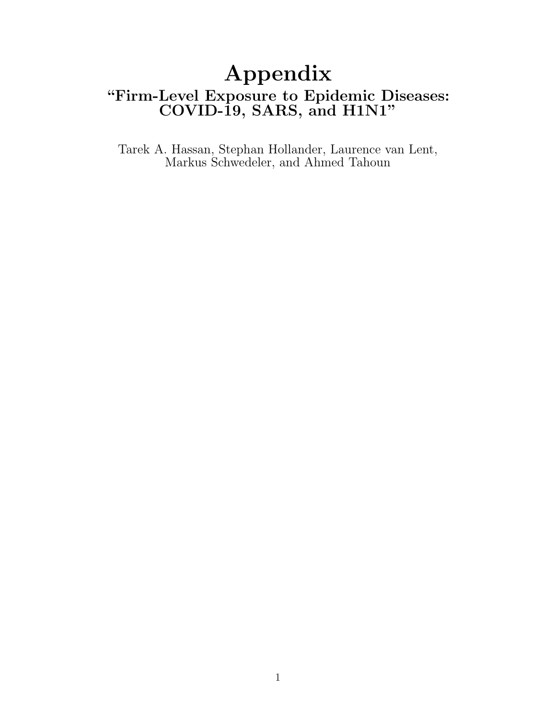# Appendix "Firm-Level Exposure to Epidemic Diseases: COVID-19, SARS, and H1N1"

Tarek A. Hassan, Stephan Hollander, Laurence van Lent, Markus Schwedeler, and Ahmed Tahoun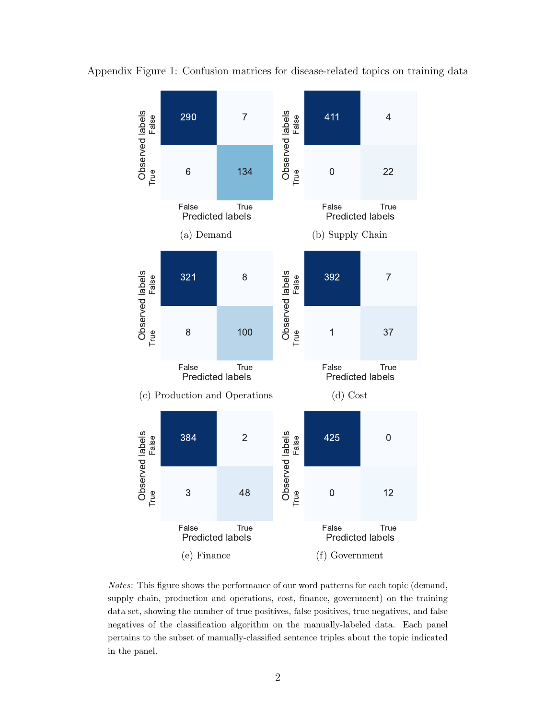

Appendix Figure 1: Confusion matrices for disease-related topics on training data

Notes: This figure shows the performance of our word patterns for each topic (demand, supply chain, production and operations, cost, finance, government) on the training data set, showing the number of true positives, false positives, true negatives, and false negatives of the classification algorithm on the manually-labeled data. Each panel pertains to the subset of manually-classified sentence triples about the topic indicated in the panel.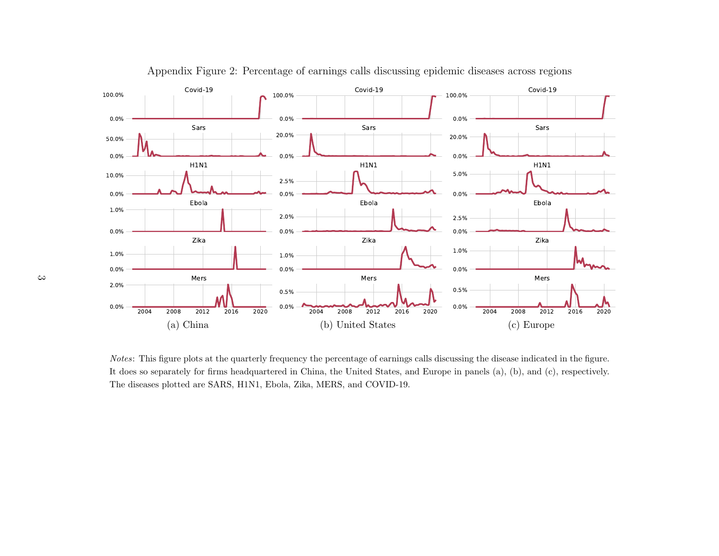

Appendix Figure 2: Percentage of earnings calls discussing epidemic diseases across regions

Notes: This figure <sup>p</sup>lots at the quarterly frequency the percentage of earnings calls discussing the disease indicated in the figure.It does so separately for firms headquartered in China, the United States, and Europe in panels (a), (b), and (c), respectively.The diseases <sup>p</sup>lotted are SARS, H1N1, Ebola, Zika, MERS, and COVID-19.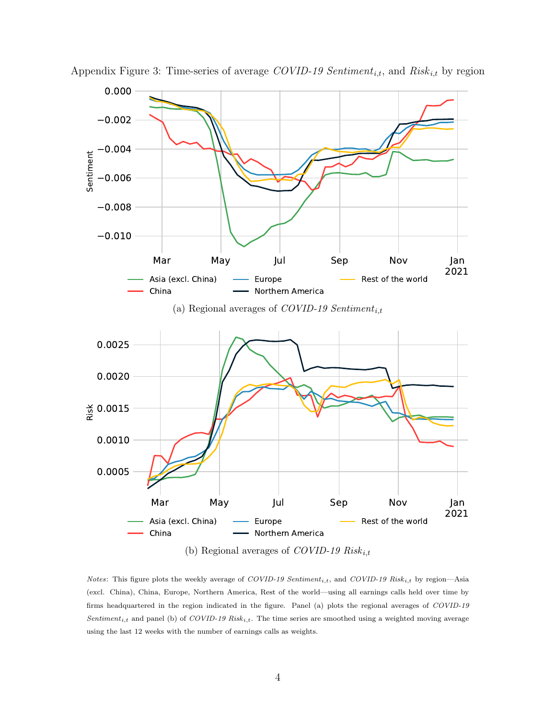

Appendix Figure 3: Time-series of average  $\mathit{COVID-19}$  Sentiment<sub>i,t</sub>, and  $\mathit{Risk}_{i,t}$  by region

Notes: This figure plots the weekly average of COVID-19 Sentiment<sub>i,t</sub>, and COVID-19 Risk<sub>i,t</sub> by region—Asia (excl. China), China, Europe, Northern America, Rest of the world—using all earnings calls held over time by firms headquartered in the region indicated in the figure. Panel (a) plots the regional averages of COVID-19 Sentiment<sub>i,t</sub> and panel (b) of COVID-19 Risk<sub>i,t</sub>. The time series are smoothed using a weighted moving average using the last 12 weeks with the number of earnings calls as weights.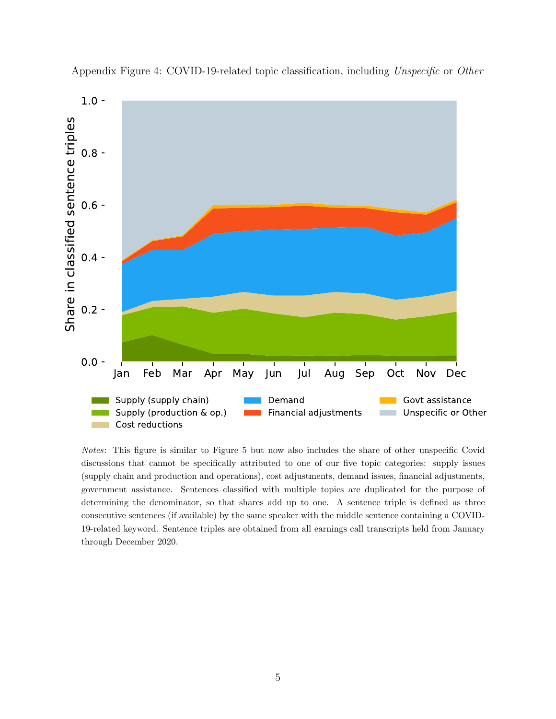

Appendix Figure 4: COVID-19-related topic classification, including Unspecific or Other

Notes: This figure is similar to Figure [5](#page-45-0) but now also includes the share of other unspecific Covid discussions that cannot be specifically attributed to one of our five topic categories: supply issues (supply chain and production and operations), cost adjustments, demand issues, financial adjustments, government assistance. Sentences classified with multiple topics are duplicated for the purpose of determining the denominator, so that shares add up to one. A sentence triple is defined as three consecutive sentences (if available) by the same speaker with the middle sentence containing a COVID-19-related keyword. Sentence triples are obtained from all earnings call transcripts held from January through December 2020.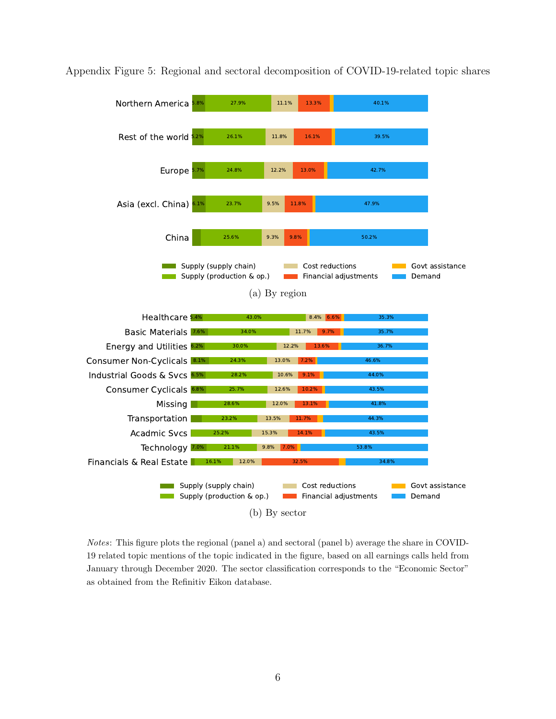

Appendix Figure 5: Regional and sectoral decomposition of COVID-19-related topic shares

Notes: This figure plots the regional (panel a) and sectoral (panel b) average the share in COVID-19 related topic mentions of the topic indicated in the figure, based on all earnings calls held from January through December 2020. The sector classification corresponds to the "Economic Sector" as obtained from the Refinitiv Eikon database.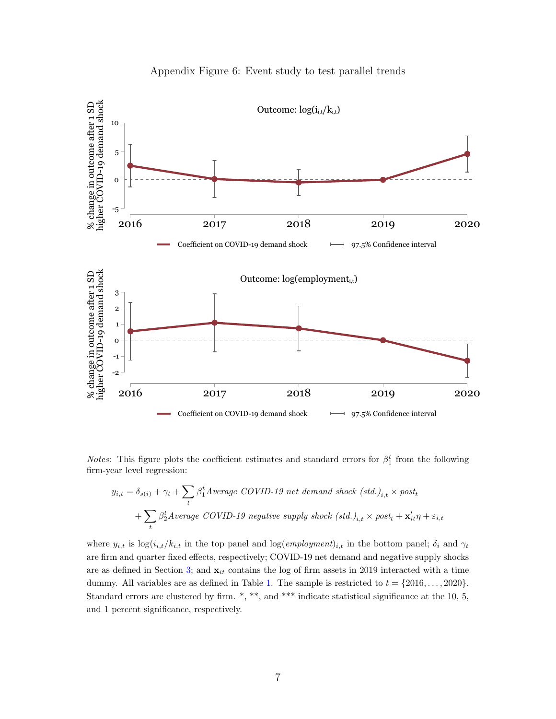

#### Appendix Figure 6: Event study to test parallel trends

*Notes*: This figure plots the coefficient estimates and standard errors for  $\beta_1^t$  from the following firm-year level regression:

$$
y_{i,t} = \delta_{s(i)} + \gamma_t + \sum_{t} \beta_1^t Average\ COVID-19\ net\ demand\ shock\ (std.)_{i,t} \times post_t
$$

$$
+ \sum_{t} \beta_2^t Average\ COVID-19\ negative\ supply\ shock\ (std.)_{i,t} \times post_t + \mathbf{x}'_{it} \eta + \varepsilon_{i,t}
$$

where  $y_{i,t}$  is  $\log(i_{i,t}/k_{i,t}$  in the top panel and  $\log(empyment)_{i,t}$  in the bottom panel;  $\delta_i$  and  $\gamma_t$ are firm and quarter fixed effects, respectively; COVID-19 net demand and negative supply shocks are as defined in Section [3;](#page-30-0) and  $\mathbf{x}_{it}$  contains the log of firm assets in 2019 interacted with a time dummy. All variables are as defined in Table [1.](#page-51-0) The sample is restricted to  $t = \{2016, \ldots, 2020\}.$ Standard errors are clustered by firm. \*, \*\*, and \*\*\* indicate statistical significance at the 10, 5, and 1 percent significance, respectively.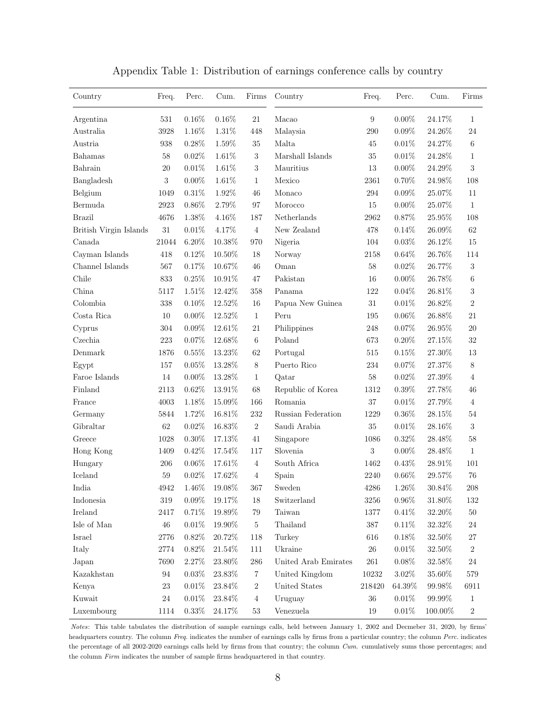| Country                | Freq.      | Perc.    | Cum.      | Firms          | Country                 | Freq.            | Perc.    | Cum.      | Firms            |
|------------------------|------------|----------|-----------|----------------|-------------------------|------------------|----------|-----------|------------------|
| Argentina              | $531\,$    | $0.16\%$ | $0.16\%$  | 21             | Macao                   | $\boldsymbol{9}$ | $0.00\%$ | 24.17%    | 1                |
| Australia              | 3928       | 1.16%    | $1.31\%$  | 448            | Malaysia                | 290              | 0.09%    | 24.26%    | 24               |
| Austria                | 938        | $0.28\%$ | $1.59\%$  | 35             | Malta                   | 45               | $0.01\%$ | 24.27%    | 6                |
| Bahamas                | 58         | $0.02\%$ | 1.61%     | $\sqrt{3}$     | Marshall Islands        | 35               | $0.01\%$ | $24.28\%$ | 1                |
| Bahrain                | 20         | $0.01\%$ | $1.61\%$  | 3              | Mauritius               | 13               | $0.00\%$ | 24.29%    | 3                |
| Bangladesh             | $\sqrt{3}$ | $0.00\%$ | $1.61\%$  | $\mathbf{1}$   | Mexico                  | 2361             | $0.70\%$ | 24.98%    | 108              |
| Belgium                | 1049       | $0.31\%$ | $1.92\%$  | 46             | Monaco                  | 294              | $0.09\%$ | $25.07\%$ | 11               |
| Bermuda                | 2923       | $0.86\%$ | $2.79\%$  | 97             | Morocco                 | 15               | $0.00\%$ | 25.07%    | $\mathbf{1}$     |
| <b>Brazil</b>          | 4676       | 1.38%    | $4.16\%$  | 187            | Netherlands             | 2962             | $0.87\%$ | $25.95\%$ | 108              |
| British Virgin Islands | $31\,$     | $0.01\%$ | 4.17%     | $\overline{4}$ | New Zealand             | 478              | $0.14\%$ | $26.09\%$ | 62               |
| Canada                 | 21044      | $6.20\%$ | 10.38%    | 970            | Nigeria                 | 104              | $0.03\%$ | 26.12\%   | 15               |
| Cayman Islands         | 418        | 0.12%    | $10.50\%$ | 18             | Norway                  | 2158             | 0.64%    | $26.76\%$ | 114              |
| Channel Islands        | $567\,$    | $0.17\%$ | 10.67%    | 46             | Oman                    | 58               | $0.02\%$ | 26.77%    | $\sqrt{3}$       |
| Chile                  | 833        | $0.25\%$ | $10.91\%$ | 47             | Pakistan                | 16               | $0.00\%$ | $26.78\%$ | 6                |
| China                  | 5117       | $1.51\%$ | 12.42%    | 358            | Panama                  | 122              | $0.04\%$ | $26.81\%$ | 3                |
| Colombia               | 338        | $0.10\%$ | 12.52%    | 16             | Papua New Guinea        | 31               | 0.01%    | 26.82%    | $\overline{2}$   |
| Costa Rica             | 10         | $0.00\%$ | 12.52%    | $\mathbf{1}$   | Peru                    | 195              | $0.06\%$ | $26.88\%$ | 21               |
| Cyprus                 | 304        | $0.09\%$ | 12.61%    | 21             | Philippines             | 248              | $0.07\%$ | $26.95\%$ | 20               |
| Czechia                | 223        | $0.07\%$ | 12.68%    | $\,6\,$        | Poland                  | 673              | $0.20\%$ | 27.15%    | 32               |
| Denmark                | 1876       | $0.55\%$ | 13.23%    | 62             | Portugal                | 515              | 0.15%    | $27.30\%$ | 13               |
| Egypt                  | 157        | $0.05\%$ | 13.28%    | $8\,$          | Puerto Rico             | 234              | $0.07\%$ | 27.37%    | $8\,$            |
| Faroe Islands          | 14         | $0.00\%$ | 13.28%    | $\mathbf{1}$   | Qatar                   | 58               | 0.02%    | $27.39\%$ | $\overline{4}$   |
| Finland                | 2113       | $0.62\%$ | 13.91%    | 68             | Republic of Korea       | 1312             | $0.39\%$ | 27.78%    | 46               |
| France                 | 4003       | 1.18%    | 15.09%    | 166            | Romania                 | 37               | 0.01%    | 27.79%    | 4                |
| Germany                | 5844       | 1.72%    | 16.81%    | 232            | Russian Federation      | 1229             | $0.36\%$ | $28.15\%$ | 54               |
| Gibraltar              | $62\,$     | $0.02\%$ | $16.83\%$ | $\sqrt{2}$     | Saudi Arabia            | 35               | $0.01\%$ | 28.16\%   | $\boldsymbol{3}$ |
| Greece                 | 1028       | $0.30\%$ | 17.13%    | 41             | Singapore               | 1086             | $0.32\%$ | 28.48%    | $58\,$           |
| Hong Kong              | 1409       | 0.42%    | 17.54%    | 117            | Slovenia                | $\sqrt{3}$       | $0.00\%$ | 28.48%    | $\mathbf{1}$     |
| Hungary                | 206        | $0.06\%$ | 17.61%    | $\overline{4}$ | South Africa            | 1462             | $0.43\%$ | 28.91%    | 101              |
| Iceland                | $59\,$     | 0.02%    | 17.62%    | 4              | Spain                   | 2240             | $0.66\%$ | 29.57%    | 76               |
| India                  | 4942       | 1.46%    | 19.08%    | 367            | Sweden                  | 4286             | $1.26\%$ | 30.84\%   | 208              |
| Indonesia              | $319\,$    | $0.09\%$ | 19.17%    | 18             | Switzerland             | $3256\,$         | $0.96\%$ | 31.80%    | 132              |
| Ireland                | 2417       | $0.71\%$ | $19.89\%$ | 79             | $\operatorname{Taiwan}$ | 1377             | $0.41\%$ | 32.20%    | $50\,$           |
| Isle of Man            | $46\,$     | $0.01\%$ | $19.90\%$ | $\bf 5$        | Thailand                | 387              | $0.11\%$ | $32.32\%$ | 24               |
| Israel                 | 2776       | 0.82%    | $20.72\%$ | 118            | Turkey                  | 616              | $0.18\%$ | 32.50\%   | 27               |
| Italy                  | $2774\,$   | $0.82\%$ | $21.54\%$ | 111            | Ukraine                 | $26\,$           | $0.01\%$ | $32.50\%$ | $\,2$            |
| Japan                  | 7690       | 2.27%    | $23.80\%$ | $286\,$        | United Arab Emirates    | $261\,$          | $0.08\%$ | 32.58%    | $24\,$           |
| Kazakhstan             | 94         | 0.03%    | 23.83%    | $\,7$          | United Kingdom          | $10232\,$        | $3.02\%$ | $35.60\%$ | 579              |
| Kenya                  | 23         | $0.01\%$ | $23.84\%$ | $\,2$          | United States           | 218420           | 64.39%   | 99.98%    | 6911             |
| Kuwait                 | $24\,$     | $0.01\%$ | $23.84\%$ | $\overline{4}$ | Uruguay                 | $36\,$           | $0.01\%$ | 99.99%    | $\mathbf 1$      |
| Luxembourg             | 1114       | $0.33\%$ | $24.17\%$ | $53\,$         | Venezuela               | 19               | $0.01\%$ | 100.00%   | $\,2$            |

Appendix Table 1: Distribution of earnings conference calls by country

Notes: This table tabulates the distribution of sample earnings calls, held between January 1, 2002 and Decmeber 31, 2020, by firms' headquarters country. The column Freq. indicates the number of earnings calls by firms from a particular country; the column Perc. indicates the percentage of all 2002-2020 earnings calls held by firms from that country; the column Cum. cumulatively sums those percentages; and the column Firm indicates the number of sample firms headquartered in that country.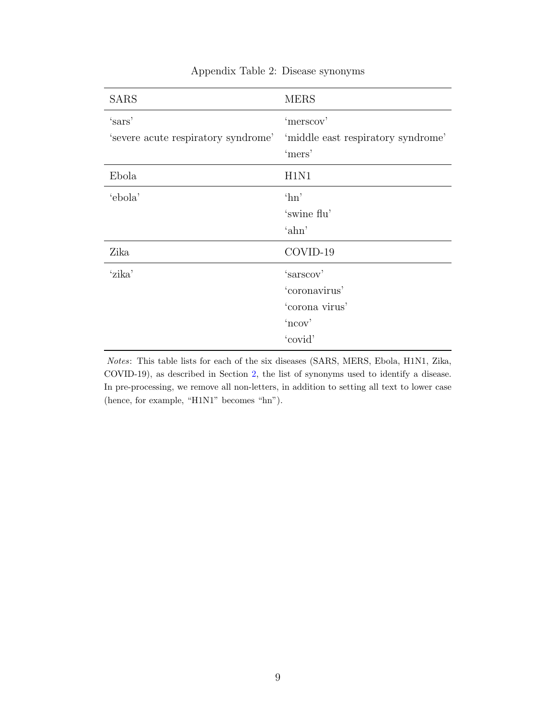| <b>SARS</b>                                                                        | <b>MERS</b>    |
|------------------------------------------------------------------------------------|----------------|
| 'sars'<br>'s severe acute respiratory syndrome' 'middle east respiratory syndrome' | 'merscov'      |
|                                                                                    | 'mers'         |
| Ebola                                                                              | H1N1           |
| 'ebola'                                                                            | $^{\circ}$ hn' |
|                                                                                    | 'swine flu'    |
|                                                                                    | 'ahn'          |
| Zika                                                                               | COVID-19       |
| 'zika'                                                                             | 'sarscov'      |
|                                                                                    | 'coronavirus'  |
|                                                                                    | 'corona virus' |
|                                                                                    | 'ncov'         |
|                                                                                    | 'covid'        |

## Appendix Table 2: Disease synonyms

Notes: This table lists for each of the six diseases (SARS, MERS, Ebola, H1N1, Zika, COVID-19), as described in Section [2,](#page-10-0) the list of synonyms used to identify a disease. In pre-processing, we remove all non-letters, in addition to setting all text to lower case (hence, for example, "H1N1" becomes "hn").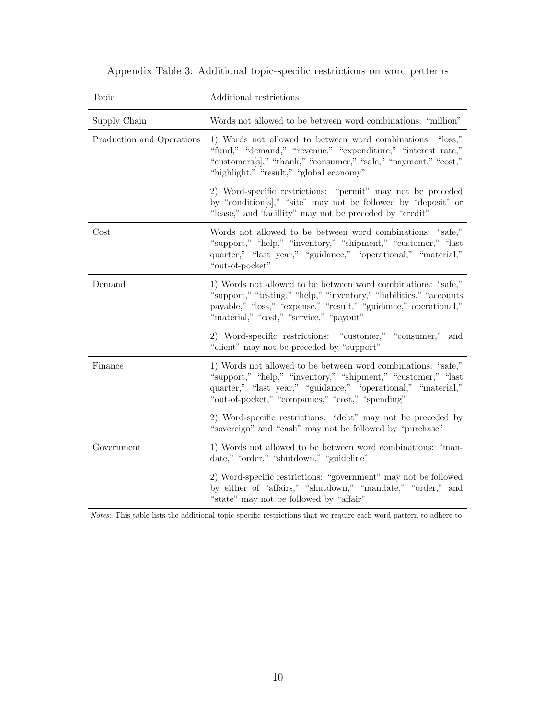| Topic                     | Additional restrictions                                                                                                                                                                                                                             |
|---------------------------|-----------------------------------------------------------------------------------------------------------------------------------------------------------------------------------------------------------------------------------------------------|
| Supply Chain              | Words not allowed to be between word combinations: "million"                                                                                                                                                                                        |
| Production and Operations | 1) Words not allowed to between word combinations: "loss,"<br>"fund," "demand," "revenue," "expenditure," "interest rate,"<br>"customers[s]," "thank," "consumer," "sale," "payment," "cost,"<br>"highlight," "result," "global economy"            |
|                           | 2) Word-specific restrictions: "permit" may not be preceded<br>by "condition[s]," "site" may not be followed by "deposit" or<br>"lease," and 'facillity" may not be preceded by "credit"                                                            |
| Cost                      | Words not allowed to be between word combinations: "safe,"<br>"support," "help," "inventory," "shipment," "customer," "last<br>quarter," "last year," "guidance," "operational," "material,"<br>"out-of-pocket"                                     |
| Demand                    | 1) Words not allowed to be between word combinations: "safe,"<br>"support," "testing," "help," "inventory," "liabilities," "accounts<br>payable," "loss," "expense," "result," "guidance," operational,"<br>"material," "cost," "service," "payout" |
|                           | 2) Word-specific restrictions: "customer," "consumer,"<br>and<br>"client" may not be preceded by "support"                                                                                                                                          |
| Finance                   | 1) Words not allowed to be between word combinations: "safe,"<br>"support," "help," "inventory," "shipment," "customer," "last<br>quarter," "last year," "guidance," "operational," "material,"<br>"out-of-pocket," "companies," "cost," "spending" |
|                           | 2) Word-specific restrictions: "debt" may not be preceded by<br>"sovereign" and "cash" may not be followed by "purchase"                                                                                                                            |
| Government                | 1) Words not allowed to be between word combinations: "man-<br>date," "order," "shutdown," "guideline"                                                                                                                                              |
|                           | 2) Word-specific restrictions: "government" may not be followed<br>by either of "affairs," "shutdown," "mandate," "order," and<br>"state" may not be followed by "affair"                                                                           |

## <span id="page-68-0"></span>Appendix Table 3: Additional topic-specific restrictions on word patterns

Notes: This table lists the additional topic-specific restrictions that we require each word pattern to adhere to.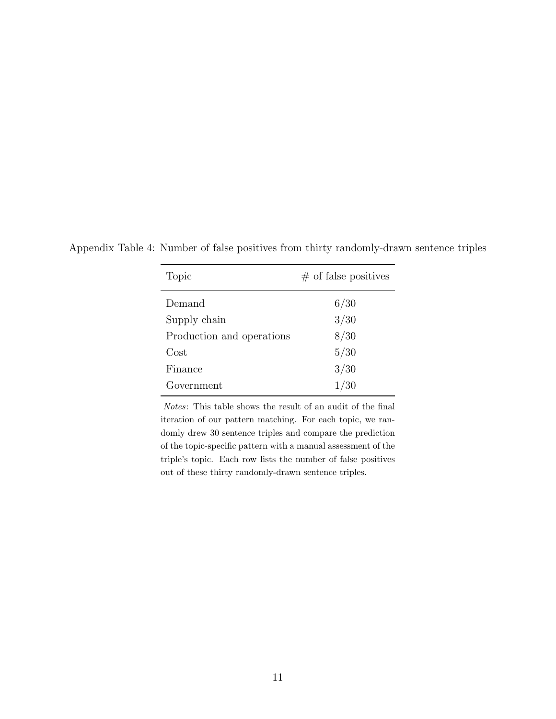| Topic                     | $\#$ of false positives |
|---------------------------|-------------------------|
| Demand                    | 6/30                    |
| Supply chain              | 3/30                    |
| Production and operations | 8/30                    |
| Cost                      | 5/30                    |
| Finance                   | 3/30                    |
| Government                | 1/30                    |

Appendix Table 4: Number of false positives from thirty randomly-drawn sentence triples

Notes: This table shows the result of an audit of the final iteration of our pattern matching. For each topic, we randomly drew 30 sentence triples and compare the prediction of the topic-specific pattern with a manual assessment of the triple's topic. Each row lists the number of false positives out of these thirty randomly-drawn sentence triples.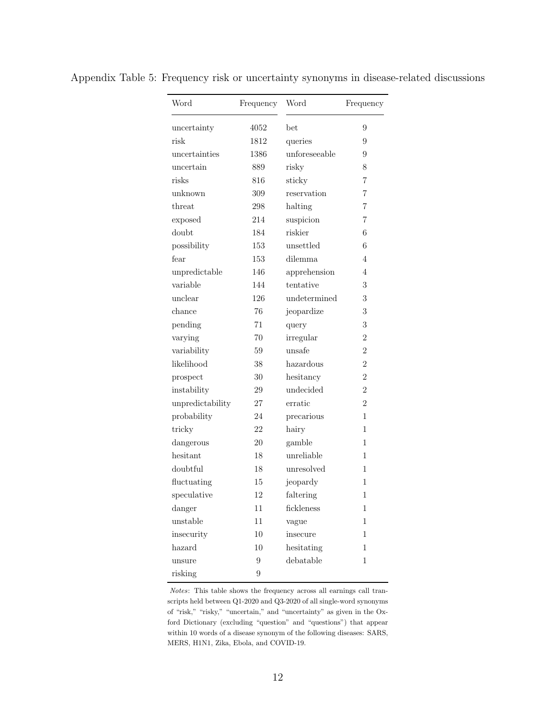| Word             | Frequency | Word          | Frequency      |
|------------------|-----------|---------------|----------------|
| uncertainty      | 4052      | bet           | 9              |
| risk             | 1812      | queries       | 9              |
| uncertainties    | 1386      | unforeseeable | 9              |
| uncertain        | 889       | risky         | 8              |
| risks            | 816       | sticky        | $\overline{7}$ |
| unknown          | 309       | reservation   | 7              |
| threat           | 298       | halting       | 7              |
| exposed          | 214       | suspicion     | 7              |
| doubt            | 184       | riskier       | 6              |
| possibility      | 153       | unsettled     | 6              |
| fear             | 153       | dilemma       | 4              |
| unpredictable    | 146       | apprehension  | 4              |
| variable         | 144       | tentative     | 3              |
| unclear          | 126       | undetermined  | 3              |
| chance           | 76        | jeopardize    | 3              |
| pending          | 71        | query         | 3              |
| varying          | 70        | irregular     | $\overline{2}$ |
| variability      | 59        | unsafe        | $\overline{2}$ |
| likelihood       | 38        | hazardous     | $\overline{2}$ |
| prospect         | 30        | hesitancy     | $\overline{2}$ |
| instability      | 29        | undecided     | $\overline{2}$ |
| unpredictability | 27        | erratic       | $\overline{2}$ |
| probability      | 24        | precarious    | $\mathbf{1}$   |
| tricky           | 22        | hairy         | 1              |
| dangerous        | 20        | gamble        | $\mathbf{1}$   |
| hesitant         | 18        | unreliable    | 1              |
| doubtful         | 18        | unresolved    | 1              |
| fluctuating      | 15        | jeopardy      | 1              |
| speculative      | 12        | faltering     | 1              |
| danger           | 11        | fickleness    | 1              |
| unstable         | 11        | vague         | $\mathbf 1$    |
| insecurity       | $10\,$    | insecure      | $\mathbf 1$    |
| hazard           | 10        | hesitating    | 1              |
| unsure           | 9         | debatable     | $\mathbf 1$    |
| risking          | 9         |               |                |

Appendix Table 5: Frequency risk or uncertainty synonyms in disease-related discussions

Notes: This table shows the frequency across all earnings call transcripts held between Q1-2020 and Q3-2020 of all single-word synonyms of "risk," "risky," "uncertain," and "uncertainty" as given in the Oxford Dictionary (excluding "question" and "questions") that appear within 10 words of a disease synonym of the following diseases: SARS, MERS, H1N1, Zika, Ebola, and COVID-19.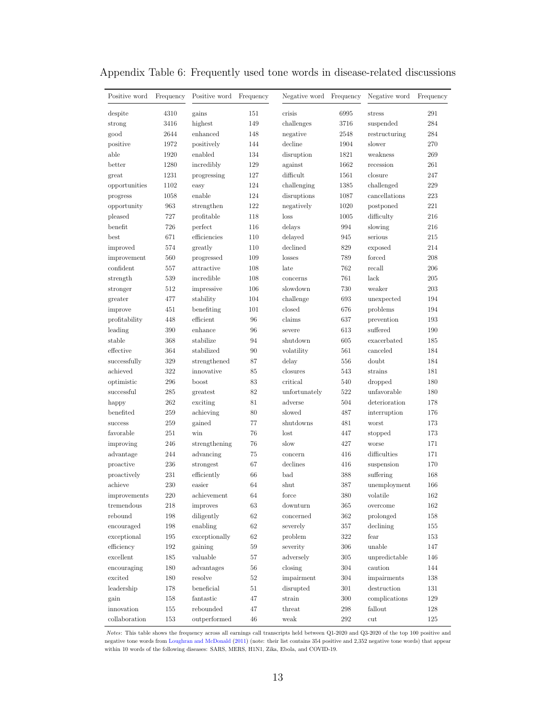| Positive word      | Frequency  | Positive word       | Frequency | Negative word Frequency |            | Negative word         | Frequency  |
|--------------------|------------|---------------------|-----------|-------------------------|------------|-----------------------|------------|
| despite            | 4310       | gains               | 151       | crisis                  | 6995       | stress                | 291        |
| strong             | 3416       | highest             | 149       | challenges              | 3716       | suspended             | 284        |
| good               | 2644       | enhanced            | 148       | negative                | 2548       | restructuring         | 284        |
| positive           | 1972       | positively          | 144       | decline                 | 1904       | slower                | 270        |
| able               | 1920       | enabled             | 134       | disruption              | 1821       | weakness              | 269        |
| better             | 1280       | incredibly          | 129       | against                 | 1662       | recession             | 261        |
| great              | 1231       | progressing         | 127       | difficult               | 1561       | closure               | 247        |
| opportunities      | 1102       | easy                | 124       | challenging             | 1385       | challenged            | 229        |
| progress           | 1058       | enable              | 124       | disruptions             | 1087       | cancellations         | 223        |
| opportunity        | 963        | strengthen          | 122       | negatively              | 1020       | postponed             | 221        |
| pleased            | 727        | profitable          | 118       | $\log s$                | 1005       | difficulty            | 216        |
| benefit            | 726        | perfect             | 116       | delays                  | 994        | slowing               | 216        |
| best               | 671        | efficiencies        | 110       | delayed                 | 945        | serious               | 215        |
| improved           | 574        | greatly             | 110       | declined                | 829        | exposed               | 214        |
| improvement        | 560        | progressed          | 109       | losses                  | 789        | forced                | 208        |
| confident          | 557        | attractive          | 108       | late                    | 762        | recall                | 206        |
| strength           | 539        | incredible          | 108       | concerns                | 761        | lack                  | 205        |
| stronger           | 512        | impressive          | 106       | slowdown                | 730        | weaker                | 203        |
| greater            | 477        | stability           | 104       | challenge               | 693        | unexpected            | 194        |
| improve            | 451        | benefiting          | 101       | closed                  | 676        | problems              | 194        |
| profitability      | 448        | efficient           | 96        | claims                  | 637        | prevention            | 193        |
| leading            | 390        | enhance             | 96        | severe                  | 613        | suffered              | 190        |
| stable             | 368        | stabilize           | 94        | shutdown                | 605        | exacerbated           | 185        |
| effective          | 364        | stabilized          | 90        | volatility              | 561        | canceled              | 184        |
| successfully       | 329        | strengthened        | 87        | delay                   | 556        | doubt                 | 184        |
| achieved           | 322        | innovative          | 85        | closures                | 543        | strains               | 181        |
| optimistic         | 296        | boost               | 83        | critical                | 540        | dropped               | 180        |
| successful         | 285        | greatest            | 82        | unfortunately           | 522        | unfavorable           | 180        |
|                    | 262        | exciting            | 81        | adverse                 | 504        | deterioration         | 178        |
| happy<br>benefited | 259        |                     | 80        | slowed                  | 487        |                       | 176        |
| success            | 259        | achieving<br>gained | 77        | shutdowns               | 481        | interruption<br>worst | 173        |
|                    |            |                     | 76        |                         |            |                       |            |
| favorable          | 251        | win                 |           | lost                    | 447        | stopped               | 173<br>171 |
| improving          | 246        | strengthening       | 76        | slow                    | 427        | worse                 | 171        |
| advantage          | 244        | advancing           | 75        | concern                 | 416        | difficulties          |            |
| proactive          | 236        | strongest           | 67        | declines<br>bad         | 416        | suspension            | 170        |
| proactively        | 231<br>230 | efficiently         | 66<br>64  |                         | 388<br>387 | suffering             | 168<br>166 |
| achieve            |            | easier              |           | shut                    |            | unemployment          |            |
| improvements       | 220        | achievement         | 64        | force                   | 380        | volatile              | 162        |
| tremendous         | 218        | improves            | 63        | downturn                | 365        | overcome              | 162        |
| rebound            | 198        | diligently          | 62        | concerned               | 362        | prolonged             | 158        |
| encouraged         | 198        | enabling            | $62\,$    | severely                | 357        | declining             | 155        |
| exceptional        | 195        | exceptionally       | 62        | problem                 | 322        | fear                  | 153        |
| efficiency         | 192        | gaining             | 59        | severity                | 306        | $\it unable$          | 147        |
| excellent          | 185        | valuable            | $57\,$    | adverselv               | 305        | unpredictable         | 146        |
| encouraging        | 180        | advantages          | 56        | closing                 | 304        | caution               | 144        |
| excited            | $180\,$    | resolve             | $52\,$    | impairment              | $304\,$    | impairments           | $138\,$    |
| leadership         | 178        | beneficial          | $51\,$    | disrupted               | $301\,$    | $d$ estruction        | $131\,$    |
| gain               | 158        | fantastic           | 47        | strain                  | $300\,$    | complications         | $129\,$    |
| innovation         | $155\,$    | rebounded           | 47        | threat                  | $\,298$    | fallout               | $128\,$    |
| collaboration      | 153        | outperformed        | 46        | weak                    | 292        | $_{\rm cut}$          | 125        |

## Appendix Table 6: Frequently used tone words in disease-related discussions

Notes: This table shows the frequency across all earnings call transcripts held between Q1-2020 and Q3-2020 of the top 100 positive and negative tone words from [Loughran and McDonald](#page-39-0) [\(2011\)](#page-39-0) (note: their list contains 354 positive and 2,352 negative tone words) that appear within 10 words of the following diseases: SARS, MERS, H1N1, Zika, Ebola, and COVID-19.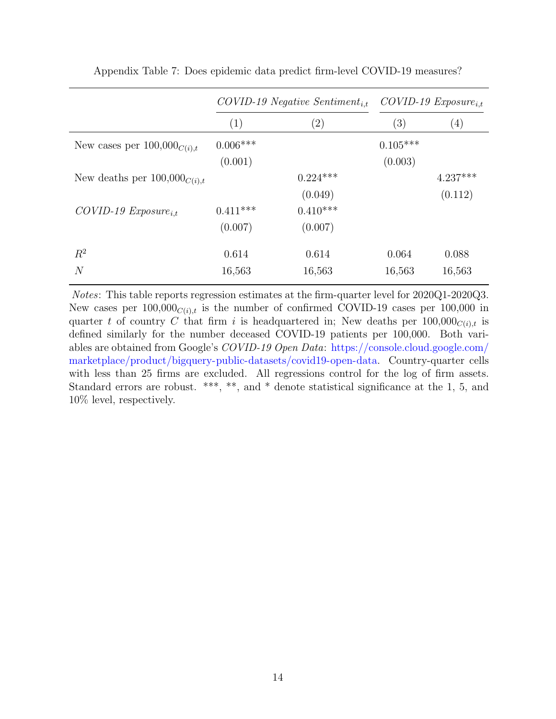|                                   | $COVID-19$ Negative Sentiment <sub>i.t</sub> |                   | $COVID-19$ $Exposure_{i.t}$ |                   |
|-----------------------------------|----------------------------------------------|-------------------|-----------------------------|-------------------|
|                                   | (1)                                          | $\left( 2\right)$ | (3)                         | $\left( 4\right)$ |
| New cases per $100,000_{C(i),t}$  | $0.006***$                                   |                   | $0.105***$                  |                   |
|                                   | (0.001)                                      |                   | (0.003)                     |                   |
| New deaths per $100,000_{C(i),t}$ |                                              | $0.224***$        |                             | $4.237***$        |
|                                   |                                              | (0.049)           |                             | (0.112)           |
| $COVID-19$ $Exposure_{i.t}$       | $0.411***$                                   | $0.410***$        |                             |                   |
|                                   | (0.007)                                      | (0.007)           |                             |                   |
| $R^2$                             | 0.614                                        | 0.614             | 0.064                       | 0.088             |
| $\overline{N}$                    | 16,563                                       | 16,563            | 16,563                      | 16,563            |

Appendix Table 7: Does epidemic data predict firm-level COVID-19 measures?

Notes: This table reports regression estimates at the firm-quarter level for 2020Q1-2020Q3. New cases per  $100,000_{C(i),t}$  is the number of confirmed COVID-19 cases per 100,000 in quarter t of country C that firm i is headquartered in; New deaths per  $100,000_{C(i),t}$  is defined similarly for the number deceased COVID-19 patients per 100,000. Both variables are obtained from Google's COVID-19 Open Data: [https://console.cloud.google.com/](https://console.cloud.google.com/marketplace/product/bigquery-public-datasets/covid19-open-data) [marketplace/product/bigquery-public-datasets/covid19-open-data.](https://console.cloud.google.com/marketplace/product/bigquery-public-datasets/covid19-open-data) Country-quarter cells with less than 25 firms are excluded. All regressions control for the log of firm assets. Standard errors are robust. \*\*\*, \*\*, and \* denote statistical significance at the 1, 5, and 10% level, respectively.